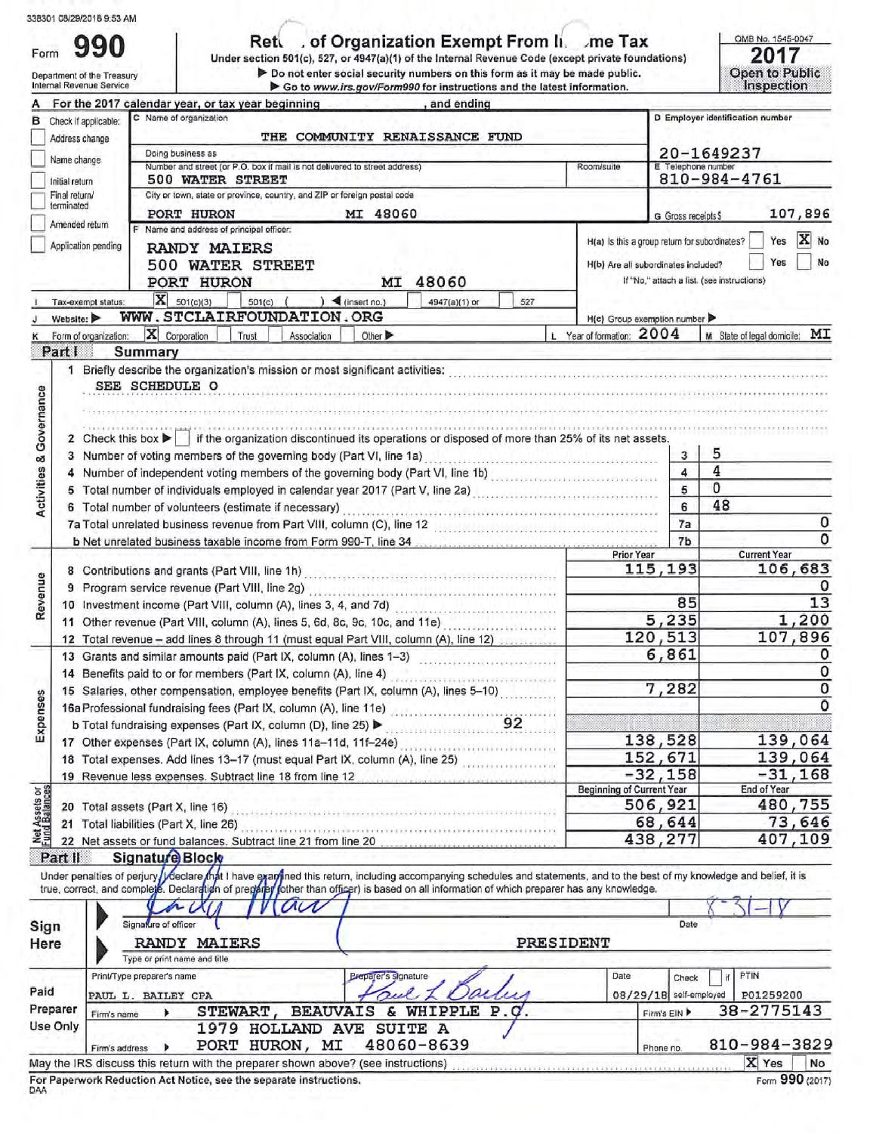|  | 338301 08/29/2018 9:53 AM |
|--|---------------------------|

Form 990

Ret  $\Box$  of Organization Exempt From  $\Pi$ . me Tax Under section 501(c), 527, or 4947(a)(1) of the Internal Revenue Code (except private foundations)

OMB No. 1545-0047 2017

|                                    | Department of the Treasury<br>Internal Revenue Service | > Do not enter social security numbers on this form as it may be made public.<br>Go to www.irs.gov/Form990 for instructions and the latest information.                                                                                                                                                                 |                                               |                         | Open to Public<br><b>Inspection</b>        |
|------------------------------------|--------------------------------------------------------|-------------------------------------------------------------------------------------------------------------------------------------------------------------------------------------------------------------------------------------------------------------------------------------------------------------------------|-----------------------------------------------|-------------------------|--------------------------------------------|
|                                    |                                                        | For the 2017 calendar year, or tax year beginning<br>, and ending                                                                                                                                                                                                                                                       |                                               |                         |                                            |
| в                                  | Check if applicable:                                   | C Name of organization                                                                                                                                                                                                                                                                                                  |                                               |                         | D Employer identification number           |
|                                    | Address change                                         | THE COMMUNITY RENAISSANCE FUND                                                                                                                                                                                                                                                                                          |                                               |                         |                                            |
|                                    | Name change                                            | Doing business as                                                                                                                                                                                                                                                                                                       |                                               |                         | 20-1649237                                 |
|                                    | Initial return                                         | Number and street (or P.O. box if mail is not delivered to street address)<br>500 WATER STREET                                                                                                                                                                                                                          | Room/suite                                    | E Telephone number      | 810-984-4761                               |
|                                    | Final return/                                          | City or town, state or province, country, and ZIP or foreign postal code                                                                                                                                                                                                                                                |                                               |                         |                                            |
|                                    | terminated                                             | PORT HURON<br>MI 48060                                                                                                                                                                                                                                                                                                  |                                               | G Gross receipts \$     | 107,896                                    |
|                                    | Amended return                                         | F Name and address of principal officer:                                                                                                                                                                                                                                                                                |                                               |                         | X No<br>Yes                                |
|                                    | Application pending                                    | <b>RANDY MAIERS</b>                                                                                                                                                                                                                                                                                                     | H(a) Is this a group return for subordinates? |                         |                                            |
|                                    |                                                        | 500 WATER STREET                                                                                                                                                                                                                                                                                                        | H(b) Are all subordinates included?           |                         | Yes<br>No                                  |
|                                    |                                                        | 48060<br>PORT HURON<br>МI                                                                                                                                                                                                                                                                                               |                                               |                         | If "No," attach a list. (see instructions) |
|                                    | Tax-exempt status:                                     | $X = 501(c)(3)$<br>$)$ (insert no.)<br>$501(c)$ (<br>527<br>4947(a)(1) or                                                                                                                                                                                                                                               |                                               |                         |                                            |
|                                    | Website:                                               | WWW.STCLAIRFOUNDATION.ORG                                                                                                                                                                                                                                                                                               | $H(c)$ Group exemption number                 |                         |                                            |
|                                    | Form of organization:                                  | X Corporation<br>Trust<br>Other D<br>Association                                                                                                                                                                                                                                                                        | L Year of formation: 2004                     |                         | МI<br>M State of legal domicile:           |
|                                    | Part I                                                 | Summary                                                                                                                                                                                                                                                                                                                 |                                               |                         |                                            |
|                                    | 1                                                      | Briefly describe the organization's mission or most significant activities: [11] production contract the organization's mission or most significant activities: [11] production of the original state of the original state of                                                                                          |                                               |                         |                                            |
|                                    |                                                        | SEE SCHEDULE O                                                                                                                                                                                                                                                                                                          |                                               |                         |                                            |
|                                    |                                                        |                                                                                                                                                                                                                                                                                                                         |                                               |                         |                                            |
|                                    |                                                        |                                                                                                                                                                                                                                                                                                                         |                                               |                         |                                            |
| <b>Activities &amp; Governance</b> | 2                                                      | Check this box ▶   if the organization discontinued its operations or disposed of more than 25% of its net assets.                                                                                                                                                                                                      |                                               |                         |                                            |
|                                    | 3                                                      | Number of voting members of the governing body (Part VI, line 1a)<br>2000 - 2010 - 2010 - 2010 - 2010 - 2010 - 2010 - 2020 - 2020                                                                                                                                                                                       |                                               | 3                       | 5                                          |
|                                    | 4                                                      | Number of independent voting members of the governing body (Part VI, line 1b)                                                                                                                                                                                                                                           |                                               | $\overline{\mathbf{A}}$ | 4                                          |
|                                    | 5                                                      | Total number of individuals employed in calendar year 2017 (Part V, line 2a) [11] Total number of individuals                                                                                                                                                                                                           |                                               | 5                       | 0                                          |
|                                    | 6                                                      | Total number of volunteers (estimate if necessary)                                                                                                                                                                                                                                                                      |                                               | 6                       | 48                                         |
|                                    |                                                        |                                                                                                                                                                                                                                                                                                                         |                                               | 7a                      | 0                                          |
|                                    |                                                        |                                                                                                                                                                                                                                                                                                                         | <b>Prior Year</b>                             | 7b                      | o<br><b>Current Year</b>                   |
|                                    |                                                        |                                                                                                                                                                                                                                                                                                                         |                                               | 115,193                 | 106,683                                    |
| Revenue                            | 9                                                      | 8 Contributions and grants (Part VIII, line 1h) [11] contract the contributions and grants (Part VIII, line 1h)<br>Program service revenue (Part VIII, line 2g)<br>and the continuum service revenue (Part VIII, line 2g)                                                                                               |                                               |                         |                                            |
|                                    |                                                        | 10 Investment income (Part VIII, column (A), lines 3, 4, and 7d)                                                                                                                                                                                                                                                        |                                               | 85                      | 13                                         |
|                                    |                                                        | 11 Other revenue (Part VIII, column (A), lines 5, 6d, 8c, 9c, 10c, and 11e)                                                                                                                                                                                                                                             |                                               | 5,235                   | 1,200                                      |
|                                    |                                                        | 12 Total revenue - add lines 8 through 11 (must equal Part VIII, column (A), line 12)                                                                                                                                                                                                                                   |                                               | 120,513                 | 107,896                                    |
|                                    |                                                        | 13 Grants and similar amounts paid (Part IX, column (A), lines 1-3)                                                                                                                                                                                                                                                     |                                               | 6,861                   | 0                                          |
|                                    |                                                        | 14 Benefits paid to or for members (Part IX, column (A), line 4)                                                                                                                                                                                                                                                        |                                               |                         | 0                                          |
|                                    |                                                        | 15 Salaries, other compensation, employee benefits (Part IX, column (A), lines 5-10)                                                                                                                                                                                                                                    |                                               | 7,282                   | 0                                          |
| Expenses                           |                                                        | 16a Professional fundraising fees (Part IX, column (A), line 11e)                                                                                                                                                                                                                                                       |                                               |                         | O                                          |
|                                    |                                                        | b Total fundraising expenses (Part IX, column (D), line 25) <b>D</b><br>22                                                                                                                                                                                                                                              |                                               |                         |                                            |
|                                    |                                                        | 17 Other expenses (Part IX, column (A), lines 11a-11d, 11f-24e)                                                                                                                                                                                                                                                         |                                               | 138,528                 | 139,064                                    |
|                                    |                                                        | 18 Total expenses. Add lines 13-17 (must equal Part IX, column (A), line 25)                                                                                                                                                                                                                                            |                                               | 152,671                 | 139,064                                    |
|                                    |                                                        | 19 Revenue less expenses. Subtract line 18 from line 12                                                                                                                                                                                                                                                                 |                                               | $-32,158$               | $-31,168$                                  |
| Net Assets or<br>Fund Balances     |                                                        |                                                                                                                                                                                                                                                                                                                         | <b>Beginning of Current Year</b>              |                         | End of Year                                |
|                                    |                                                        | 20 Total assets (Part X, line 16)<br>inaiinija primira primirai primirai primirai primirai primirai primirai p                                                                                                                                                                                                          |                                               | 506,921                 | 480,755                                    |
|                                    |                                                        | 21 Total liabilities (Part X, line 26)                                                                                                                                                                                                                                                                                  |                                               | 68,644                  | 73,646<br>407,109                          |
|                                    |                                                        | 22 Net assets or fund balances. Subtract line 21 from line 20                                                                                                                                                                                                                                                           |                                               | 438,277                 |                                            |
|                                    | Part II                                                | Signature Block                                                                                                                                                                                                                                                                                                         |                                               |                         |                                            |
|                                    |                                                        | Under penalties of perjury / Veclare that I have examined this return, including accompanying schedules and statements, and to the best of my knowledge and belief, it is<br>true, correct, and complete. Declaration of pregared fother than officer) is based on all information of which preparer has any knowledge. |                                               |                         |                                            |
|                                    |                                                        | $a\alpha$                                                                                                                                                                                                                                                                                                               |                                               |                         |                                            |
|                                    |                                                        | Signature of officer                                                                                                                                                                                                                                                                                                    |                                               |                         |                                            |
| Sign                               |                                                        |                                                                                                                                                                                                                                                                                                                         |                                               | Date                    |                                            |
| Here                               |                                                        | PRESIDENT<br><b>RANDY MAIERS</b><br>Type or print name and title                                                                                                                                                                                                                                                        |                                               |                         |                                            |
|                                    |                                                        | Preparer's signature<br>Print/Type preparer's name                                                                                                                                                                                                                                                                      | Date                                          |                         | PTIN                                       |
| Paid                               |                                                        |                                                                                                                                                                                                                                                                                                                         |                                               | Check                   |                                            |
|                                    | Preparer                                               | PAUL L. BAILEY CPA<br>& WHIPPLE P.C.<br>STEWART,<br><b>BEAUVAIS</b>                                                                                                                                                                                                                                                     |                                               | 08/29/18 self-employed  | P01259200<br>38-2775143                    |
|                                    | Firm's name<br>Use Only                                | 1979 HOLLAND AVE<br><b>SUITE A</b>                                                                                                                                                                                                                                                                                      |                                               | Firm's EIN              |                                            |
|                                    |                                                        | 48060-8639<br>PORT HURON, MI                                                                                                                                                                                                                                                                                            |                                               |                         | 810-984-3829                               |
|                                    | Firm's address                                         |                                                                                                                                                                                                                                                                                                                         |                                               | Phone no.               |                                            |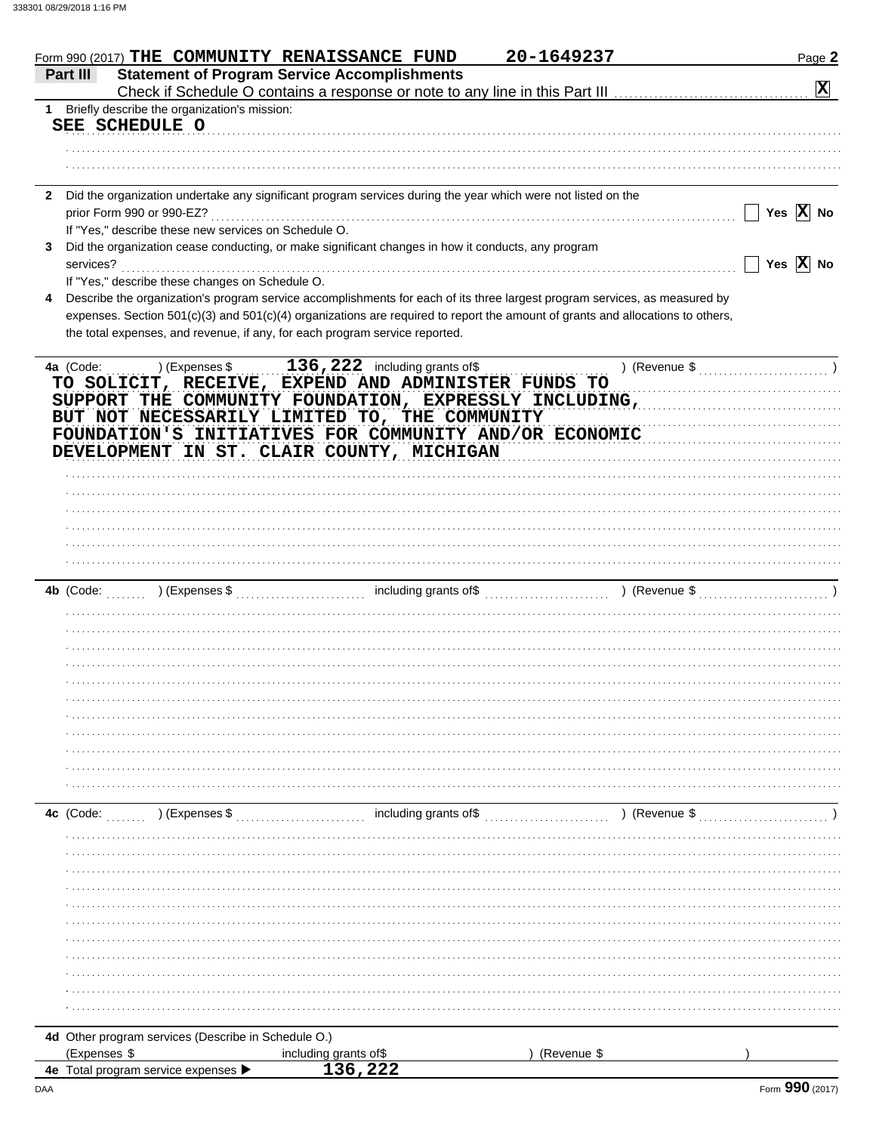| Form 990 (2017) THE COMMUNITY RENAISSANCE FUND                                                                               |                                                     | 20-1649237                                                                                                                     | Page 2                |
|------------------------------------------------------------------------------------------------------------------------------|-----------------------------------------------------|--------------------------------------------------------------------------------------------------------------------------------|-----------------------|
| Part III                                                                                                                     | <b>Statement of Program Service Accomplishments</b> |                                                                                                                                |                       |
|                                                                                                                              |                                                     |                                                                                                                                | $\mathbf{x}$          |
| 1 Briefly describe the organization's mission:                                                                               |                                                     |                                                                                                                                |                       |
| SEE SCHEDULE O                                                                                                               |                                                     |                                                                                                                                |                       |
|                                                                                                                              |                                                     |                                                                                                                                |                       |
|                                                                                                                              |                                                     |                                                                                                                                |                       |
|                                                                                                                              |                                                     |                                                                                                                                |                       |
| Did the organization undertake any significant program services during the year which were not listed on the<br>$\mathbf{2}$ |                                                     |                                                                                                                                |                       |
| prior Form 990 or 990-EZ?                                                                                                    |                                                     |                                                                                                                                | Yes $\overline{X}$ No |
| If "Yes," describe these new services on Schedule O.                                                                         |                                                     |                                                                                                                                |                       |
| Did the organization cease conducting, or make significant changes in how it conducts, any program                           |                                                     |                                                                                                                                |                       |
| services?                                                                                                                    |                                                     |                                                                                                                                | Yes $\overline{X}$ No |
| If "Yes," describe these changes on Schedule O.                                                                              |                                                     |                                                                                                                                |                       |
|                                                                                                                              |                                                     | Describe the organization's program service accomplishments for each of its three largest program services, as measured by     |                       |
|                                                                                                                              |                                                     | expenses. Section 501(c)(3) and 501(c)(4) organizations are required to report the amount of grants and allocations to others, |                       |
| the total expenses, and revenue, if any, for each program service reported.                                                  |                                                     |                                                                                                                                |                       |
|                                                                                                                              |                                                     |                                                                                                                                |                       |
| 4a (Code:<br>) (Expenses \$                                                                                                  | $136,222$ including grants of \$                    |                                                                                                                                |                       |
| TO SOLICIT, RECEIVE, EXPEND AND ADMINISTER FUNDS TO                                                                          |                                                     |                                                                                                                                |                       |
|                                                                                                                              |                                                     |                                                                                                                                |                       |
|                                                                                                                              |                                                     | SUPPORT THE COMMUNITY FOUNDATION, EXPRESSLY INCLUDING,                                                                         |                       |
| BUT NOT NECESSARILY LIMITED TO, THE COMMUNITY                                                                                |                                                     |                                                                                                                                |                       |
| FOUNDATION'S INITIATIVES FOR COMMUNITY AND/OR ECONOMIC                                                                       |                                                     |                                                                                                                                |                       |
| DEVELOPMENT IN ST. CLAIR COUNTY, MICHIGAN                                                                                    |                                                     |                                                                                                                                |                       |
|                                                                                                                              |                                                     |                                                                                                                                |                       |
|                                                                                                                              |                                                     |                                                                                                                                |                       |
|                                                                                                                              |                                                     |                                                                                                                                |                       |
|                                                                                                                              |                                                     |                                                                                                                                |                       |
|                                                                                                                              |                                                     |                                                                                                                                |                       |
|                                                                                                                              |                                                     |                                                                                                                                |                       |
|                                                                                                                              |                                                     |                                                                                                                                |                       |
| <b>4b</b> (Code:                                                                                                             |                                                     |                                                                                                                                |                       |
|                                                                                                                              |                                                     |                                                                                                                                |                       |
|                                                                                                                              |                                                     |                                                                                                                                |                       |
|                                                                                                                              |                                                     |                                                                                                                                |                       |
|                                                                                                                              |                                                     |                                                                                                                                |                       |
|                                                                                                                              |                                                     |                                                                                                                                |                       |
|                                                                                                                              |                                                     |                                                                                                                                |                       |
|                                                                                                                              |                                                     |                                                                                                                                |                       |
|                                                                                                                              |                                                     |                                                                                                                                |                       |
|                                                                                                                              |                                                     |                                                                                                                                |                       |
|                                                                                                                              |                                                     |                                                                                                                                |                       |
|                                                                                                                              |                                                     |                                                                                                                                |                       |
|                                                                                                                              |                                                     |                                                                                                                                |                       |
|                                                                                                                              |                                                     |                                                                                                                                |                       |
| ) (Expenses \$<br>4c (Code:                                                                                                  | including grants of\$                               | ) (Revenue \$                                                                                                                  |                       |
|                                                                                                                              |                                                     |                                                                                                                                |                       |
|                                                                                                                              |                                                     |                                                                                                                                |                       |
|                                                                                                                              |                                                     |                                                                                                                                |                       |
|                                                                                                                              |                                                     |                                                                                                                                |                       |
|                                                                                                                              |                                                     |                                                                                                                                |                       |
|                                                                                                                              |                                                     |                                                                                                                                |                       |
|                                                                                                                              |                                                     |                                                                                                                                |                       |
|                                                                                                                              |                                                     |                                                                                                                                |                       |
|                                                                                                                              |                                                     |                                                                                                                                |                       |
|                                                                                                                              |                                                     |                                                                                                                                |                       |
|                                                                                                                              |                                                     |                                                                                                                                |                       |
|                                                                                                                              |                                                     |                                                                                                                                |                       |
|                                                                                                                              |                                                     |                                                                                                                                |                       |
| 4d Other program services (Describe in Schedule O.)                                                                          |                                                     |                                                                                                                                |                       |
| (Expenses \$                                                                                                                 | including grants of\$                               | (Revenue \$                                                                                                                    |                       |
| 4e Total program service expenses                                                                                            | 136,222                                             |                                                                                                                                |                       |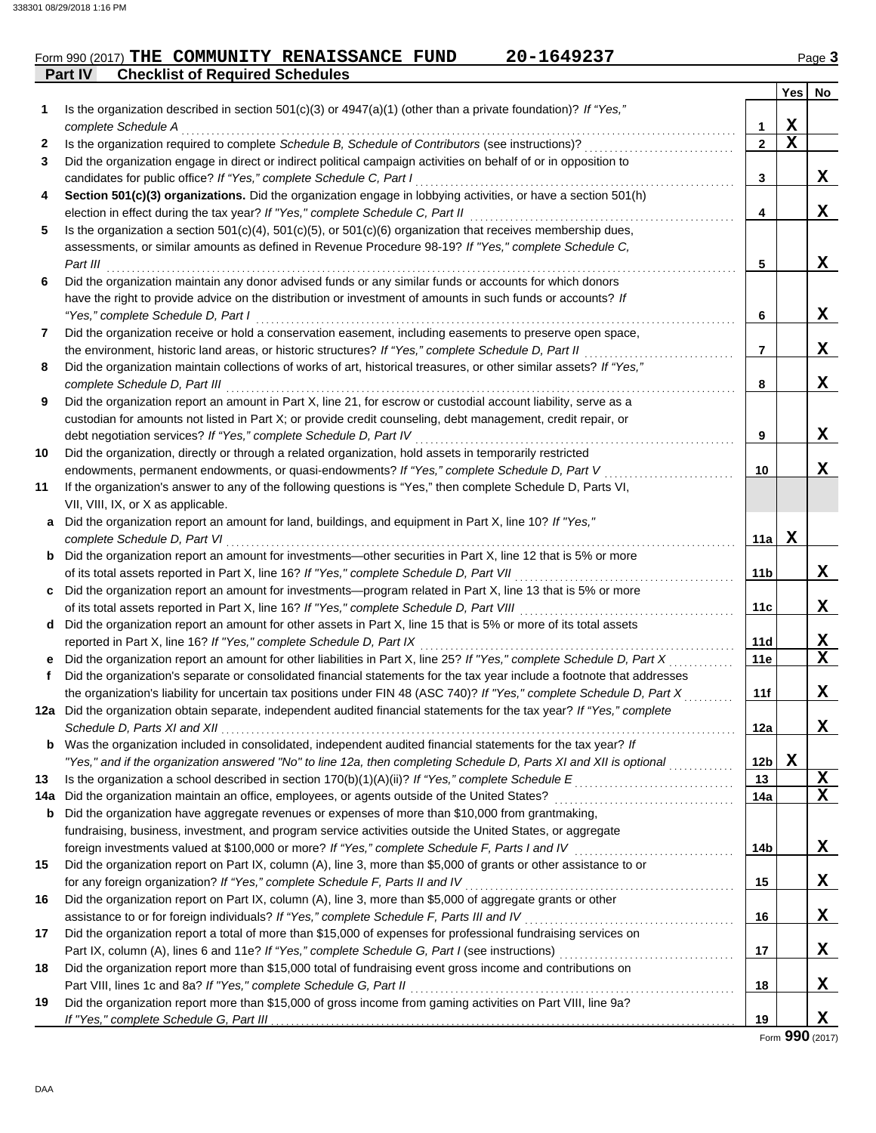### **Part IV Checklist of Required Schedules** Form 990 (2017) THE COMMUNITY RENAISSANCE FUND 20-1649237 Page 3

|     |                                                                                                                                                       |              | <b>Yes</b> | No          |
|-----|-------------------------------------------------------------------------------------------------------------------------------------------------------|--------------|------------|-------------|
| 1   | Is the organization described in section 501(c)(3) or $4947(a)(1)$ (other than a private foundation)? If "Yes,"                                       |              |            |             |
|     | complete Schedule A                                                                                                                                   | 1            | X          |             |
| 2   | Is the organization required to complete Schedule B, Schedule of Contributors (see instructions)?                                                     | $\mathbf{2}$ | X          |             |
| 3   | Did the organization engage in direct or indirect political campaign activities on behalf of or in opposition to                                      |              |            |             |
|     | candidates for public office? If "Yes," complete Schedule C, Part I                                                                                   | 3            |            | X           |
| 4   | Section 501(c)(3) organizations. Did the organization engage in lobbying activities, or have a section 501(h)                                         |              |            |             |
|     | election in effect during the tax year? If "Yes," complete Schedule C, Part II                                                                        | 4            |            | X           |
| 5   | Is the organization a section $501(c)(4)$ , $501(c)(5)$ , or $501(c)(6)$ organization that receives membership dues,                                  |              |            |             |
|     | assessments, or similar amounts as defined in Revenue Procedure 98-19? If "Yes," complete Schedule C,                                                 |              |            |             |
|     | Part III                                                                                                                                              | 5            |            | X.          |
| 6   | Did the organization maintain any donor advised funds or any similar funds or accounts for which donors                                               |              |            |             |
|     | have the right to provide advice on the distribution or investment of amounts in such funds or accounts? If                                           |              |            |             |
|     | "Yes," complete Schedule D, Part I                                                                                                                    | 6            |            | X.          |
| 7   | Did the organization receive or hold a conservation easement, including easements to preserve open space,                                             |              |            |             |
|     | the environment, historic land areas, or historic structures? If "Yes," complete Schedule D, Part II                                                  | 7            |            | x           |
| 8   | Did the organization maintain collections of works of art, historical treasures, or other similar assets? If "Yes,"                                   |              |            |             |
|     | complete Schedule D, Part III                                                                                                                         | 8            |            | x           |
| 9   | Did the organization report an amount in Part X, line 21, for escrow or custodial account liability, serve as a                                       |              |            |             |
|     | custodian for amounts not listed in Part X; or provide credit counseling, debt management, credit repair, or                                          |              |            |             |
|     | debt negotiation services? If "Yes," complete Schedule D, Part IV                                                                                     | 9            |            | X.          |
| 10  | Did the organization, directly or through a related organization, hold assets in temporarily restricted                                               |              |            |             |
|     | endowments, permanent endowments, or quasi-endowments? If "Yes," complete Schedule D, Part V                                                          | 10           |            | x           |
| 11  | If the organization's answer to any of the following questions is "Yes," then complete Schedule D, Parts VI,                                          |              |            |             |
|     | VII, VIII, IX, or X as applicable.                                                                                                                    |              |            |             |
| a   | Did the organization report an amount for land, buildings, and equipment in Part X, line 10? If "Yes,"                                                | 11a l        | X          |             |
|     | complete Schedule D, Part VI<br><b>b</b> Did the organization report an amount for investments—other securities in Part X, line 12 that is 5% or more |              |            |             |
|     | of its total assets reported in Part X, line 16? If "Yes," complete Schedule D, Part VII [[[[[[[[[[[[[[[[[[[[[                                        | 11b          |            | X           |
|     | c Did the organization report an amount for investments—program related in Part X, line 13 that is 5% or more                                         |              |            |             |
|     |                                                                                                                                                       | 11c          |            | X           |
|     | d Did the organization report an amount for other assets in Part X, line 15 that is 5% or more of its total assets                                    |              |            |             |
|     | reported in Part X, line 16? If "Yes," complete Schedule D, Part IX                                                                                   | 11d          |            | X           |
|     | Did the organization report an amount for other liabilities in Part X, line 25? If "Yes," complete Schedule D, Part X                                 | 11e          |            | $\mathbf x$ |
| f   | Did the organization's separate or consolidated financial statements for the tax year include a footnote that addresses                               |              |            |             |
|     | the organization's liability for uncertain tax positions under FIN 48 (ASC 740)? If "Yes," complete Schedule D, Part X                                | 11f          |            | X           |
|     | 12a Did the organization obtain separate, independent audited financial statements for the tax year? If "Yes," complete                               |              |            |             |
|     |                                                                                                                                                       | 12a          |            | X           |
|     | Was the organization included in consolidated, independent audited financial statements for the tax year? If                                          |              |            |             |
|     | "Yes," and if the organization answered "No" to line 12a, then completing Schedule D, Parts XI and XII is optional                                    | 12b          | X          |             |
| 13  |                                                                                                                                                       | 13           |            | <u>x</u>    |
| 14а |                                                                                                                                                       | 14a          |            | X           |
| b   | Did the organization have aggregate revenues or expenses of more than \$10,000 from grantmaking,                                                      |              |            |             |
|     | fundraising, business, investment, and program service activities outside the United States, or aggregate                                             |              |            |             |
|     | foreign investments valued at \$100,000 or more? If "Yes," complete Schedule F, Parts I and IV [[[[[[[[[[[[[[[                                        | 14b          |            | X           |
| 15  | Did the organization report on Part IX, column (A), line 3, more than \$5,000 of grants or other assistance to or                                     |              |            |             |
|     | for any foreign organization? If "Yes," complete Schedule F, Parts II and IV                                                                          | 15           |            | X           |
| 16  | Did the organization report on Part IX, column (A), line 3, more than \$5,000 of aggregate grants or other                                            |              |            |             |
|     | assistance to or for foreign individuals? If "Yes," complete Schedule F, Parts III and IV                                                             | 16           |            | X           |
| 17  | Did the organization report a total of more than \$15,000 of expenses for professional fundraising services on                                        |              |            |             |
|     |                                                                                                                                                       | 17           |            | X           |
| 18  | Did the organization report more than \$15,000 total of fundraising event gross income and contributions on                                           |              |            |             |
|     | Part VIII, lines 1c and 8a? If "Yes," complete Schedule G, Part II                                                                                    | 18           |            | X           |
| 19  | Did the organization report more than \$15,000 of gross income from gaming activities on Part VIII, line 9a?                                          |              |            |             |
|     | If "Yes," complete Schedule G, Part III.                                                                                                              | 19           |            | X           |

Form **990** (2017)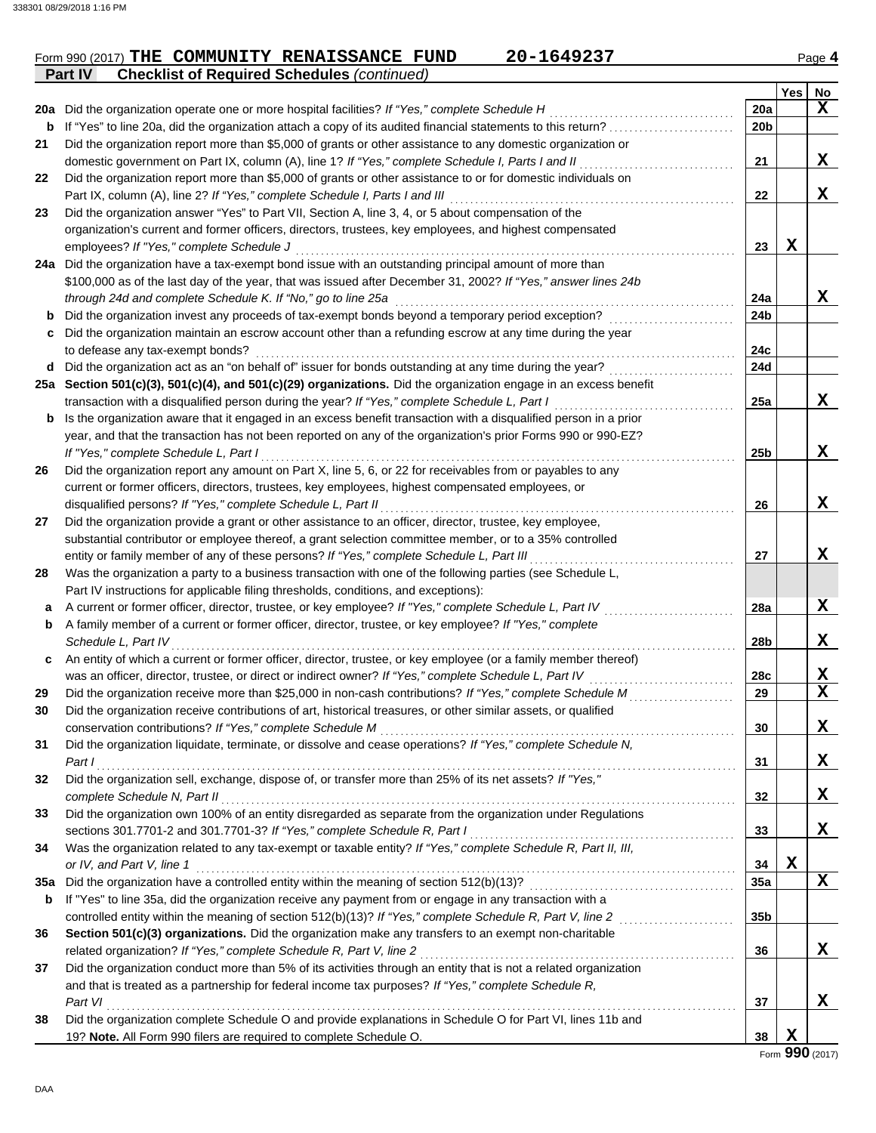| Form 990 (2017) THE COMMUNITY RENAISSANCE FUND<br>20-1649237                                                          |                 |      | Page 4 |
|-----------------------------------------------------------------------------------------------------------------------|-----------------|------|--------|
| <b>Checklist of Required Schedules (continued)</b><br>Part IV                                                         |                 |      |        |
|                                                                                                                       |                 | Yes: | No     |
| 20a Did the organization operate one or more hospital facilities? If "Yes," complete Schedule H                       | 20a             |      | △      |
| <b>b</b> If "Yes" to line 20a, did the organization attach a copy of its audited financial statements to this return? | 20 <sub>b</sub> |      |        |
|                                                                                                                       |                 |      |        |

Did the organization report more than \$5,000 of grants or other assistance to any domestic organization or **21** domestic government on Part IX, column (A), line 1? *If "Yes," complete Schedule I, Parts I and II* . . . . . . . . . . . . . . . . . . . . . . . . . . . . . . .

| 22  | Did the organization report more than \$5,000 of grants or other assistance to or for domestic individuals on    |                 |             |             |
|-----|------------------------------------------------------------------------------------------------------------------|-----------------|-------------|-------------|
|     | Part IX, column (A), line 2? If "Yes," complete Schedule I, Parts I and III                                      | 22              |             | X           |
| 23  | Did the organization answer "Yes" to Part VII, Section A, line 3, 4, or 5 about compensation of the              |                 |             |             |
|     | organization's current and former officers, directors, trustees, key employees, and highest compensated          |                 |             |             |
|     | employees? If "Yes," complete Schedule J                                                                         | 23              | $\mathbf x$ |             |
|     | 24a Did the organization have a tax-exempt bond issue with an outstanding principal amount of more than          |                 |             |             |
|     | \$100,000 as of the last day of the year, that was issued after December 31, 2002? If "Yes," answer lines 24b    |                 |             |             |
|     | through 24d and complete Schedule K. If "No," go to line 25a                                                     | 24a             |             | X           |
| b   | Did the organization invest any proceeds of tax-exempt bonds beyond a temporary period exception?                | 24b             |             |             |
| c   | Did the organization maintain an escrow account other than a refunding escrow at any time during the year        |                 |             |             |
|     | to defease any tax-exempt bonds?                                                                                 | 24c             |             |             |
| d   | Did the organization act as an "on behalf of" issuer for bonds outstanding at any time during the year?          | 24d             |             |             |
|     | 25a Section 501(c)(3), 501(c)(4), and 501(c)(29) organizations. Did the organization engage in an excess benefit |                 |             |             |
|     | transaction with a disqualified person during the year? If "Yes," complete Schedule L, Part I                    | 25a             |             | X           |
| b   | Is the organization aware that it engaged in an excess benefit transaction with a disqualified person in a prior |                 |             |             |
|     | year, and that the transaction has not been reported on any of the organization's prior Forms 990 or 990-EZ?     |                 |             |             |
|     | If "Yes," complete Schedule L, Part I                                                                            | 25 <sub>b</sub> |             | X           |
| 26  | Did the organization report any amount on Part X, line 5, 6, or 22 for receivables from or payables to any       |                 |             |             |
|     | current or former officers, directors, trustees, key employees, highest compensated employees, or                |                 |             |             |
|     | disqualified persons? If "Yes," complete Schedule L, Part II                                                     | 26              |             | X           |
| 27  | Did the organization provide a grant or other assistance to an officer, director, trustee, key employee,         |                 |             |             |
|     | substantial contributor or employee thereof, a grant selection committee member, or to a 35% controlled          |                 |             |             |
|     | entity or family member of any of these persons? If "Yes," complete Schedule L, Part III                         | 27              |             | X           |
| 28  | Was the organization a party to a business transaction with one of the following parties (see Schedule L,        |                 |             |             |
|     | Part IV instructions for applicable filing thresholds, conditions, and exceptions):                              |                 |             |             |
| а   | A current or former officer, director, trustee, or key employee? If "Yes," complete Schedule L, Part IV          | 28a             |             | X           |
| b   | A family member of a current or former officer, director, trustee, or key employee? If "Yes," complete           |                 |             |             |
|     | Schedule L, Part IV                                                                                              | 28b             |             | X           |
| c   | An entity of which a current or former officer, director, trustee, or key employee (or a family member thereof)  |                 |             |             |
|     | was an officer, director, trustee, or direct or indirect owner? If "Yes," complete Schedule L, Part IV           | 28c             |             | X           |
| 29  | Did the organization receive more than \$25,000 in non-cash contributions? If "Yes," complete Schedule M         | 29              |             | $\mathbf x$ |
| 30  | Did the organization receive contributions of art, historical treasures, or other similar assets, or qualified   |                 |             |             |
|     | conservation contributions? If "Yes," complete Schedule M                                                        | 30              |             | X           |
| 31  | Did the organization liquidate, terminate, or dissolve and cease operations? If "Yes," complete Schedule N,      |                 |             |             |
|     | Part I                                                                                                           | 31              |             | X           |
| 32  | Did the organization sell, exchange, dispose of, or transfer more than 25% of its net assets? If "Yes,"          |                 |             |             |
|     | complete Schedule N, Part II                                                                                     | 32              |             | X           |
| 33  | Did the organization own 100% of an entity disregarded as separate from the organization under Regulations       |                 |             |             |
|     | sections 301.7701-2 and 301.7701-3? If "Yes," complete Schedule R, Part I                                        | 33              |             | X           |
| 34  | Was the organization related to any tax-exempt or taxable entity? If "Yes," complete Schedule R, Part II, III,   |                 |             |             |
|     | or IV, and Part V, line 1                                                                                        | 34              | $\mathbf X$ |             |
| 35а | Did the organization have a controlled entity within the meaning of section 512(b)(13)?                          | 35a             |             | X           |
| b   | If "Yes" to line 35a, did the organization receive any payment from or engage in any transaction with a          |                 |             |             |
|     | controlled entity within the meaning of section 512(b)(13)? If "Yes," complete Schedule R, Part V, line 2        | 35b             |             |             |
| 36  | Section 501(c)(3) organizations. Did the organization make any transfers to an exempt non-charitable             |                 |             |             |
|     | related organization? If "Yes," complete Schedule R, Part V, line 2                                              | 36              |             | X           |
| 37  | Did the organization conduct more than 5% of its activities through an entity that is not a related organization |                 |             |             |
|     | and that is treated as a partnership for federal income tax purposes? If "Yes," complete Schedule R,             |                 |             |             |
|     | Part VI                                                                                                          | 37              |             | x           |
| 38  | Did the organization complete Schedule O and provide explanations in Schedule O for Part VI, lines 11b and       |                 |             |             |
|     | 19? Note. All Form 990 filers are required to complete Schedule O.                                               | 38              | X           |             |

Form **990** (2017)

**21**

**X**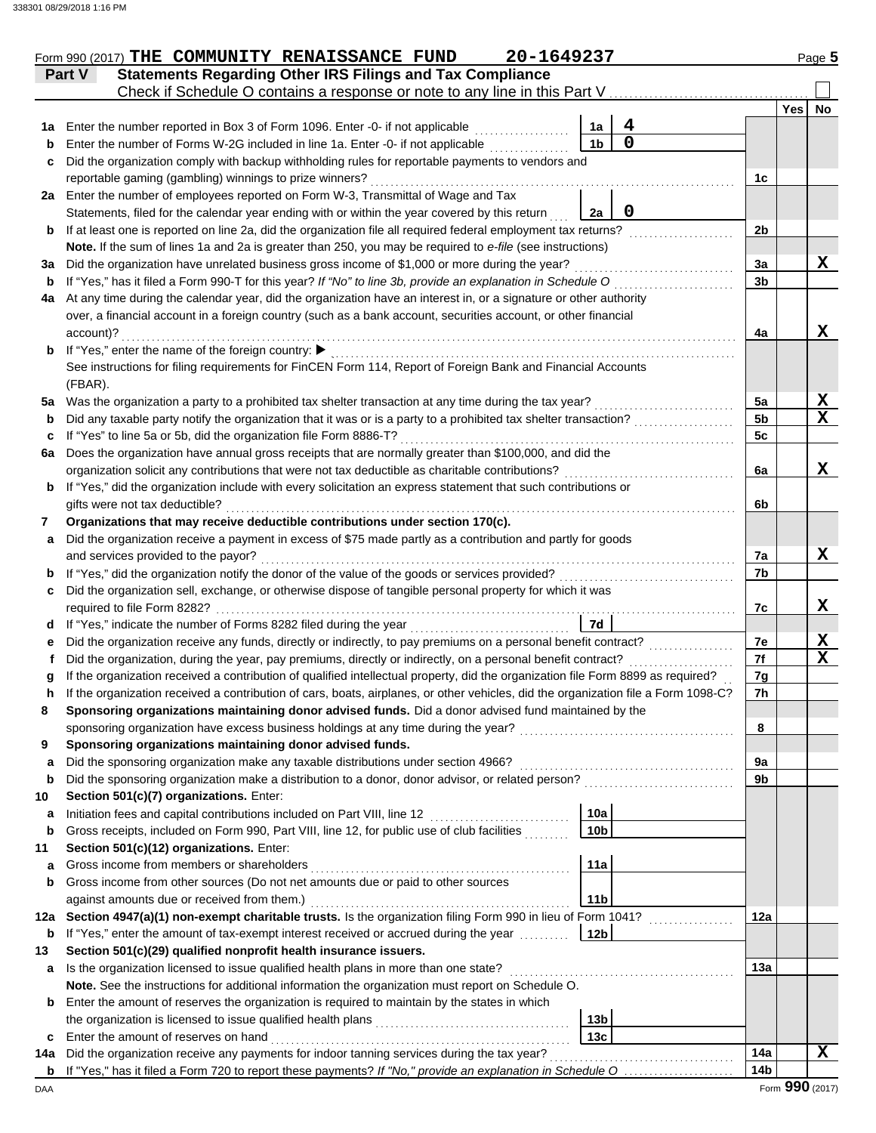|     | 20-1649237<br>Form 990 (2017) THE COMMUNITY RENAISSANCE FUND                                                                                                                                                 |                      |                 | Page 5       |
|-----|--------------------------------------------------------------------------------------------------------------------------------------------------------------------------------------------------------------|----------------------|-----------------|--------------|
|     | <b>Statements Regarding Other IRS Filings and Tax Compliance</b><br>Part V                                                                                                                                   |                      |                 |              |
|     | Check if Schedule O contains a response or note to any line in this Part V                                                                                                                                   |                      |                 |              |
|     |                                                                                                                                                                                                              |                      | <b>Yes</b>      | No           |
| 1a  | 4<br>Enter the number reported in Box 3 of Form 1096. Enter -0- if not applicable<br>1a<br>$\mathbf 0$                                                                                                       |                      |                 |              |
| b   | Enter the number of Forms W-2G included in line 1a. Enter -0- if not applicable<br>1b                                                                                                                        |                      |                 |              |
| c   | Did the organization comply with backup withholding rules for reportable payments to vendors and                                                                                                             |                      |                 |              |
|     | reportable gaming (gambling) winnings to prize winners?                                                                                                                                                      | 1c                   |                 |              |
|     | 2a Enter the number of employees reported on Form W-3, Transmittal of Wage and Tax                                                                                                                           |                      |                 |              |
|     | $\mathbf 0$<br>Statements, filed for the calendar year ending with or within the year covered by this return<br>2a                                                                                           |                      |                 |              |
| b   | If at least one is reported on line 2a, did the organization file all required federal employment tax returns?                                                                                               | 2 <sub>b</sub>       |                 |              |
|     | Note. If the sum of lines 1a and 2a is greater than 250, you may be required to e-file (see instructions)                                                                                                    |                      |                 | X            |
| За  | Did the organization have unrelated business gross income of \$1,000 or more during the year?<br>If "Yes," has it filed a Form 990-T for this year? If "No" to line 3b, provide an explanation in Schedule O | 3a<br>3 <sub>b</sub> |                 |              |
| b   | At any time during the calendar year, did the organization have an interest in, or a signature or other authority                                                                                            |                      |                 |              |
| 4a  | over, a financial account in a foreign country (such as a bank account, securities account, or other financial                                                                                               |                      |                 |              |
|     |                                                                                                                                                                                                              |                      |                 | X            |
| b   | account)?<br>If "Yes," enter the name of the foreign country: ▶                                                                                                                                              | 4a                   |                 |              |
|     | See instructions for filing requirements for FinCEN Form 114, Report of Foreign Bank and Financial Accounts                                                                                                  |                      |                 |              |
|     | (FBAR).                                                                                                                                                                                                      |                      |                 |              |
| 5a  | Was the organization a party to a prohibited tax shelter transaction at any time during the tax year?                                                                                                        | 5a                   |                 | <u>x</u>     |
| b   | Did any taxable party notify the organization that it was or is a party to a prohibited tax shelter transaction?                                                                                             | 5 <sub>b</sub>       |                 | $\mathbf x$  |
| c   | If "Yes" to line 5a or 5b, did the organization file Form 8886-T?                                                                                                                                            | 5c                   |                 |              |
| 6a  | Does the organization have annual gross receipts that are normally greater than \$100,000, and did the                                                                                                       |                      |                 |              |
|     | organization solicit any contributions that were not tax deductible as charitable contributions?                                                                                                             | 6a                   |                 | X            |
| b   | If "Yes," did the organization include with every solicitation an express statement that such contributions or                                                                                               |                      |                 |              |
|     | gifts were not tax deductible?                                                                                                                                                                               | 6b                   |                 |              |
| 7   | Organizations that may receive deductible contributions under section 170(c).                                                                                                                                |                      |                 |              |
| a   | Did the organization receive a payment in excess of \$75 made partly as a contribution and partly for goods                                                                                                  |                      |                 |              |
|     | and services provided to the payor?                                                                                                                                                                          | 7a                   |                 | X            |
| b   | If "Yes," did the organization notify the donor of the value of the goods or services provided?                                                                                                              | 7b                   |                 |              |
| c   | Did the organization sell, exchange, or otherwise dispose of tangible personal property for which it was                                                                                                     |                      |                 |              |
|     | required to file Form 8282?                                                                                                                                                                                  | 7c                   |                 | X            |
|     | 7d<br>d If "Yes," indicate the number of Forms 8282 filed during the year                                                                                                                                    |                      |                 |              |
| е   | Did the organization receive any funds, directly or indirectly, to pay premiums on a personal benefit contract?                                                                                              | 7e                   |                 | $\mathbf{X}$ |
|     | Did the organization, during the year, pay premiums, directly or indirectly, on a personal benefit contract?                                                                                                 | 7f                   |                 | $\mathbf x$  |
|     | If the organization received a contribution of qualified intellectual property, did the organization file Form 8899 as required?                                                                             | 7g                   |                 |              |
|     | If the organization received a contribution of cars, boats, airplanes, or other vehicles, did the organization file a Form 1098-C?                                                                           | 7h                   |                 |              |
| 8   | Sponsoring organizations maintaining donor advised funds. Did a donor advised fund maintained by the                                                                                                         |                      |                 |              |
|     | sponsoring organization have excess business holdings at any time during the year?<br><u> 1986 - Johann Stoff, deutscher Stoff, der Stoff, deutscher Stoff, der Stoff, der Stoff, der Stoff, der Stoff, </u> | 8                    |                 |              |
| 9   | Sponsoring organizations maintaining donor advised funds.                                                                                                                                                    |                      |                 |              |
| a   | Did the sponsoring organization make any taxable distributions under section 4966?                                                                                                                           | 9а                   |                 |              |
| b   | Did the sponsoring organization make a distribution to a donor, donor advisor, or related person?                                                                                                            | 9b                   |                 |              |
| 10  | Section 501(c)(7) organizations. Enter:                                                                                                                                                                      |                      |                 |              |
| a   | 10a<br>Initiation fees and capital contributions included on Part VIII, line 12                                                                                                                              |                      |                 |              |
| b   | Gross receipts, included on Form 990, Part VIII, line 12, for public use of club facilities<br>10 <sub>b</sub>                                                                                               |                      |                 |              |
| 11  | Section 501(c)(12) organizations. Enter:                                                                                                                                                                     |                      |                 |              |
| a   | Gross income from members or shareholders<br>11a                                                                                                                                                             |                      |                 |              |
| b   | Gross income from other sources (Do not net amounts due or paid to other sources                                                                                                                             |                      |                 |              |
|     | against amounts due or received from them.)<br>11 <sub>b</sub>                                                                                                                                               |                      |                 |              |
| 12a | Section 4947(a)(1) non-exempt charitable trusts. Is the organization filing Form 990 in lieu of Form 1041?                                                                                                   | 12a                  |                 |              |
| b   | If "Yes," enter the amount of tax-exempt interest received or accrued during the year<br>12 <sub>b</sub>                                                                                                     |                      |                 |              |
| 13  | Section 501(c)(29) qualified nonprofit health insurance issuers.                                                                                                                                             |                      |                 |              |
| a   | Is the organization licensed to issue qualified health plans in more than one state?                                                                                                                         | 13a                  |                 |              |
|     | Note. See the instructions for additional information the organization must report on Schedule O.                                                                                                            |                      |                 |              |
| b   | Enter the amount of reserves the organization is required to maintain by the states in which                                                                                                                 |                      |                 |              |
|     | the organization is licensed to issue qualified health plans<br>13 <sub>b</sub>                                                                                                                              |                      |                 |              |
| c   | 13c<br>Enter the amount of reserves on hand                                                                                                                                                                  |                      |                 |              |
| 14a | Did the organization receive any payments for indoor tanning services during the tax year?                                                                                                                   | 14a                  |                 | $\mathbf x$  |
| b   | If "Yes," has it filed a Form 720 to report these payments? If "No," provide an explanation in Schedule O                                                                                                    | 14 <sub>b</sub>      |                 |              |
| DAA |                                                                                                                                                                                                              |                      | Form 990 (2017) |              |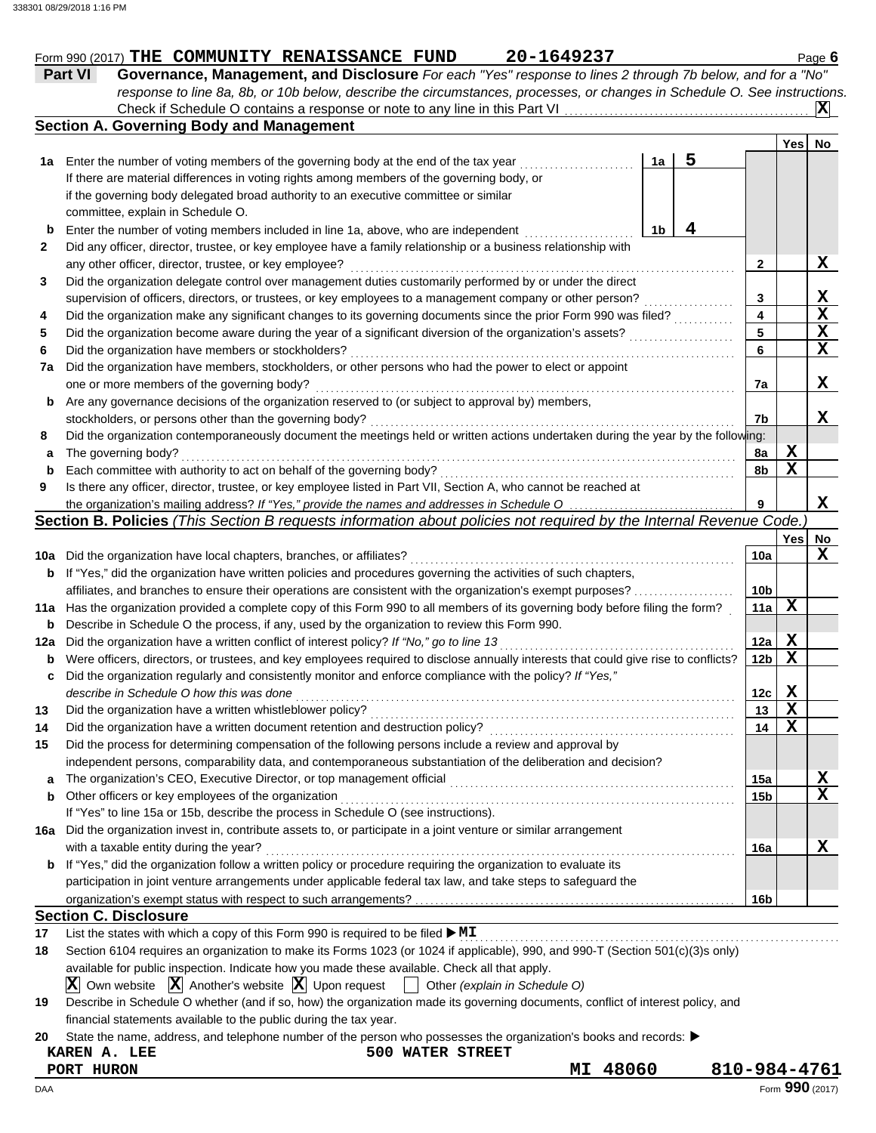|     |                                                                                                                                     |    |   |                 | Yes         | No          |
|-----|-------------------------------------------------------------------------------------------------------------------------------------|----|---|-----------------|-------------|-------------|
|     | 1a Enter the number of voting members of the governing body at the end of the tax year                                              | 1a | 5 |                 |             |             |
|     | If there are material differences in voting rights among members of the governing body, or                                          |    |   |                 |             |             |
|     | if the governing body delegated broad authority to an executive committee or similar                                                |    |   |                 |             |             |
|     | committee, explain in Schedule O.                                                                                                   |    |   |                 |             |             |
| b   | Enter the number of voting members included in line 1a, above, who are independent                                                  | 1b | 4 |                 |             |             |
| 2   | Did any officer, director, trustee, or key employee have a family relationship or a business relationship with                      |    |   |                 |             |             |
|     | any other officer, director, trustee, or key employee?                                                                              |    |   | 2               |             | X           |
| 3   | Did the organization delegate control over management duties customarily performed by or under the direct                           |    |   |                 |             |             |
|     | supervision of officers, directors, or trustees, or key employees to a management company or other person?                          |    |   | 3               |             | X           |
| 4   | Did the organization make any significant changes to its governing documents since the prior Form 990 was filed?                    |    |   | 4               |             | $\mathbf x$ |
| 5   | Did the organization become aware during the year of a significant diversion of the organization's assets?                          |    |   | 5               |             | $\mathbf x$ |
| 6   | Did the organization have members or stockholders?                                                                                  |    |   | 6               |             | X           |
| 7a  | Did the organization have members, stockholders, or other persons who had the power to elect or appoint                             |    |   |                 |             |             |
|     | one or more members of the governing body?                                                                                          |    |   | 7a              |             | X           |
| b   | Are any governance decisions of the organization reserved to (or subject to approval by) members,                                   |    |   |                 |             |             |
|     | stockholders, or persons other than the governing body?                                                                             |    |   | 7b              |             | X           |
| 8   | Did the organization contemporaneously document the meetings held or written actions undertaken during the year by the following:   |    |   |                 |             |             |
| a   | The governing body?                                                                                                                 |    |   | 8a              | X           |             |
| b   | Each committee with authority to act on behalf of the governing body?                                                               |    |   | 8b              | $\mathbf x$ |             |
| 9   | Is there any officer, director, trustee, or key employee listed in Part VII, Section A, who cannot be reached at                    |    |   |                 |             |             |
|     | the organization's mailing address? If "Yes," provide the names and addresses in Schedule O                                         |    |   | 9               |             | X           |
|     | Section B. Policies (This Section B requests information about policies not required by the Internal Revenue Code.)                 |    |   |                 |             |             |
|     |                                                                                                                                     |    |   |                 | Yes         | No          |
| 10a | Did the organization have local chapters, branches, or affiliates?                                                                  |    |   | 10a             |             | x           |
| b   | If "Yes," did the organization have written policies and procedures governing the activities of such chapters,                      |    |   |                 |             |             |
|     | affiliates, and branches to ensure their operations are consistent with the organization's exempt purposes?                         |    |   | 10b             |             |             |
| 11a | Has the organization provided a complete copy of this Form 990 to all members of its governing body before filing the form?         |    |   | 11a             | X           |             |
| b   | Describe in Schedule O the process, if any, used by the organization to review this Form 990.                                       |    |   |                 |             |             |
| 12a | Did the organization have a written conflict of interest policy? If "No," go to line 13                                             |    |   | 12a             | X           |             |
| b   | Were officers, directors, or trustees, and key employees required to disclose annually interests that could give rise to conflicts? |    |   | 12 <sub>b</sub> | X           |             |
| c   | Did the organization regularly and consistently monitor and enforce compliance with the policy? If "Yes,"                           |    |   |                 |             |             |
|     | describe in Schedule O how this was done                                                                                            |    |   | 12c             | X           |             |
| 13  | Did the organization have a written whistleblower policy?                                                                           |    |   | 13              | X           |             |
| 14  | Did the organization have a written document retention and destruction policy?                                                      |    |   | 14              | X           |             |
| 15  | Did the process for determining compensation of the following persons include a review and approval by                              |    |   |                 |             |             |
|     | independent persons, comparability data, and contemporaneous substantiation of the deliberation and decision?                       |    |   |                 |             |             |
| a   |                                                                                                                                     |    |   | 15a             |             | X           |
| b   | Other officers or key employees of the organization                                                                                 |    |   | 15 <sub>b</sub> |             | X           |
|     | If "Yes" to line 15a or 15b, describe the process in Schedule O (see instructions).                                                 |    |   |                 |             |             |
| 16a | Did the organization invest in, contribute assets to, or participate in a joint venture or similar arrangement                      |    |   |                 |             |             |
|     | with a taxable entity during the year?                                                                                              |    |   | 16a             |             | X           |
| b   | If "Yes," did the organization follow a written policy or procedure requiring the organization to evaluate its                      |    |   |                 |             |             |
|     | participation in joint venture arrangements under applicable federal tax law, and take steps to safeguard the                       |    |   |                 |             |             |
|     |                                                                                                                                     |    |   | 16b             |             |             |
|     | <b>Section C. Disclosure</b>                                                                                                        |    |   |                 |             |             |
| 17  | List the states with which a copy of this Form 990 is required to be filed $\blacktriangleright$ MI                                 |    |   |                 |             |             |
| 18  | Section 6104 requires an organization to make its Forms 1023 (or 1024 if applicable), 990, and 990-T (Section 501(c)(3)s only)      |    |   |                 |             |             |
|     | available for public inspection. Indicate how you made these available. Check all that apply.                                       |    |   |                 |             |             |
|     | $ \mathbf{X} $ Own website $ \mathbf{X} $ Another's website $ \mathbf{X} $ Upon request $ \cdot $ Other (explain in Schedule O)     |    |   |                 |             |             |
| 19  | Describe in Schedule O whether (and if so, how) the organization made its governing documents, conflict of interest policy, and     |    |   |                 |             |             |
|     | financial statements available to the public during the tax year.                                                                   |    |   |                 |             |             |
| 20  | State the name, address, and telephone number of the person who possesses the organization's books and records:                     |    |   |                 |             |             |

*response to line 8a, 8b, or 10b below, describe the circumstances, processes, or changes in Schedule O. See instructions.*

Check if Schedule O contains a response or note to any line in this Part VI

Form 990 (2017) THE COMMUNITY RENAISSANCE FUND 20-1649237 Page 6 **Part VI Governance, Management, and Disclosure** *For each "Yes" response to lines 2 through 7b below, and for a "No"*

**X**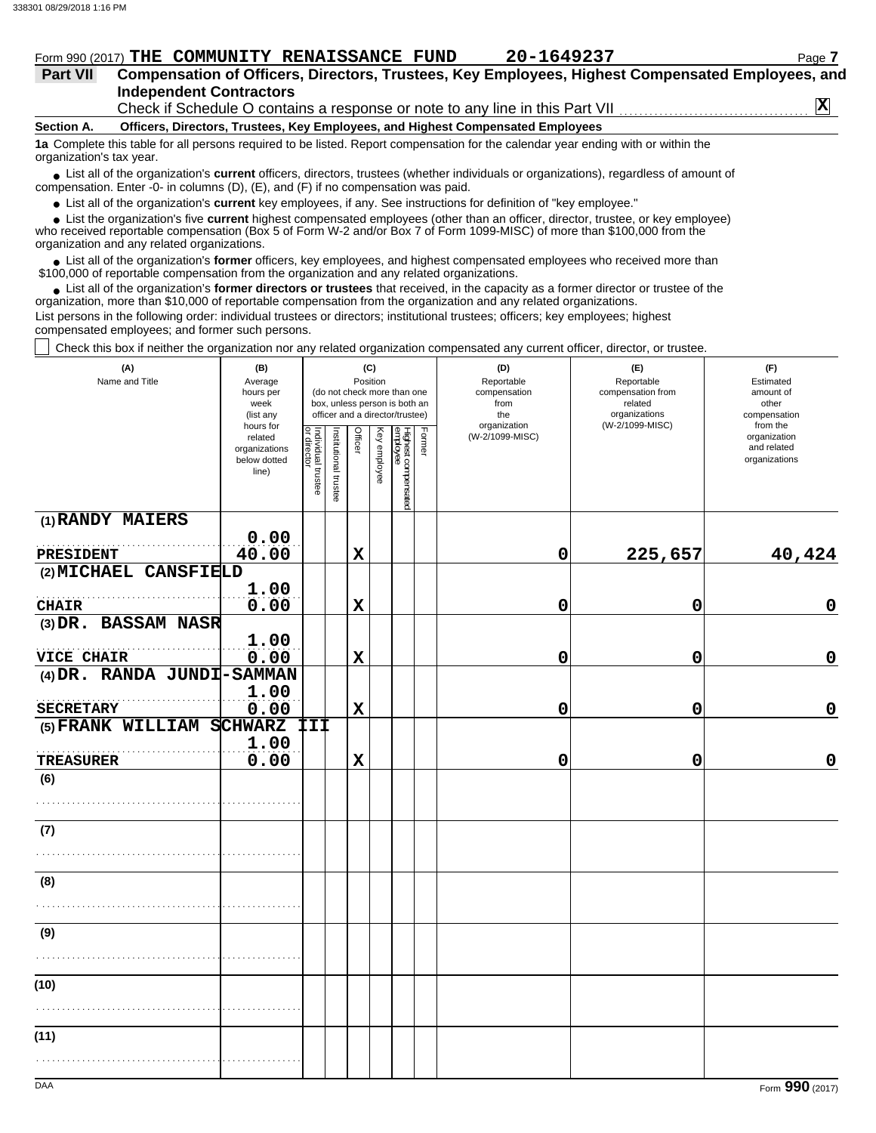| Form 990 (2017) $\mathbf{THE}$ | <b>COMMUNITY RENAISSANCE</b> | <b>FUND</b> | 20-1649237 | Page |
|--------------------------------|------------------------------|-------------|------------|------|
|                                |                              |             |            |      |

### **Independent Contractors Part VII Compensation of Officers, Directors, Trustees, Key Employees, Highest Compensated Employees, and** Check if Schedule O contains a response or note to any line in this Part VII **X**

**Section A. Officers, Directors, Trustees, Key Employees, and Highest Compensated Employees**

**1a** Complete this table for all persons required to be listed. Report compensation for the calendar year ending with or within the organization's tax year.

■ List all of the organization's **current** officers, directors, trustees (whether individuals or organizations), regardless of amount of compensation. Enter -0- in columns (D), (E), and (F) if no compensation was paid.

● List all of the organization's **current** key employees, if any. See instructions for definition of "key employee."

 $\bullet$  List the organization's five **current** highest compensated employees (other than an officer, director, trustee, or key employee)<br>a received reportable compensation (Box 5 of Form  $M-2$  and/or Box 7 of Form 1000-MISC)

who received reportable compensation (Box 5 of Form W-2 and/or Box 7 of Form 1099-MISC) of more than \$100,000 from the organization and any related organizations.

• List all of the organization's **former** officers, key employees, and highest compensated employees who received more than<br>00,000 of reportable compensation from the erganization and any related erganizations. \$100,000 of reportable compensation from the organization and any related organizations.

• List all of the organization's **former directors or trustees** that received, in the capacity as a former director or trustee of the organization, more than \$10,000 of reportable compensation from the organization and any related organizations. List persons in the following order: individual trustees or directors; institutional trustees; officers; key employees; highest compensated employees; and former such persons.

Check this box if neither the organization nor any related organization compensated any current officer, director, or trustee.

| (A)<br>Name and Title                    | (B)<br>Average<br>hours per<br>week<br>(list any               |                                   |                       |             | (C)<br>Position | (do not check more than one<br>box, unless person is both an<br>officer and a director/trustee) |        | (D)<br>Reportable<br>compensation<br>from<br>the<br>organization | (E)<br>Reportable<br>compensation from<br>related<br>organizations<br>(W-2/1099-MISC) | (F)<br>Estimated<br>amount of<br>other<br>compensation<br>from the |  |  |
|------------------------------------------|----------------------------------------------------------------|-----------------------------------|-----------------------|-------------|-----------------|-------------------------------------------------------------------------------------------------|--------|------------------------------------------------------------------|---------------------------------------------------------------------------------------|--------------------------------------------------------------------|--|--|
|                                          | hours for<br>related<br>organizations<br>below dotted<br>line) | Individual trustee<br>or director | Institutional trustee | Officer     | Key employee    | Highest compensated<br>employee                                                                 | Former | (W-2/1099-MISC)                                                  |                                                                                       | organization<br>and related<br>organizations                       |  |  |
| (1) RANDY MAIERS                         |                                                                |                                   |                       |             |                 |                                                                                                 |        |                                                                  |                                                                                       |                                                                    |  |  |
| PRESIDENT                                | 0.00<br>40.00                                                  |                                   |                       | $\mathbf x$ |                 |                                                                                                 |        | 0                                                                | 225,657                                                                               | 40,424                                                             |  |  |
| (2) MICHAEL CANSFIELD                    |                                                                |                                   |                       |             |                 |                                                                                                 |        |                                                                  |                                                                                       |                                                                    |  |  |
|                                          | 1.00                                                           |                                   |                       |             |                 |                                                                                                 |        |                                                                  |                                                                                       |                                                                    |  |  |
| <b>CHAIR</b>                             | 0.00                                                           |                                   |                       | $\mathbf x$ |                 |                                                                                                 |        | 0                                                                | 0                                                                                     | $\mathbf 0$                                                        |  |  |
| (3) DR. BASSAM NASR                      |                                                                |                                   |                       |             |                 |                                                                                                 |        |                                                                  |                                                                                       |                                                                    |  |  |
|                                          | 1.00                                                           |                                   |                       |             |                 |                                                                                                 |        |                                                                  |                                                                                       | $\mathbf 0$                                                        |  |  |
| VICE CHAIR<br>(4) DR. RANDA JUNDI-SAMMAN | 0.00                                                           |                                   |                       | $\mathbf x$ |                 |                                                                                                 |        | 0                                                                | 0                                                                                     |                                                                    |  |  |
|                                          | 1.00                                                           |                                   |                       |             |                 |                                                                                                 |        |                                                                  |                                                                                       |                                                                    |  |  |
| <b>SECRETARY</b>                         | 0.00                                                           |                                   |                       | $\mathbf x$ |                 |                                                                                                 |        | 0                                                                | 0                                                                                     | $\mathbf 0$                                                        |  |  |
| (5) FRANK WILLIAM SCHWARZ                |                                                                | III                               |                       |             |                 |                                                                                                 |        |                                                                  |                                                                                       |                                                                    |  |  |
| <b>TREASURER</b>                         | 1.00<br>0.00                                                   |                                   |                       | $\mathbf x$ |                 |                                                                                                 |        | 0                                                                | 0                                                                                     | 0                                                                  |  |  |
| (6)                                      |                                                                |                                   |                       |             |                 |                                                                                                 |        |                                                                  |                                                                                       |                                                                    |  |  |
|                                          |                                                                |                                   |                       |             |                 |                                                                                                 |        |                                                                  |                                                                                       |                                                                    |  |  |
| (7)                                      |                                                                |                                   |                       |             |                 |                                                                                                 |        |                                                                  |                                                                                       |                                                                    |  |  |
|                                          |                                                                |                                   |                       |             |                 |                                                                                                 |        |                                                                  |                                                                                       |                                                                    |  |  |
| (8)                                      |                                                                |                                   |                       |             |                 |                                                                                                 |        |                                                                  |                                                                                       |                                                                    |  |  |
|                                          |                                                                |                                   |                       |             |                 |                                                                                                 |        |                                                                  |                                                                                       |                                                                    |  |  |
| (9)                                      |                                                                |                                   |                       |             |                 |                                                                                                 |        |                                                                  |                                                                                       |                                                                    |  |  |
|                                          |                                                                |                                   |                       |             |                 |                                                                                                 |        |                                                                  |                                                                                       |                                                                    |  |  |
| (10)                                     |                                                                |                                   |                       |             |                 |                                                                                                 |        |                                                                  |                                                                                       |                                                                    |  |  |
|                                          |                                                                |                                   |                       |             |                 |                                                                                                 |        |                                                                  |                                                                                       |                                                                    |  |  |
| (11)                                     |                                                                |                                   |                       |             |                 |                                                                                                 |        |                                                                  |                                                                                       |                                                                    |  |  |
|                                          |                                                                |                                   |                       |             |                 |                                                                                                 |        |                                                                  |                                                                                       |                                                                    |  |  |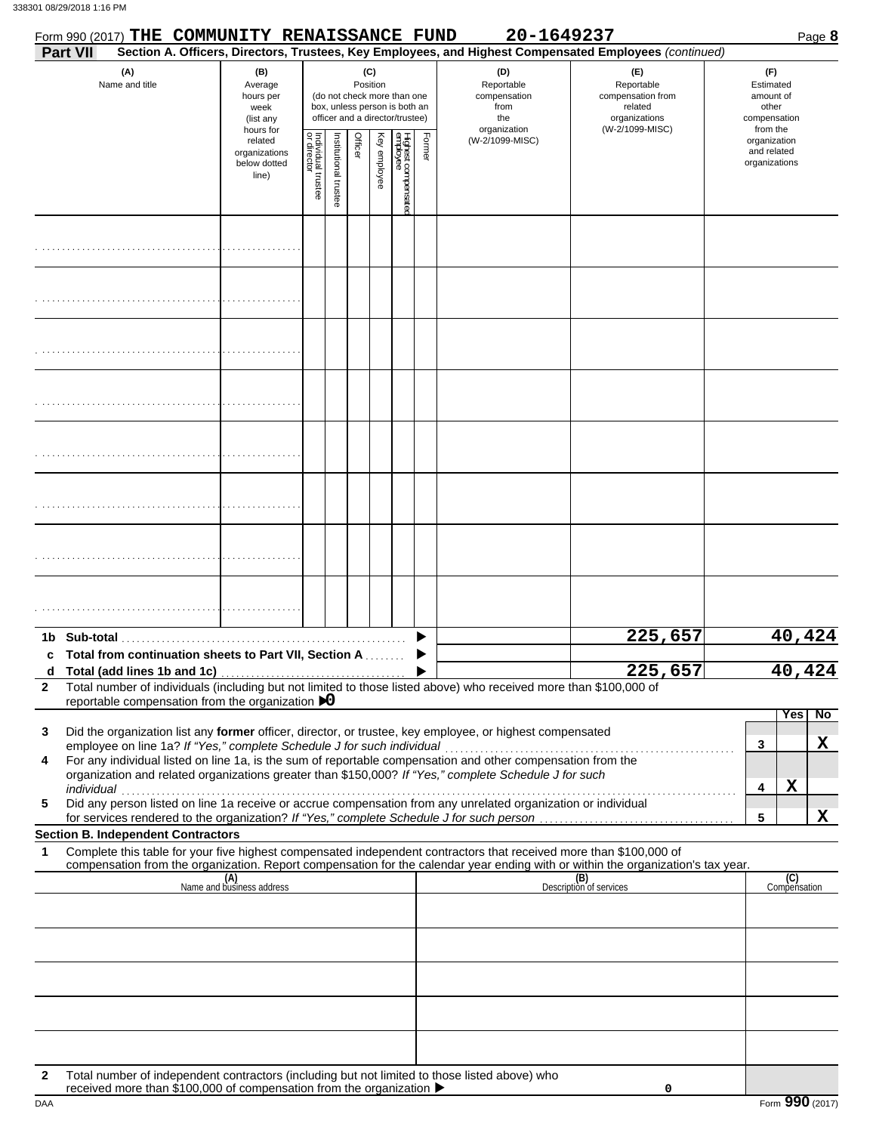|              | Form 990 (2017) THE COMMUNITY RENAISSANCE FUND                                                                                                                                                                                                                                                                                                                                                                                |                                                               |                                   |                      |         |                 |                                                                                                 |        | 20-1649237                                                       |                                                                                                        | Page 8                                                             |
|--------------|-------------------------------------------------------------------------------------------------------------------------------------------------------------------------------------------------------------------------------------------------------------------------------------------------------------------------------------------------------------------------------------------------------------------------------|---------------------------------------------------------------|-----------------------------------|----------------------|---------|-----------------|-------------------------------------------------------------------------------------------------|--------|------------------------------------------------------------------|--------------------------------------------------------------------------------------------------------|--------------------------------------------------------------------|
|              | Part VII                                                                                                                                                                                                                                                                                                                                                                                                                      |                                                               |                                   |                      |         |                 |                                                                                                 |        |                                                                  | Section A. Officers, Directors, Trustees, Key Employees, and Highest Compensated Employees (continued) |                                                                    |
|              | (A)<br>Name and title                                                                                                                                                                                                                                                                                                                                                                                                         | (B)<br>Average<br>hours per<br>week<br>(list any<br>hours for |                                   |                      |         | (C)<br>Position | (do not check more than one<br>box, unless person is both an<br>officer and a director/trustee) |        | (D)<br>Reportable<br>compensation<br>from<br>the<br>organization | (E)<br>Reportable<br>compensation from<br>related<br>organizations<br>(W-2/1099-MISC)                  | (F)<br>Estimated<br>amount of<br>other<br>compensation<br>from the |
|              |                                                                                                                                                                                                                                                                                                                                                                                                                               | related<br>organizations<br>below dotted<br>line)             | Individual trustee<br>or director | nstitutional trustee | Officer | Key employee    | Highest compensatec<br>employee                                                                 | Former | (W-2/1099-MISC)                                                  |                                                                                                        | organization<br>and related<br>organizations                       |
|              |                                                                                                                                                                                                                                                                                                                                                                                                                               |                                                               |                                   |                      |         |                 |                                                                                                 |        |                                                                  |                                                                                                        |                                                                    |
|              |                                                                                                                                                                                                                                                                                                                                                                                                                               |                                                               |                                   |                      |         |                 |                                                                                                 |        |                                                                  |                                                                                                        |                                                                    |
|              |                                                                                                                                                                                                                                                                                                                                                                                                                               |                                                               |                                   |                      |         |                 |                                                                                                 |        |                                                                  |                                                                                                        |                                                                    |
|              |                                                                                                                                                                                                                                                                                                                                                                                                                               |                                                               |                                   |                      |         |                 |                                                                                                 |        |                                                                  |                                                                                                        |                                                                    |
|              |                                                                                                                                                                                                                                                                                                                                                                                                                               |                                                               |                                   |                      |         |                 |                                                                                                 |        |                                                                  |                                                                                                        |                                                                    |
|              |                                                                                                                                                                                                                                                                                                                                                                                                                               |                                                               |                                   |                      |         |                 |                                                                                                 |        |                                                                  |                                                                                                        |                                                                    |
|              |                                                                                                                                                                                                                                                                                                                                                                                                                               |                                                               |                                   |                      |         |                 |                                                                                                 |        |                                                                  |                                                                                                        |                                                                    |
|              |                                                                                                                                                                                                                                                                                                                                                                                                                               |                                                               |                                   |                      |         |                 |                                                                                                 |        |                                                                  |                                                                                                        |                                                                    |
|              | Total from continuation sheets to Part VII, Section A                                                                                                                                                                                                                                                                                                                                                                         |                                                               |                                   |                      |         |                 |                                                                                                 |        |                                                                  | 225,657                                                                                                | 40,424                                                             |
| $\mathbf{2}$ | Total number of individuals (including but not limited to those listed above) who received more than \$100,000 of<br>reportable compensation from the organization $\triangleright$ 0                                                                                                                                                                                                                                         |                                                               |                                   |                      |         |                 |                                                                                                 |        |                                                                  | 225,657                                                                                                | 40<br>$\Delta$ 2 $\Delta$                                          |
| 3            | Did the organization list any former officer, director, or trustee, key employee, or highest compensated                                                                                                                                                                                                                                                                                                                      |                                                               |                                   |                      |         |                 |                                                                                                 |        |                                                                  |                                                                                                        | Yes<br>$\overline{N}$                                              |
| 4<br>5       | employee on line 1a? If "Yes," complete Schedule J for such individual<br>For any individual listed on line 1a, is the sum of reportable compensation and other compensation from the<br>organization and related organizations greater than \$150,000? If "Yes," complete Schedule J for such<br>individual<br>Did any person listed on line 1a receive or accrue compensation from any unrelated organization or individual |                                                               |                                   |                      |         |                 |                                                                                                 |        |                                                                  |                                                                                                        | X<br>3<br>X<br>4<br>$\mathbf X$<br>5                               |
|              | <b>Section B. Independent Contractors</b>                                                                                                                                                                                                                                                                                                                                                                                     |                                                               |                                   |                      |         |                 |                                                                                                 |        |                                                                  |                                                                                                        |                                                                    |
| 1            | Complete this table for your five highest compensated independent contractors that received more than \$100,000 of<br>compensation from the organization. Report compensation for the calendar year ending with or within the organization's tax year.                                                                                                                                                                        |                                                               |                                   |                      |         |                 |                                                                                                 |        |                                                                  |                                                                                                        |                                                                    |
|              |                                                                                                                                                                                                                                                                                                                                                                                                                               | (A)<br>Name and business address                              |                                   |                      |         |                 |                                                                                                 |        |                                                                  | (B)<br>Description of services                                                                         | (C)<br>Compensation                                                |
|              |                                                                                                                                                                                                                                                                                                                                                                                                                               |                                                               |                                   |                      |         |                 |                                                                                                 |        |                                                                  |                                                                                                        |                                                                    |
|              |                                                                                                                                                                                                                                                                                                                                                                                                                               |                                                               |                                   |                      |         |                 |                                                                                                 |        |                                                                  |                                                                                                        |                                                                    |
| $\mathbf{2}$ | Total number of independent contractors (including but not limited to those listed above) who                                                                                                                                                                                                                                                                                                                                 |                                                               |                                   |                      |         |                 |                                                                                                 |        |                                                                  |                                                                                                        |                                                                    |
| DAA          | received more than \$100,000 of compensation from the organization ▶                                                                                                                                                                                                                                                                                                                                                          |                                                               |                                   |                      |         |                 |                                                                                                 |        |                                                                  | 0                                                                                                      | Form 990 (2017)                                                    |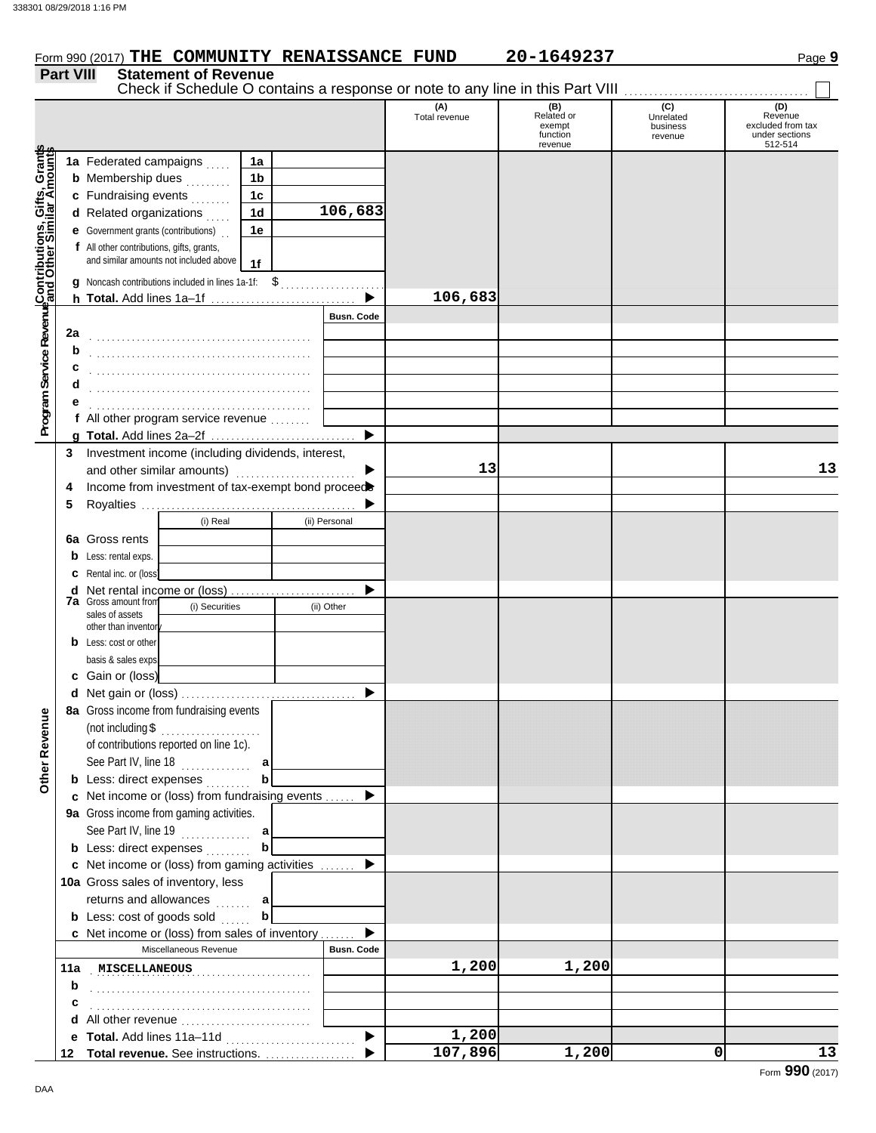|                  |                             | Form 990 (2017) THE COMMUNITY RENAISSANCE FUND                                |                        | 20-1649237 |                   | Page 9         |
|------------------|-----------------------------|-------------------------------------------------------------------------------|------------------------|------------|-------------------|----------------|
| <b>Part VIII</b> | <b>Statement of Revenue</b> | Check if Schedule O contains a response or note to any line in this Part VIII |                        |            |                   |                |
|                  |                             |                                                                               | (A)<br>Total covinning | Related or | (C)<br>Llorolotod | (D)<br>Revenue |

|                                                                                                                                      |     |                                                                                     |                |                       | Total revenue | Related or<br>exempt | $\sim$<br>Unrelated<br>business | Revenue<br>excluded from tax |
|--------------------------------------------------------------------------------------------------------------------------------------|-----|-------------------------------------------------------------------------------------|----------------|-----------------------|---------------|----------------------|---------------------------------|------------------------------|
|                                                                                                                                      |     |                                                                                     |                |                       |               | function<br>revenue  | revenue                         | under sections<br>512-514    |
|                                                                                                                                      |     | 1a Federated campaigns                                                              | 1a             |                       |               |                      |                                 |                              |
|                                                                                                                                      |     | <b>b</b> Membership dues                                                            | 1 <sub>b</sub> |                       |               |                      |                                 |                              |
|                                                                                                                                      |     | c Fundraising events                                                                | 1 <sub>c</sub> |                       |               |                      |                                 |                              |
|                                                                                                                                      |     | d Related organizations                                                             | 1 <sub>d</sub> | 106,683               |               |                      |                                 |                              |
|                                                                                                                                      |     | e Government grants (contributions)                                                 | 1e             |                       |               |                      |                                 |                              |
|                                                                                                                                      |     | f All other contributions, gifts, grants,<br>and similar amounts not included above | 1f             |                       |               |                      |                                 |                              |
| Program Service Revenue <mark>Contributions, Gifts, Grant</mark> s<br>Program Service Revenue <mark>and Other Similar Amounts</mark> |     | q Noncash contributions included in lines 1a-1f: \$                                 |                |                       | 106,683       |                      |                                 |                              |
|                                                                                                                                      |     |                                                                                     |                | <b>Busn. Code</b>     |               |                      |                                 |                              |
|                                                                                                                                      | 2a  |                                                                                     |                |                       |               |                      |                                 |                              |
|                                                                                                                                      | b   |                                                                                     |                |                       |               |                      |                                 |                              |
|                                                                                                                                      | c   |                                                                                     |                |                       |               |                      |                                 |                              |
|                                                                                                                                      | d   |                                                                                     |                |                       |               |                      |                                 |                              |
|                                                                                                                                      | е   |                                                                                     |                |                       |               |                      |                                 |                              |
|                                                                                                                                      |     | f All other program service revenue                                                 |                |                       |               |                      |                                 |                              |
|                                                                                                                                      |     |                                                                                     |                | $\blacktriangleright$ |               |                      |                                 |                              |
|                                                                                                                                      |     | 3 Investment income (including dividends, interest,                                 |                |                       |               |                      |                                 |                              |
|                                                                                                                                      |     | and other similar amounts)                                                          |                | ▶                     | 13            |                      |                                 | 13                           |
|                                                                                                                                      | 4   | Income from investment of tax-exempt bond proceed                                   |                |                       |               |                      |                                 |                              |
|                                                                                                                                      | 5   |                                                                                     |                |                       |               |                      |                                 |                              |
|                                                                                                                                      |     | (i) Real                                                                            |                | (ii) Personal         |               |                      |                                 |                              |
|                                                                                                                                      |     | 6a Gross rents                                                                      |                |                       |               |                      |                                 |                              |
|                                                                                                                                      |     | <b>b</b> Less: rental exps.                                                         |                |                       |               |                      |                                 |                              |
|                                                                                                                                      |     | <b>c</b> Rental inc. or (loss)                                                      |                | ▶                     |               |                      |                                 |                              |
|                                                                                                                                      |     | d Net rental income or (loss)<br><b>7a</b> Gross amount from<br>(i) Securities      |                | (ii) Other            |               |                      |                                 |                              |
|                                                                                                                                      |     | sales of assets                                                                     |                |                       |               |                      |                                 |                              |
|                                                                                                                                      |     | other than inventory<br><b>b</b> Less: cost or other                                |                |                       |               |                      |                                 |                              |
|                                                                                                                                      |     | basis & sales exps.                                                                 |                |                       |               |                      |                                 |                              |
|                                                                                                                                      |     | c Gain or (loss)                                                                    |                |                       |               |                      |                                 |                              |
|                                                                                                                                      |     |                                                                                     |                | $\blacktriangleright$ |               |                      |                                 |                              |
|                                                                                                                                      |     | 8a Gross income from fundraising events                                             |                |                       |               |                      |                                 |                              |
|                                                                                                                                      |     | (not including \$<br>.                                                              |                |                       |               |                      |                                 |                              |
| evenue                                                                                                                               |     | of contributions reported on line 1c).                                              |                |                       |               |                      |                                 |                              |
|                                                                                                                                      |     | See Part IV, line 18                                                                |                |                       |               |                      |                                 |                              |
| Other <sub>R</sub>                                                                                                                   |     | <b>b</b> Less: direct expenses                                                      |                |                       |               |                      |                                 |                              |
|                                                                                                                                      |     | c Net income or (loss) from fundraising events  ▶                                   |                |                       |               |                      |                                 |                              |
|                                                                                                                                      |     | 9a Gross income from gaming activities.                                             |                |                       |               |                      |                                 |                              |
|                                                                                                                                      |     | See Part IV, line 19                                                                | a              |                       |               |                      |                                 |                              |
|                                                                                                                                      |     | <b>b</b> Less: direct expenses                                                      | b              |                       |               |                      |                                 |                              |
|                                                                                                                                      |     | c Net income or (loss) from gaming activities                                       |                | ▶                     |               |                      |                                 |                              |
|                                                                                                                                      |     | 10a Gross sales of inventory, less                                                  |                |                       |               |                      |                                 |                              |
|                                                                                                                                      |     | returns and allowances<br>.                                                         | a              |                       |               |                      |                                 |                              |
|                                                                                                                                      |     | <b>b</b> Less: cost of goods sold                                                   | b              |                       |               |                      |                                 |                              |
|                                                                                                                                      |     | c Net income or (loss) from sales of inventory                                      |                | ▶                     |               |                      |                                 |                              |
|                                                                                                                                      |     | Miscellaneous Revenue                                                               |                | <b>Busn. Code</b>     |               |                      |                                 |                              |
|                                                                                                                                      | 11a | <b>MISCELLANEOUS</b>                                                                |                |                       | 1,200         | 1,200                |                                 |                              |
|                                                                                                                                      | b   |                                                                                     |                |                       |               |                      |                                 |                              |
|                                                                                                                                      | с   |                                                                                     |                |                       |               |                      |                                 |                              |
|                                                                                                                                      |     | d All other revenue                                                                 |                |                       |               |                      |                                 |                              |
|                                                                                                                                      |     |                                                                                     |                | ▶                     | 1,200         |                      |                                 |                              |
|                                                                                                                                      |     | 12 Total revenue. See instructions.                                                 |                |                       | 107,896       | 1,200                | 0                               | 13                           |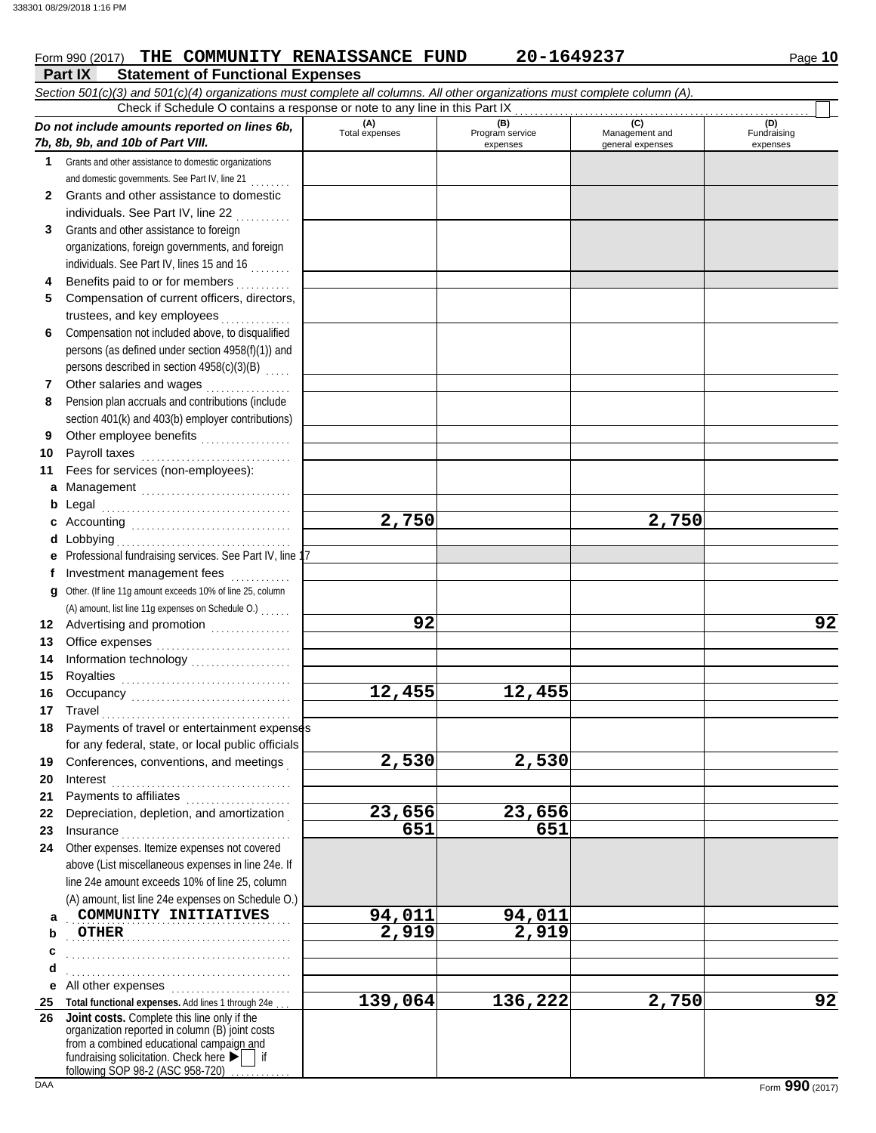# Form 990 (2017) THE COMMUNITY RENAISSANCE FUND 20-1649237 Page 10

|    | Part IX<br><b>Statement of Functional Expenses</b>                                                                         |                       |                                    |                                           |                                |
|----|----------------------------------------------------------------------------------------------------------------------------|-----------------------|------------------------------------|-------------------------------------------|--------------------------------|
|    | Section 501(c)(3) and 501(c)(4) organizations must complete all columns. All other organizations must complete column (A). |                       |                                    |                                           |                                |
|    | Check if Schedule O contains a response or note to any line in this Part IX                                                |                       |                                    |                                           |                                |
|    | Do not include amounts reported on lines 6b,<br>7b, 8b, 9b, and 10b of Part VIII.                                          | (A)<br>Total expenses | (B)<br>Program service<br>expenses | (C)<br>Management and<br>general expenses | (D)<br>Fundraising<br>expenses |
| 1. | Grants and other assistance to domestic organizations                                                                      |                       |                                    |                                           |                                |
|    | and domestic governments. See Part IV, line 21                                                                             |                       |                                    |                                           |                                |
| 2  | Grants and other assistance to domestic                                                                                    |                       |                                    |                                           |                                |
|    | individuals. See Part IV, line 22                                                                                          |                       |                                    |                                           |                                |
| 3  | Grants and other assistance to foreign                                                                                     |                       |                                    |                                           |                                |
|    | organizations, foreign governments, and foreign                                                                            |                       |                                    |                                           |                                |
|    | individuals. See Part IV, lines 15 and 16                                                                                  |                       |                                    |                                           |                                |
| 4  | Benefits paid to or for members<br>dia adalah d                                                                            |                       |                                    |                                           |                                |
| 5  | Compensation of current officers, directors,                                                                               |                       |                                    |                                           |                                |
|    | trustees, and key employees                                                                                                |                       |                                    |                                           |                                |
| 6  | Compensation not included above, to disqualified                                                                           |                       |                                    |                                           |                                |
|    | persons (as defined under section 4958(f)(1)) and                                                                          |                       |                                    |                                           |                                |
|    | persons described in section 4958(c)(3)(B)                                                                                 |                       |                                    |                                           |                                |
| 7  | Other salaries and wages                                                                                                   |                       |                                    |                                           |                                |
| 8  | Pension plan accruals and contributions (include                                                                           |                       |                                    |                                           |                                |
|    | section 401(k) and 403(b) employer contributions)                                                                          |                       |                                    |                                           |                                |
| 9  | Other employee benefits                                                                                                    |                       |                                    |                                           |                                |
| 10 | Payroll taxes                                                                                                              |                       |                                    |                                           |                                |
| 11 | Fees for services (non-employees):                                                                                         |                       |                                    |                                           |                                |
| a  | Management                                                                                                                 |                       |                                    |                                           |                                |
| b  | Legal                                                                                                                      |                       |                                    |                                           |                                |
| c  |                                                                                                                            | 2,750                 |                                    | 2,750                                     |                                |
|    |                                                                                                                            |                       |                                    |                                           |                                |
|    | Professional fundraising services. See Part IV, line 17                                                                    |                       |                                    |                                           |                                |
| f  | Investment management fees                                                                                                 |                       |                                    |                                           |                                |
| g  | Other. (If line 11g amount exceeds 10% of line 25, column                                                                  |                       |                                    |                                           |                                |
|    | (A) amount, list line 11g expenses on Schedule O.)                                                                         |                       |                                    |                                           |                                |
| 12 | Advertising and promotion [1] [1] [1] Advertising and promotion                                                            | 92                    |                                    |                                           | 92                             |
| 13 |                                                                                                                            |                       |                                    |                                           |                                |
| 14 |                                                                                                                            |                       |                                    |                                           |                                |
| 15 |                                                                                                                            |                       |                                    |                                           |                                |
| 16 |                                                                                                                            | 12,455                | 12,455                             |                                           |                                |
|    | 17 Travel                                                                                                                  |                       |                                    |                                           |                                |
|    | 18 Payments of travel or entertainment expenses                                                                            |                       |                                    |                                           |                                |
|    | for any federal, state, or local public officials                                                                          |                       |                                    |                                           |                                |
| 19 | Conferences, conventions, and meetings                                                                                     | 2,530                 | 2,530                              |                                           |                                |
| 20 | Interest                                                                                                                   |                       |                                    |                                           |                                |
| 21 |                                                                                                                            |                       |                                    |                                           |                                |
| 22 | Depreciation, depletion, and amortization                                                                                  | 23,656                | 23,656                             |                                           |                                |
| 23 | Insurance <b>continuous</b>                                                                                                | 651                   | 651                                |                                           |                                |
| 24 | Other expenses. Itemize expenses not covered                                                                               |                       |                                    |                                           |                                |
|    | above (List miscellaneous expenses in line 24e. If                                                                         |                       |                                    |                                           |                                |
|    | line 24e amount exceeds 10% of line 25, column                                                                             |                       |                                    |                                           |                                |
|    | (A) amount, list line 24e expenses on Schedule O.)                                                                         |                       |                                    |                                           |                                |
| a  | COMMUNITY INITIATIVES                                                                                                      | 94,011                | 94,011                             |                                           |                                |
| b  | <b>OTHER</b>                                                                                                               | 2,919                 | 2,919                              |                                           |                                |
| c  |                                                                                                                            |                       |                                    |                                           |                                |
| d  |                                                                                                                            |                       |                                    |                                           |                                |
|    | e All other expenses                                                                                                       |                       |                                    |                                           |                                |
| 25 | Total functional expenses. Add lines 1 through 24e.                                                                        | 139,064               | 136,222                            | 2,750                                     | 92                             |
| 26 | Joint costs. Complete this line only if the                                                                                |                       |                                    |                                           |                                |
|    | organization reported in column (B) joint costs                                                                            |                       |                                    |                                           |                                |
|    | from a combined educational campaign and<br>fundraising solicitation. Check here $\blacktriangleright$   if                |                       |                                    |                                           |                                |
|    | following SOP 98-2 (ASC 958-720)                                                                                           |                       |                                    |                                           |                                |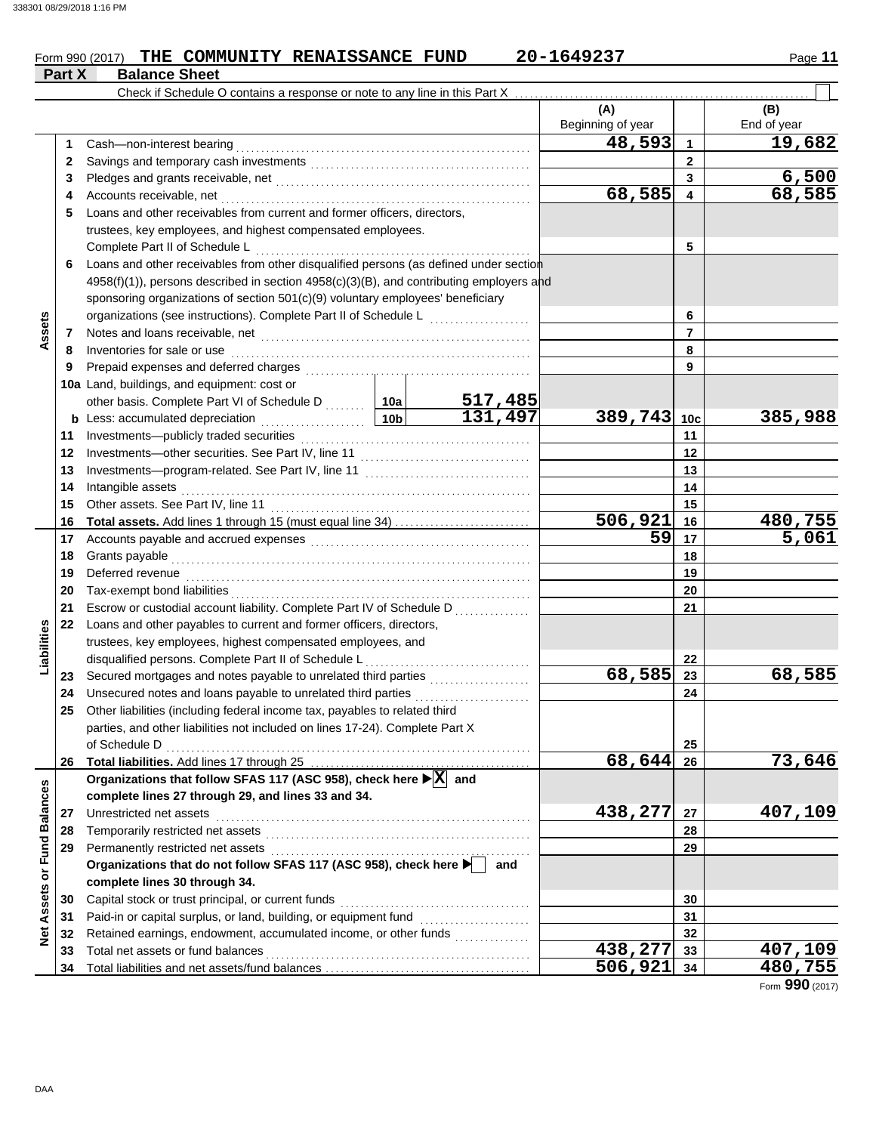### Form 990 (2017) THE COMMUNITY RENAISSANCE FUND 20-1649237 Page 11 **THE COMMUNITY RENAISSANCE FUND 20-1649237**

|                         | Part X | <b>Balance Sheet</b>                                                                            |                 |                           |                          |                |                    |
|-------------------------|--------|-------------------------------------------------------------------------------------------------|-----------------|---------------------------|--------------------------|----------------|--------------------|
|                         |        | Check if Schedule O contains a response or note to any line in this Part X                      |                 |                           |                          |                |                    |
|                         |        |                                                                                                 |                 |                           | (A)<br>Beginning of year |                | (B)<br>End of year |
|                         | 1.     | Cash-non-interest bearing                                                                       |                 |                           | 48,593                   | 1              | 19,682             |
|                         | 2      |                                                                                                 |                 | $\mathbf{2}$              |                          |                |                    |
|                         | 3      |                                                                                                 |                 |                           |                          | 3              | 6,500              |
|                         | 4      | Accounts receivable, net                                                                        |                 |                           | 68,585                   | 4              | 68,585             |
|                         | 5      | Loans and other receivables from current and former officers, directors,                        |                 |                           |                          |                |                    |
|                         |        | trustees, key employees, and highest compensated employees.                                     |                 |                           |                          |                |                    |
|                         |        | Complete Part II of Schedule L                                                                  |                 |                           |                          | 5              |                    |
|                         | 6      | Loans and other receivables from other disqualified persons (as defined under section           |                 |                           |                          |                |                    |
|                         |        | 4958(f)(1)), persons described in section 4958(c)(3)(B), and contributing employers and         |                 |                           |                          |                |                    |
|                         |        | sponsoring organizations of section 501(c)(9) voluntary employees' beneficiary                  |                 |                           |                          |                |                    |
|                         |        | organizations (see instructions). Complete Part II of Schedule L                                |                 |                           |                          | 6              |                    |
| Assets                  | 7      |                                                                                                 |                 |                           |                          | $\overline{7}$ |                    |
|                         | 8      | Inventories for sale or use                                                                     |                 |                           |                          | 8              |                    |
|                         | 9      | Prepaid expenses and deferred charges                                                           |                 |                           | 9                        |                |                    |
|                         |        | 10a Land, buildings, and equipment: cost or                                                     |                 |                           |                          |                |                    |
|                         |        | other basis. Complete Part VI of Schedule D  10a                                                |                 |                           |                          |                |                    |
|                         | b      | Less: accumulated depreciation                                                                  | 10 <sub>b</sub> | $\frac{517,485}{131,497}$ | 389,743 10c              |                | 385,988            |
|                         | 11     | Investments-publicly traded securities                                                          |                 |                           |                          | 11             |                    |
|                         | 12     |                                                                                                 |                 |                           |                          | 12             |                    |
|                         | 13     |                                                                                                 |                 |                           |                          | 13             |                    |
|                         | 14     | Intangible assets                                                                               |                 |                           |                          | 14             |                    |
|                         | 15     | Other assets. See Part IV, line 11                                                              |                 |                           |                          | 15             |                    |
|                         | 16     |                                                                                                 |                 |                           | 506,921                  | 16             | <u>480,755</u>     |
|                         | 17     |                                                                                                 | 59              | 17                        | 5,061                    |                |                    |
|                         | 18     | Grants payable                                                                                  |                 | 18                        |                          |                |                    |
|                         | 19     | Deferred revenue                                                                                |                 |                           |                          | 19             |                    |
|                         | 20     | Tax-exempt bond liabilities                                                                     |                 |                           |                          | 20             |                    |
|                         | 21     | Escrow or custodial account liability. Complete Part IV of Schedule D                           |                 |                           |                          | 21             |                    |
|                         | 22     | Loans and other payables to current and former officers, directors,                             |                 |                           |                          |                |                    |
| Liabilities             |        | trustees, key employees, highest compensated employees, and                                     |                 |                           |                          |                |                    |
|                         |        | disqualified persons. Complete Part II of Schedule L                                            |                 |                           |                          | 22             |                    |
|                         | 23     | Secured mortgages and notes payable to unrelated third parties                                  |                 |                           | 68,585                   | 23             | 68,585             |
|                         | 24     | Unsecured notes and loans payable to unrelated third parties [[[[[[[[[[[[[[[[[[[[[[[[[]]]]]]]]] |                 |                           |                          | 24             |                    |
|                         | 25     | Other liabilities (including federal income tax, payables to related third                      |                 |                           |                          |                |                    |
|                         |        | parties, and other liabilities not included on lines 17-24). Complete Part X                    |                 |                           |                          |                |                    |
|                         |        | of Schedule D                                                                                   |                 |                           |                          | 25             |                    |
|                         |        |                                                                                                 |                 |                           | 68,644                   | 26             | 73,646             |
|                         |        | Organizations that follow SFAS 117 (ASC 958), check here ▶ X and                                |                 |                           |                          |                |                    |
|                         |        | complete lines 27 through 29, and lines 33 and 34.                                              |                 |                           |                          |                |                    |
|                         | 27     | Unrestricted net assets                                                                         |                 |                           | 438,277                  | 27             | 407,109            |
|                         | 28     | Temporarily restricted net assets                                                               |                 |                           |                          | 28             |                    |
|                         | 29     |                                                                                                 |                 |                           |                          | 29             |                    |
|                         |        | Organizations that do not follow SFAS 117 (ASC 958), check here                                 |                 | and                       |                          |                |                    |
| Assets or Fund Balances |        | complete lines 30 through 34.                                                                   |                 |                           |                          |                |                    |
|                         | 30     | Capital stock or trust principal, or current funds                                              |                 |                           |                          | 30             |                    |
|                         | 31     | Paid-in or capital surplus, or land, building, or equipment fund                                |                 |                           |                          | 31             |                    |
| Net                     | 32     | Retained earnings, endowment, accumulated income, or other funds                                |                 |                           |                          | 32             |                    |
|                         | 33     | Total net assets or fund balances                                                               |                 |                           | 438,277                  | 33             | 407,109            |
|                         | 34     |                                                                                                 | 506,921         | 34                        | 480,755                  |                |                    |

Form **990** (2017)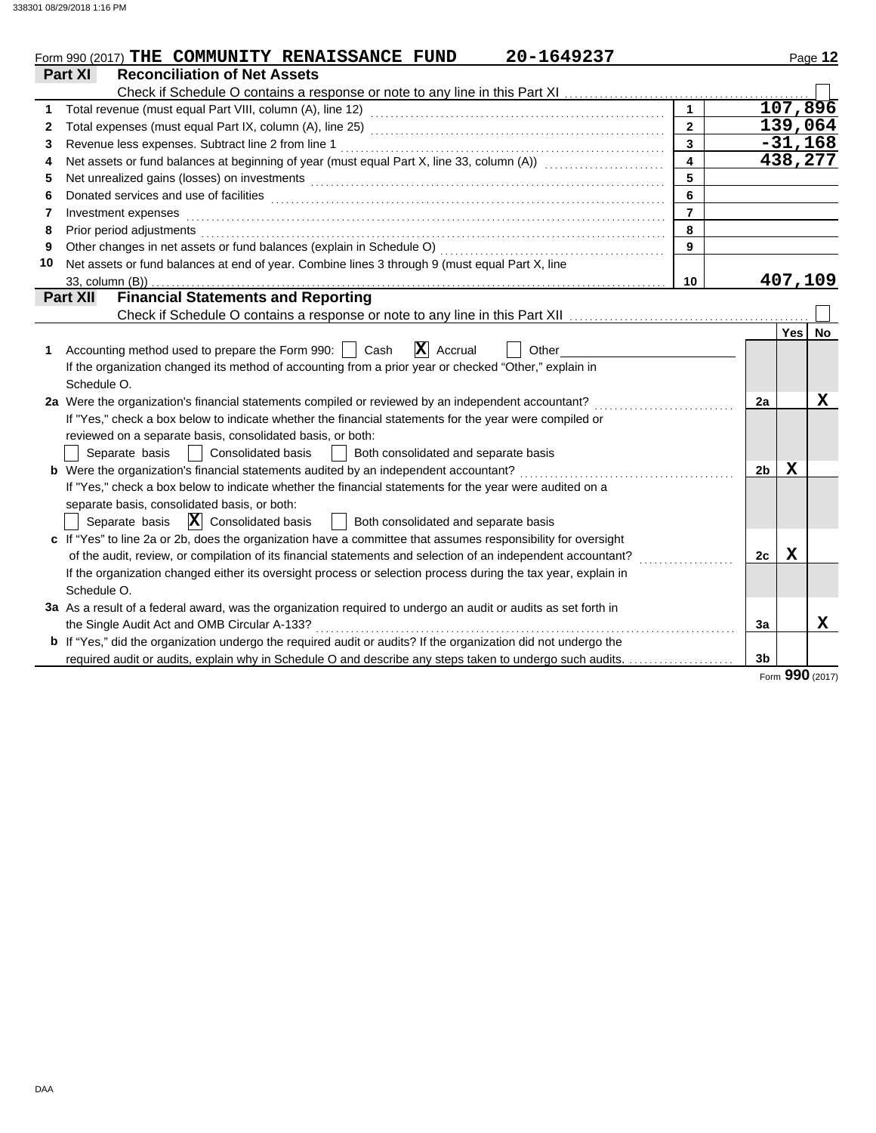|    | 20-1649237<br>Form 990 (2017) THE COMMUNITY RENAISSANCE FUND                                                          |                         |                |             | Page 12     |
|----|-----------------------------------------------------------------------------------------------------------------------|-------------------------|----------------|-------------|-------------|
|    | Part XI<br><b>Reconciliation of Net Assets</b>                                                                        |                         |                |             |             |
|    |                                                                                                                       |                         |                |             |             |
| 1  |                                                                                                                       |                         |                |             | 107,896     |
| 2  |                                                                                                                       | $\overline{2}$          |                |             | 139,064     |
| 3  | Revenue less expenses. Subtract line 2 from line 1                                                                    | $\overline{3}$          |                |             | $-31,168$   |
| 4  | Net assets or fund balances at beginning of year (must equal Part X, line 33, column (A)) [[[[[[[[[[[[[[[[[[[         | $\overline{\mathbf{4}}$ |                |             | 438,277     |
| 5  |                                                                                                                       | 5                       |                |             |             |
| 6  |                                                                                                                       | 6                       |                |             |             |
| 7  | Investment expenses                                                                                                   | $\overline{7}$          |                |             |             |
| 8  | Prior period adjustments                                                                                              | 8                       |                |             |             |
| 9  | Other changes in net assets or fund balances (explain in Schedule O)                                                  | 9                       |                |             |             |
| 10 | Net assets or fund balances at end of year. Combine lines 3 through 9 (must equal Part X, line                        |                         |                |             |             |
|    | 33, column (B))                                                                                                       | 10                      |                |             | 407,109     |
|    | <b>Financial Statements and Reporting</b><br><b>Part XII</b>                                                          |                         |                |             |             |
|    |                                                                                                                       |                         |                |             |             |
|    |                                                                                                                       |                         |                | <b>Yes</b>  | No.         |
| 1  | $ \mathbf{X} $ Accrual<br>Accounting method used to prepare the Form 990:     Cash<br>Other                           |                         |                |             |             |
|    | If the organization changed its method of accounting from a prior year or checked "Other," explain in                 |                         |                |             |             |
|    | Schedule O.                                                                                                           |                         |                |             |             |
|    | 2a Were the organization's financial statements compiled or reviewed by an independent accountant?                    |                         | 2a             |             | х           |
|    | If "Yes," check a box below to indicate whether the financial statements for the year were compiled or                |                         |                |             |             |
|    | reviewed on a separate basis, consolidated basis, or both:                                                            |                         |                |             |             |
|    | Separate basis<br>Consolidated basis<br>Both consolidated and separate basis                                          |                         |                |             |             |
|    | <b>b</b> Were the organization's financial statements audited by an independent accountant?                           |                         | 2 <sub>b</sub> | X           |             |
|    | If "Yes," check a box below to indicate whether the financial statements for the year were audited on a               |                         |                |             |             |
|    | separate basis, consolidated basis, or both:                                                                          |                         |                |             |             |
|    | Separate basis $\ \mathbf{X}\ $ Consolidated basis<br>  Both consolidated and separate basis                          |                         |                |             |             |
|    | c If "Yes" to line 2a or 2b, does the organization have a committee that assumes responsibility for oversight         |                         |                |             |             |
|    | of the audit, review, or compilation of its financial statements and selection of an independent accountant?          |                         | 2c             | $\mathbf X$ |             |
|    | If the organization changed either its oversight process or selection process during the tax year, explain in         |                         |                |             |             |
|    | Schedule O.                                                                                                           |                         |                |             |             |
|    | 3a As a result of a federal award, was the organization required to undergo an audit or audits as set forth in        |                         |                |             |             |
|    | the Single Audit Act and OMB Circular A-133?                                                                          |                         | 3a             |             | $\mathbf x$ |
|    | <b>b</b> If "Yes," did the organization undergo the required audit or audits? If the organization did not undergo the |                         |                |             |             |
|    | required audit or audits, explain why in Schedule O and describe any steps taken to undergo such audits.              |                         | 3 <sub>b</sub> |             |             |

Form **990** (2017)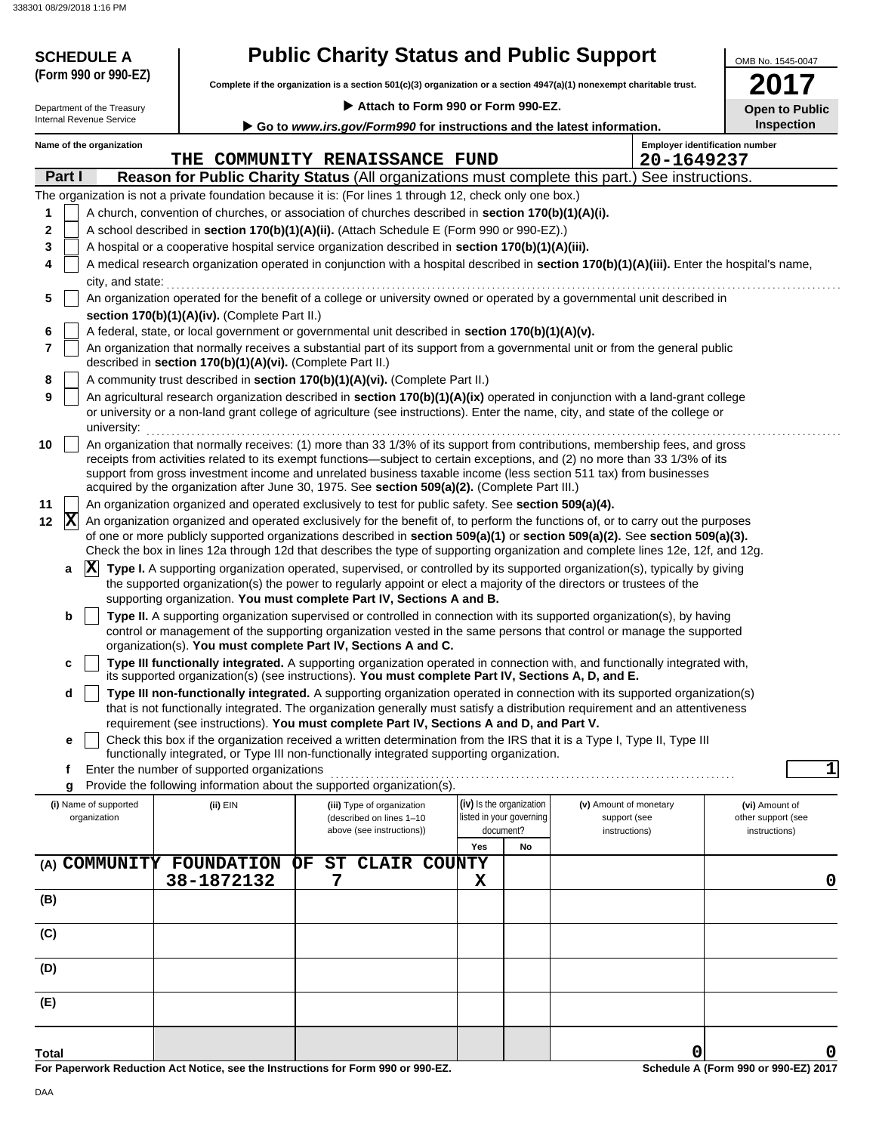338301 08/29/2018 1:16 PM

| <b>Public Charity Status and Public Support</b><br><b>SCHEDULE A</b><br>(Form 990 or 990-EZ)<br>Complete if the organization is a section 501(c)(3) organization or a section 4947(a)(1) nonexempt charitable trust. |                                                                        |                                                                                                                                                                                                                                                                                                                                                                                                                                                                                  |                          |                        |                                       |  |  |
|----------------------------------------------------------------------------------------------------------------------------------------------------------------------------------------------------------------------|------------------------------------------------------------------------|----------------------------------------------------------------------------------------------------------------------------------------------------------------------------------------------------------------------------------------------------------------------------------------------------------------------------------------------------------------------------------------------------------------------------------------------------------------------------------|--------------------------|------------------------|---------------------------------------|--|--|
| Department of the Treasury                                                                                                                                                                                           |                                                                        | Attach to Form 990 or Form 990-EZ.                                                                                                                                                                                                                                                                                                                                                                                                                                               |                          |                        | 2017<br><b>Open to Public</b>         |  |  |
| Internal Revenue Service                                                                                                                                                                                             | Go to www.irs.gov/Form990 for instructions and the latest information. |                                                                                                                                                                                                                                                                                                                                                                                                                                                                                  |                          |                        |                                       |  |  |
| Name of the organization                                                                                                                                                                                             |                                                                        |                                                                                                                                                                                                                                                                                                                                                                                                                                                                                  |                          |                        | <b>Employer identification number</b> |  |  |
| Part I                                                                                                                                                                                                               |                                                                        | THE COMMUNITY RENAISSANCE FUND<br>Reason for Public Charity Status (All organizations must complete this part.) See instructions.                                                                                                                                                                                                                                                                                                                                                |                          | 20-1649237             |                                       |  |  |
|                                                                                                                                                                                                                      |                                                                        | The organization is not a private foundation because it is: (For lines 1 through 12, check only one box.)                                                                                                                                                                                                                                                                                                                                                                        |                          |                        |                                       |  |  |
| 1                                                                                                                                                                                                                    |                                                                        | A church, convention of churches, or association of churches described in section 170(b)(1)(A)(i).                                                                                                                                                                                                                                                                                                                                                                               |                          |                        |                                       |  |  |
| 2                                                                                                                                                                                                                    |                                                                        | A school described in section 170(b)(1)(A)(ii). (Attach Schedule E (Form 990 or 990-EZ).)                                                                                                                                                                                                                                                                                                                                                                                        |                          |                        |                                       |  |  |
| 3                                                                                                                                                                                                                    |                                                                        | A hospital or a cooperative hospital service organization described in section 170(b)(1)(A)(iii).                                                                                                                                                                                                                                                                                                                                                                                |                          |                        |                                       |  |  |
| 4                                                                                                                                                                                                                    |                                                                        | A medical research organization operated in conjunction with a hospital described in section 170(b)(1)(A)(iii). Enter the hospital's name,                                                                                                                                                                                                                                                                                                                                       |                          |                        |                                       |  |  |
| 5                                                                                                                                                                                                                    |                                                                        | city, and state: effective contract the state of the state of the state of the state of the state of the state of the state of the state of the state of the state of the state of the state of the state of the state of the<br>An organization operated for the benefit of a college or university owned or operated by a governmental unit described in                                                                                                                       |                          |                        |                                       |  |  |
|                                                                                                                                                                                                                      | section 170(b)(1)(A)(iv). (Complete Part II.)                          |                                                                                                                                                                                                                                                                                                                                                                                                                                                                                  |                          |                        |                                       |  |  |
| 6                                                                                                                                                                                                                    |                                                                        | A federal, state, or local government or governmental unit described in section 170(b)(1)(A)(v).                                                                                                                                                                                                                                                                                                                                                                                 |                          |                        |                                       |  |  |
| 7                                                                                                                                                                                                                    | described in section 170(b)(1)(A)(vi). (Complete Part II.)             | An organization that normally receives a substantial part of its support from a governmental unit or from the general public                                                                                                                                                                                                                                                                                                                                                     |                          |                        |                                       |  |  |
| 8                                                                                                                                                                                                                    |                                                                        | A community trust described in section 170(b)(1)(A)(vi). (Complete Part II.)                                                                                                                                                                                                                                                                                                                                                                                                     |                          |                        |                                       |  |  |
| 9<br>university:                                                                                                                                                                                                     |                                                                        | An agricultural research organization described in section 170(b)(1)(A)(ix) operated in conjunction with a land-grant college<br>or university or a non-land grant college of agriculture (see instructions). Enter the name, city, and state of the college or                                                                                                                                                                                                                  |                          |                        |                                       |  |  |
| 10                                                                                                                                                                                                                   |                                                                        | An organization that normally receives: (1) more than 33 1/3% of its support from contributions, membership fees, and gross<br>receipts from activities related to its exempt functions—subject to certain exceptions, and (2) no more than 33 1/3% of its<br>support from gross investment income and unrelated business taxable income (less section 511 tax) from businesses<br>acquired by the organization after June 30, 1975. See section 509(a)(2). (Complete Part III.) |                          |                        |                                       |  |  |
| 11                                                                                                                                                                                                                   |                                                                        | An organization organized and operated exclusively to test for public safety. See section 509(a)(4).                                                                                                                                                                                                                                                                                                                                                                             |                          |                        |                                       |  |  |
| $ \mathbf{X} $<br>12                                                                                                                                                                                                 |                                                                        | An organization organized and operated exclusively for the benefit of, to perform the functions of, or to carry out the purposes<br>of one or more publicly supported organizations described in section 509(a)(1) or section 509(a)(2). See section 509(a)(3).<br>Check the box in lines 12a through 12d that describes the type of supporting organization and complete lines 12e, 12f, and 12g.                                                                               |                          |                        |                                       |  |  |
| a                                                                                                                                                                                                                    |                                                                        | X Type I. A supporting organization operated, supervised, or controlled by its supported organization(s), typically by giving                                                                                                                                                                                                                                                                                                                                                    |                          |                        |                                       |  |  |
|                                                                                                                                                                                                                      |                                                                        | the supported organization(s) the power to regularly appoint or elect a majority of the directors or trustees of the<br>supporting organization. You must complete Part IV, Sections A and B.                                                                                                                                                                                                                                                                                    |                          |                        |                                       |  |  |
| b                                                                                                                                                                                                                    |                                                                        | Type II. A supporting organization supervised or controlled in connection with its supported organization(s), by having<br>control or management of the supporting organization vested in the same persons that control or manage the supported<br>organization(s). You must complete Part IV, Sections A and C.                                                                                                                                                                 |                          |                        |                                       |  |  |
|                                                                                                                                                                                                                      |                                                                        | Type III functionally integrated. A supporting organization operated in connection with, and functionally integrated with,<br>its supported organization(s) (see instructions). You must complete Part IV, Sections A, D, and E.                                                                                                                                                                                                                                                 |                          |                        |                                       |  |  |
| d                                                                                                                                                                                                                    |                                                                        | Type III non-functionally integrated. A supporting organization operated in connection with its supported organization(s)<br>that is not functionally integrated. The organization generally must satisfy a distribution requirement and an attentiveness<br>requirement (see instructions). You must complete Part IV, Sections A and D, and Part V.                                                                                                                            |                          |                        |                                       |  |  |
| e                                                                                                                                                                                                                    |                                                                        | Check this box if the organization received a written determination from the IRS that it is a Type I, Type II, Type III                                                                                                                                                                                                                                                                                                                                                          |                          |                        |                                       |  |  |
|                                                                                                                                                                                                                      |                                                                        | functionally integrated, or Type III non-functionally integrated supporting organization.                                                                                                                                                                                                                                                                                                                                                                                        |                          |                        |                                       |  |  |
| f                                                                                                                                                                                                                    | Enter the number of supported organizations                            |                                                                                                                                                                                                                                                                                                                                                                                                                                                                                  |                          |                        | $\mathbf{1}$                          |  |  |
| (i) Name of supported                                                                                                                                                                                                | (ii) EIN                                                               | Provide the following information about the supported organization(s).<br>(iii) Type of organization                                                                                                                                                                                                                                                                                                                                                                             | (iv) Is the organization | (v) Amount of monetary | (vi) Amount of                        |  |  |
| organization                                                                                                                                                                                                         |                                                                        | (described on lines 1-10                                                                                                                                                                                                                                                                                                                                                                                                                                                         | listed in your governing | support (see           | other support (see                    |  |  |
|                                                                                                                                                                                                                      |                                                                        | above (see instructions))                                                                                                                                                                                                                                                                                                                                                                                                                                                        | document?<br>Yes<br>No   | instructions)          | instructions)                         |  |  |
| (A) COMMUNITY FOUNDATION                                                                                                                                                                                             |                                                                        | <b>CLAIR COUNTY</b><br>ST<br>ОF                                                                                                                                                                                                                                                                                                                                                                                                                                                  |                          |                        |                                       |  |  |
|                                                                                                                                                                                                                      | 38-1872132                                                             | 7                                                                                                                                                                                                                                                                                                                                                                                                                                                                                | X                        |                        | 0                                     |  |  |
| (B)                                                                                                                                                                                                                  |                                                                        |                                                                                                                                                                                                                                                                                                                                                                                                                                                                                  |                          |                        |                                       |  |  |
| (C)                                                                                                                                                                                                                  |                                                                        |                                                                                                                                                                                                                                                                                                                                                                                                                                                                                  |                          |                        |                                       |  |  |
| (D)                                                                                                                                                                                                                  |                                                                        |                                                                                                                                                                                                                                                                                                                                                                                                                                                                                  |                          |                        |                                       |  |  |
| (E)                                                                                                                                                                                                                  |                                                                        |                                                                                                                                                                                                                                                                                                                                                                                                                                                                                  |                          |                        |                                       |  |  |
|                                                                                                                                                                                                                      |                                                                        |                                                                                                                                                                                                                                                                                                                                                                                                                                                                                  |                          |                        |                                       |  |  |
| Total                                                                                                                                                                                                                |                                                                        |                                                                                                                                                                                                                                                                                                                                                                                                                                                                                  |                          | 0                      | 0                                     |  |  |
|                                                                                                                                                                                                                      |                                                                        | For Paperwork Reduction Act Notice, see the Instructions for Form 990 or 990-EZ.                                                                                                                                                                                                                                                                                                                                                                                                 |                          |                        | Schedule A (Form 990 or 990-EZ) 2017  |  |  |

**For Paperwork Reduction Act Notice, see the Instructions for Form 990 or 990-EZ.**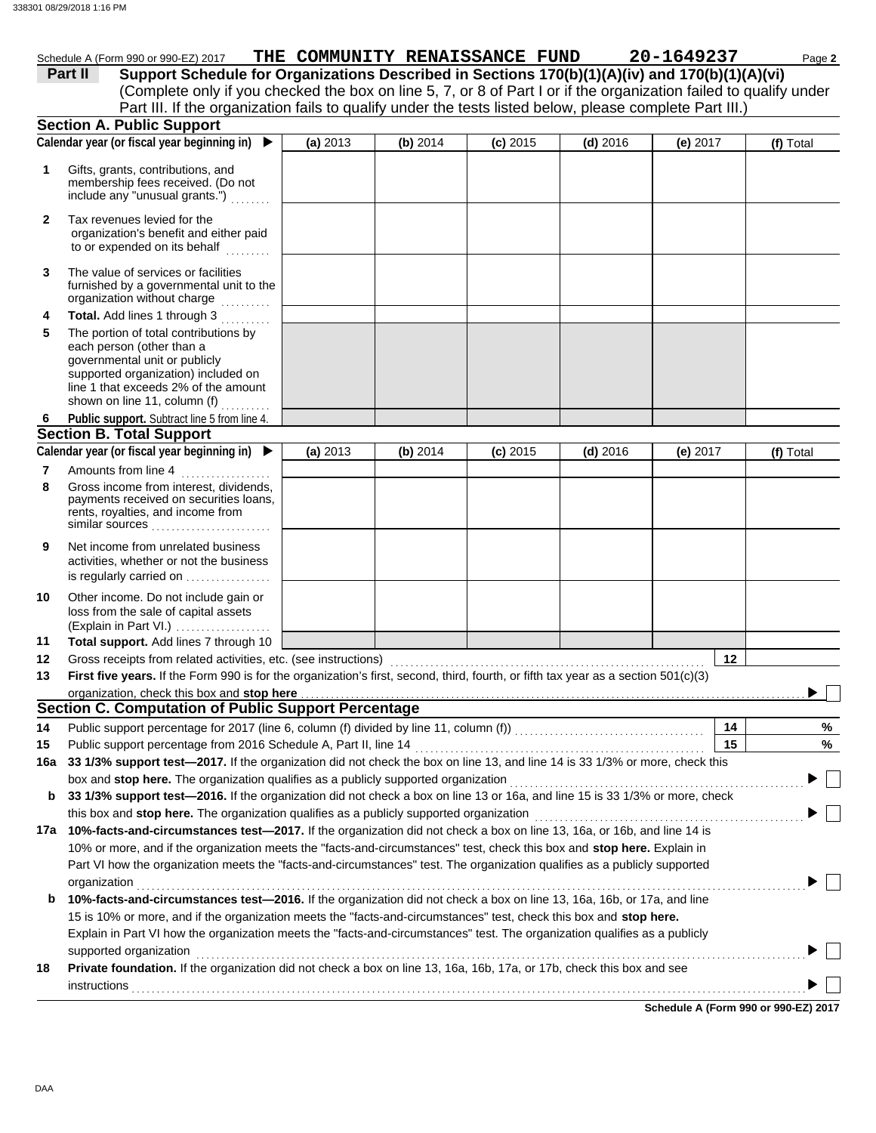| $.990$ or 990-EZ<br>2017 (<br>Schedule<br>(Form | THE | <b>COMMUNITY</b> | <b>RENAISSANCE</b> | <b>FUND</b> | - חַ | Page 7 |
|-------------------------------------------------|-----|------------------|--------------------|-------------|------|--------|
| ------                                          |     |                  |                    |             |      |        |

(Complete only if you checked the box on line 5, 7, or 8 of Part I or if the organization failed to qualify under **Part II Support Schedule for Organizations Described in Sections 170(b)(1)(A)(iv) and 170(b)(1)(A)(vi)** Part III. If the organization fails to qualify under the tests listed below, please complete Part III.)

|              | <b>Section A. Public Support</b>                                                                                                                                                                                   |          |          |            |            |            |    |           |
|--------------|--------------------------------------------------------------------------------------------------------------------------------------------------------------------------------------------------------------------|----------|----------|------------|------------|------------|----|-----------|
|              | Calendar year (or fiscal year beginning in)<br>▶                                                                                                                                                                   | (a) 2013 | (b) 2014 | $(c)$ 2015 | $(d)$ 2016 | (e) 2017   |    | (f) Total |
| 1            | Gifts, grants, contributions, and<br>membership fees received. (Do not<br>include any "unusual grants.")                                                                                                           |          |          |            |            |            |    |           |
| $\mathbf{2}$ | Tax revenues levied for the<br>organization's benefit and either paid<br>to or expended on its behalf                                                                                                              |          |          |            |            |            |    |           |
| 3            | The value of services or facilities<br>furnished by a governmental unit to the<br>organization without charge                                                                                                      |          |          |            |            |            |    |           |
| 4            | Total. Add lines 1 through 3                                                                                                                                                                                       |          |          |            |            |            |    |           |
| 5            | The portion of total contributions by<br>each person (other than a<br>governmental unit or publicly<br>supported organization) included on<br>line 1 that exceeds 2% of the amount<br>shown on line 11, column (f) |          |          |            |            |            |    |           |
| 6            | Public support. Subtract line 5 from line 4.                                                                                                                                                                       |          |          |            |            |            |    |           |
|              | <b>Section B. Total Support</b>                                                                                                                                                                                    |          |          |            |            |            |    |           |
|              | Calendar year (or fiscal year beginning in) $\blacktriangleright$                                                                                                                                                  | (a) 2013 | (b) 2014 | $(c)$ 2015 | $(d)$ 2016 | (e) $2017$ |    | (f) Total |
| 7            | Amounts from line 4                                                                                                                                                                                                |          |          |            |            |            |    |           |
| 8            | Gross income from interest, dividends,<br>payments received on securities loans,<br>rents, royalties, and income from<br>similar sources                                                                           |          |          |            |            |            |    |           |
| 9            | Net income from unrelated business<br>activities, whether or not the business<br>is regularly carried on                                                                                                           |          |          |            |            |            |    |           |
| 10           | Other income. Do not include gain or<br>loss from the sale of capital assets<br>(Explain in Part VI.)                                                                                                              |          |          |            |            |            |    |           |
| 11           | Total support. Add lines 7 through 10                                                                                                                                                                              |          |          |            |            |            |    |           |
| 12           | Gross receipts from related activities, etc. (see instructions)                                                                                                                                                    |          |          |            |            |            | 12 |           |
| 13           | First five years. If the Form 990 is for the organization's first, second, third, fourth, or fifth tax year as a section $501(c)(3)$                                                                               |          |          |            |            |            |    |           |
|              | organization, check this box and stop here                                                                                                                                                                         |          |          |            |            |            |    |           |
|              | <b>Section C. Computation of Public Support Percentage</b>                                                                                                                                                         |          |          |            |            |            |    |           |
| 14           |                                                                                                                                                                                                                    |          |          |            |            |            | 14 | %         |
| 15           | Public support percentage from 2016 Schedule A, Part II, line 14                                                                                                                                                   |          |          |            |            |            | 15 | %         |
|              | 16a 33 1/3% support test-2017. If the organization did not check the box on line 13, and line 14 is 33 1/3% or more, check this                                                                                    |          |          |            |            |            |    |           |
|              | box and stop here. The organization qualifies as a publicly supported organization                                                                                                                                 |          |          |            |            |            |    |           |
| b            | 33 1/3% support test-2016. If the organization did not check a box on line 13 or 16a, and line 15 is 33 1/3% or more, check                                                                                        |          |          |            |            |            |    |           |
|              | this box and stop here. The organization qualifies as a publicly supported organization                                                                                                                            |          |          |            |            |            |    |           |
|              | 17a 10%-facts-and-circumstances test-2017. If the organization did not check a box on line 13, 16a, or 16b, and line 14 is                                                                                         |          |          |            |            |            |    |           |
|              | 10% or more, and if the organization meets the "facts-and-circumstances" test, check this box and stop here. Explain in                                                                                            |          |          |            |            |            |    |           |
|              | Part VI how the organization meets the "facts-and-circumstances" test. The organization qualifies as a publicly supported                                                                                          |          |          |            |            |            |    |           |
| b            | organization<br>10%-facts-and-circumstances test-2016. If the organization did not check a box on line 13, 16a, 16b, or 17a, and line                                                                              |          |          |            |            |            |    |           |
|              | 15 is 10% or more, and if the organization meets the "facts-and-circumstances" test, check this box and stop here.                                                                                                 |          |          |            |            |            |    |           |
|              | Explain in Part VI how the organization meets the "facts-and-circumstances" test. The organization qualifies as a publicly                                                                                         |          |          |            |            |            |    |           |
|              | supported organization                                                                                                                                                                                             |          |          |            |            |            |    |           |
| 18           | Private foundation. If the organization did not check a box on line 13, 16a, 16b, 17a, or 17b, check this box and see                                                                                              |          |          |            |            |            |    |           |
|              | instructions                                                                                                                                                                                                       |          |          |            |            |            |    |           |
|              |                                                                                                                                                                                                                    |          |          |            |            |            |    |           |

**Schedule A (Form 990 or 990-EZ) 2017**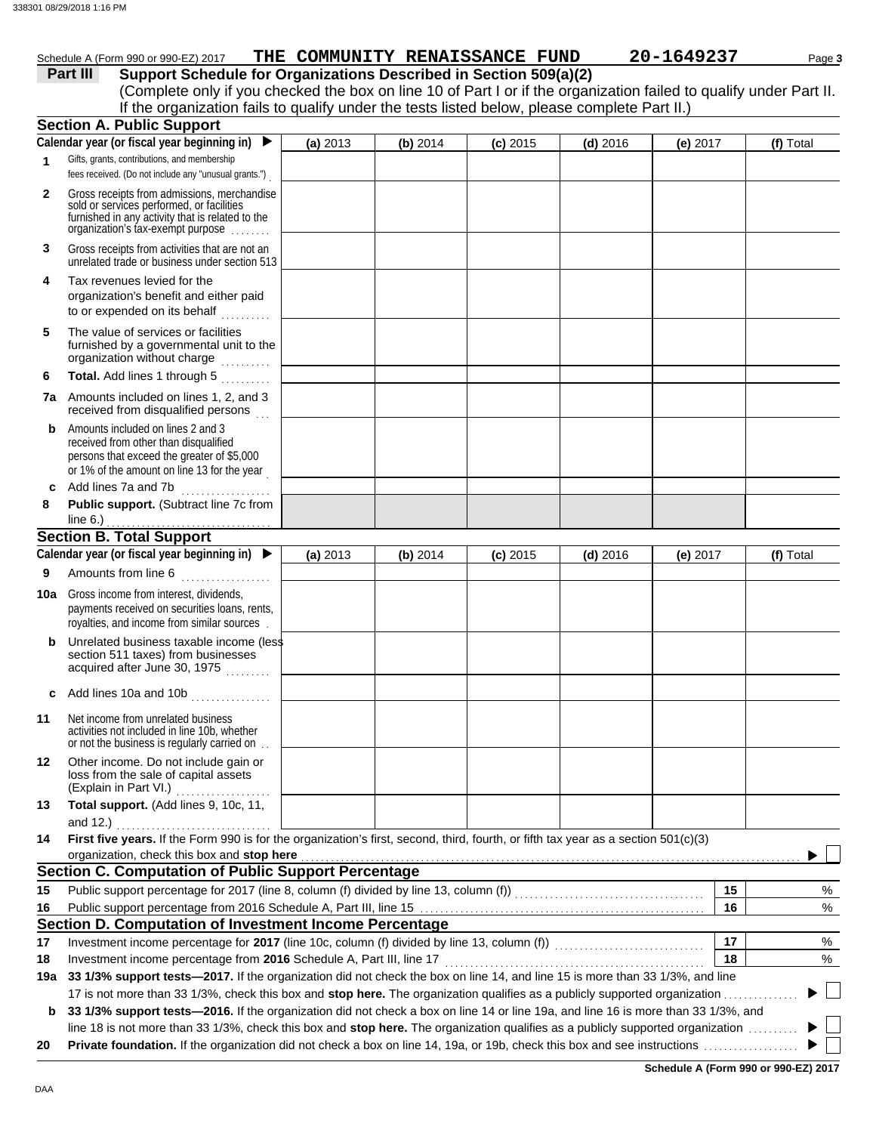## Schedule A (Form 990 or 990-EZ) 2017 **THE COMMUNITY RENAISSANCE FUND** 20-1649237 Page 3

|              | Part III<br>Support Schedule for Organizations Described in Section 509(a)(2)<br>(Complete only if you checked the box on line 10 of Part I or if the organization failed to qualify under Part II. |          |                                                                    |            |            |            |           |
|--------------|-----------------------------------------------------------------------------------------------------------------------------------------------------------------------------------------------------|----------|--------------------------------------------------------------------|------------|------------|------------|-----------|
|              | If the organization fails to qualify under the tests listed below, please complete Part II.)                                                                                                        |          |                                                                    |            |            |            |           |
|              | <b>Section A. Public Support</b>                                                                                                                                                                    |          |                                                                    |            |            |            |           |
|              | Calendar year (or fiscal year beginning in)<br>$\blacktriangleright$                                                                                                                                | (a) 2013 | (b) 2014                                                           | $(c)$ 2015 | $(d)$ 2016 | (e) 2017   | (f) Total |
| 1            | Gifts, grants, contributions, and membership<br>fees received. (Do not include any "unusual grants.")                                                                                               |          |                                                                    |            |            |            |           |
| $\mathbf{2}$ | Gross receipts from admissions, merchandise<br>sold or services performed, or facilities<br>furnished in any activity that is related to the<br>organization's tax-exempt purpose                   |          |                                                                    |            |            |            |           |
| 3            | Gross receipts from activities that are not an<br>unrelated trade or business under section 513                                                                                                     |          |                                                                    |            |            |            |           |
| 4            | Tax revenues levied for the<br>organization's benefit and either paid<br>to or expended on its behalf                                                                                               |          |                                                                    |            |            |            |           |
| 5            | The value of services or facilities<br>furnished by a governmental unit to the<br>organization without charge                                                                                       |          |                                                                    |            |            |            |           |
| 6            | Total. Add lines 1 through 5<br>.                                                                                                                                                                   |          |                                                                    |            |            |            |           |
|              | 7a Amounts included on lines 1, 2, and 3<br>received from disqualified persons                                                                                                                      |          |                                                                    |            |            |            |           |
| b            | Amounts included on lines 2 and 3<br>received from other than disqualified<br>persons that exceed the greater of \$5,000<br>or 1% of the amount on line 13 for the year                             |          |                                                                    |            |            |            |           |
| c            | Add lines 7a and 7b                                                                                                                                                                                 |          |                                                                    |            |            |            |           |
| 8            | Public support. (Subtract line 7c from<br>line 6.) $\ldots$                                                                                                                                         |          |                                                                    |            |            |            |           |
|              | <b>Section B. Total Support</b>                                                                                                                                                                     |          |                                                                    |            |            |            |           |
|              | Calendar year (or fiscal year beginning in) $\blacktriangleright$                                                                                                                                   | (a) 2013 | (b) 2014                                                           | $(c)$ 2015 | $(d)$ 2016 | (e) $2017$ | (f) Total |
| 9            | Amounts from line 6<br>.                                                                                                                                                                            |          |                                                                    |            |            |            |           |
| 10a          | Gross income from interest, dividends,<br>payments received on securities loans, rents,<br>royalties, and income from similar sources.                                                              |          |                                                                    |            |            |            |           |
|              | Unrelated business taxable income (less<br>section 511 taxes) from businesses<br>acquired after June 30, 1975                                                                                       |          |                                                                    |            |            |            |           |
|              | Add lines 10a and 10b                                                                                                                                                                               |          |                                                                    |            |            |            |           |
| 11           | Net income from unrelated business<br>activities not included in line 10b, whether<br>or not the business is regularly carried on.                                                                  |          |                                                                    |            |            |            |           |
| 12           | Other income. Do not include gain or<br>loss from the sale of capital assets<br>(Explain in Part VI.)<br>.                                                                                          |          |                                                                    |            |            |            |           |
| 13           | Total support. (Add lines 9, 10c, 11,<br>and 12.)                                                                                                                                                   |          |                                                                    |            |            |            |           |
| 14           | First five years. If the Form 990 is for the organization's first, second, third, fourth, or fifth tax year as a section 501(c)(3)<br>organization, check this box and stop here                    |          |                                                                    |            |            |            |           |
|              | <b>Section C. Computation of Public Support Percentage</b>                                                                                                                                          |          |                                                                    |            |            |            |           |
| 15           |                                                                                                                                                                                                     |          |                                                                    |            |            | 15         | %         |
| 16           |                                                                                                                                                                                                     |          |                                                                    |            |            | 16         | %         |
|              | Section D. Computation of Investment Income Percentage                                                                                                                                              |          |                                                                    |            |            |            |           |
| 17           | Investment income percentage for 2017 (line 10c, column (f) divided by line 13, column (f)) [[[[[[[[[[[[[[[[[                                                                                       |          |                                                                    |            |            | 17         | %         |
| 18           | Investment income percentage from 2016 Schedule A, Part III, line 17                                                                                                                                |          |                                                                    |            |            | 18         | %         |
|              | 19a 33 1/3% support tests-2017. If the organization did not check the box on line 14, and line 15 is more than 33 1/3%, and line                                                                    |          |                                                                    |            |            |            |           |
|              | 17 is not more than 33 1/3%, check this box and stop here. The organization qualifies as a publicly supported organization                                                                          |          |                                                                    |            |            |            |           |
|              | 33 1/3% support tests—2016. If the organization did not check a box on line 14 or line 19a, and line 16 is more than 33 1/3%, and                                                                   |          | 00/ shoot this house distances. The concrimetion weekling a should |            |            |            |           |

line 18 is not more than 33 1/3%, check this box and **stop here.** The organization qualifies as a publicly supported organization . . . . . . . . . . **20 Private foundation.** If the organization did not check a box on line 14, 19a, or 19b, check this box and see instructions . . . . . . . . . . . . . . . . . . .

**Schedule A (Form 990 or 990-EZ) 2017**

Þ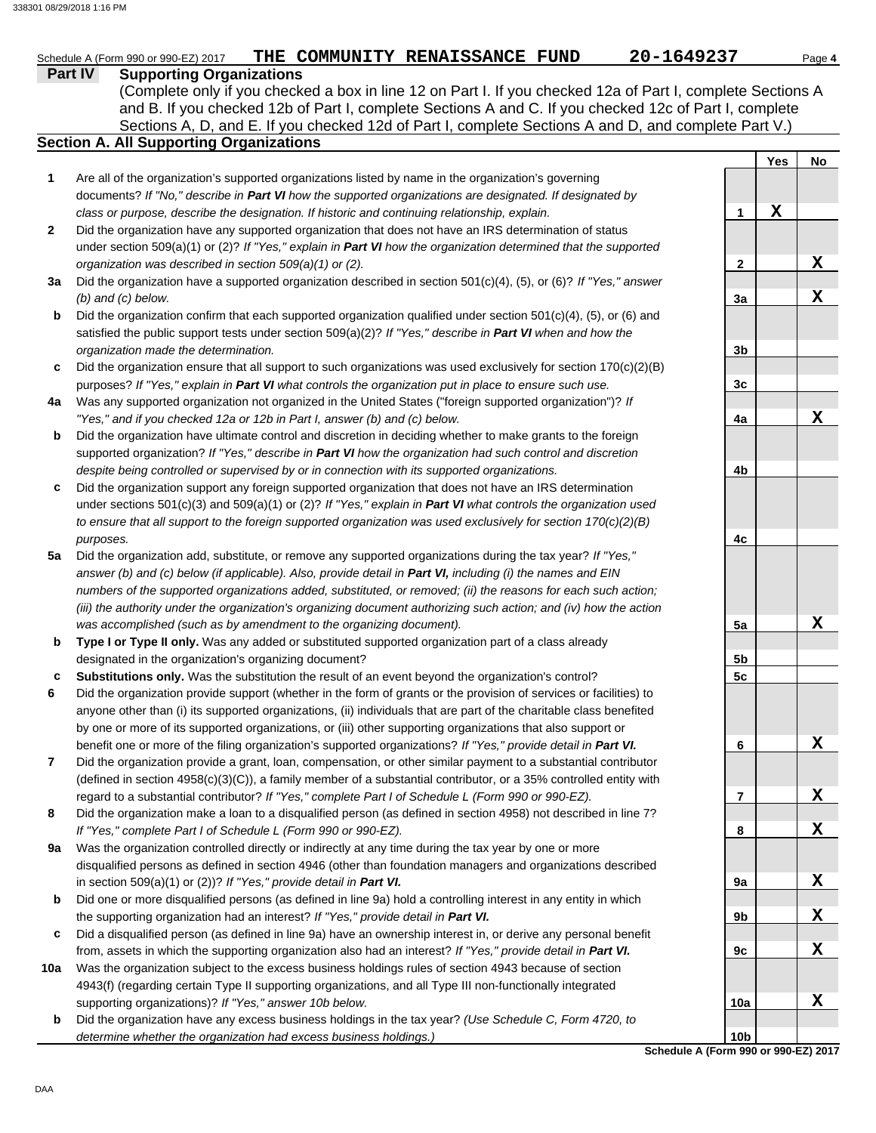# **Part IV Supporting Organizations** Schedule A (Form 990 or 990-EZ) 2017 **PHE COMMUNITY RENAISSANCE FUND** 20-1649237 Page 4

Sections A, D, and E. If you checked 12d of Part I, complete Sections A and D, and complete Part V.) (Complete only if you checked a box in line 12 on Part I. If you checked 12a of Part I, complete Sections A and B. If you checked 12b of Part I, complete Sections A and C. If you checked 12c of Part I, complete

# **Section A. All Supporting Organizations**

- Are all of the organization's supported organizations listed by name in the organization's governing documents? *If "No," describe in Part VI how the supported organizations are designated. If designated by class or purpose, describe the designation. If historic and continuing relationship, explain.* **1**
- Did the organization have any supported organization that does not have an IRS determination of status under section 509(a)(1) or (2)? *If "Yes," explain in Part VI how the organization determined that the supported organization was described in section 509(a)(1) or (2).* **2**
- **3a** Did the organization have a supported organization described in section 501(c)(4), (5), or (6)? *If "Yes," answer (b) and (c) below.*
- **b** Did the organization confirm that each supported organization qualified under section  $501(c)(4)$ ,  $(5)$ , or  $(6)$  and satisfied the public support tests under section 509(a)(2)? *If "Yes," describe in Part VI when and how the organization made the determination.*
- **c** Did the organization ensure that all support to such organizations was used exclusively for section 170(c)(2)(B) purposes? *If "Yes," explain in Part VI what controls the organization put in place to ensure such use.*
- **4a** Was any supported organization not organized in the United States ("foreign supported organization")? *If "Yes," and if you checked 12a or 12b in Part I, answer (b) and (c) below.*
- **b** Did the organization have ultimate control and discretion in deciding whether to make grants to the foreign supported organization? *If "Yes," describe in Part VI how the organization had such control and discretion despite being controlled or supervised by or in connection with its supported organizations.*
- **c** Did the organization support any foreign supported organization that does not have an IRS determination under sections 501(c)(3) and 509(a)(1) or (2)? *If "Yes," explain in Part VI what controls the organization used to ensure that all support to the foreign supported organization was used exclusively for section 170(c)(2)(B) purposes.*
- **5a** Did the organization add, substitute, or remove any supported organizations during the tax year? *If "Yes," answer (b) and (c) below (if applicable). Also, provide detail in Part VI, including (i) the names and EIN numbers of the supported organizations added, substituted, or removed; (ii) the reasons for each such action; (iii) the authority under the organization's organizing document authorizing such action; and (iv) how the action was accomplished (such as by amendment to the organizing document).*
- **b Type I or Type II only.** Was any added or substituted supported organization part of a class already designated in the organization's organizing document?
- **c Substitutions only.** Was the substitution the result of an event beyond the organization's control?
- **6** Did the organization provide support (whether in the form of grants or the provision of services or facilities) to anyone other than (i) its supported organizations, (ii) individuals that are part of the charitable class benefited by one or more of its supported organizations, or (iii) other supporting organizations that also support or benefit one or more of the filing organization's supported organizations? *If "Yes," provide detail in Part VI.*
- **7** Did the organization provide a grant, loan, compensation, or other similar payment to a substantial contributor (defined in section 4958(c)(3)(C)), a family member of a substantial contributor, or a 35% controlled entity with regard to a substantial contributor? *If "Yes," complete Part I of Schedule L (Form 990 or 990-EZ).*
- **8** Did the organization make a loan to a disqualified person (as defined in section 4958) not described in line 7? *If "Yes," complete Part I of Schedule L (Form 990 or 990-EZ).*
- **9a** Was the organization controlled directly or indirectly at any time during the tax year by one or more disqualified persons as defined in section 4946 (other than foundation managers and organizations described in section 509(a)(1) or (2))? *If "Yes," provide detail in Part VI.*
- **b** Did one or more disqualified persons (as defined in line 9a) hold a controlling interest in any entity in which the supporting organization had an interest? *If "Yes," provide detail in Part VI.*
- **c** Did a disqualified person (as defined in line 9a) have an ownership interest in, or derive any personal benefit from, assets in which the supporting organization also had an interest? *If "Yes," provide detail in Part VI.*
- **10a** Was the organization subject to the excess business holdings rules of section 4943 because of section 4943(f) (regarding certain Type II supporting organizations, and all Type III non-functionally integrated supporting organizations)? *If "Yes," answer 10b below.*
- **b** Did the organization have any excess business holdings in the tax year? *(Use Schedule C, Form 4720, to determine whether the organization had excess business holdings.)*

|                 | <u>Yes</u> | <u>No</u>               |
|-----------------|------------|-------------------------|
|                 |            |                         |
|                 |            |                         |
| 1               | X          |                         |
|                 |            |                         |
|                 |            |                         |
| 2               |            | $\overline{\mathbf{X}}$ |
|                 |            |                         |
| 3a              |            | X                       |
|                 |            |                         |
| 3 <sub>b</sub>  |            |                         |
|                 |            |                         |
| 3c              |            |                         |
|                 |            |                         |
| 4a              |            | <u>х</u>                |
|                 |            |                         |
|                 |            |                         |
| 4b              |            |                         |
|                 |            |                         |
|                 |            |                         |
|                 |            |                         |
| 4c              |            |                         |
|                 |            |                         |
|                 |            |                         |
|                 |            |                         |
|                 |            |                         |
| <u>5a</u>       |            | <u>х</u>                |
| 5 <sub>b</sub>  |            |                         |
| <u>5c</u>       |            |                         |
|                 |            |                         |
|                 |            |                         |
|                 |            |                         |
| 6               |            | $\overline{\mathbf{X}}$ |
|                 |            |                         |
|                 |            |                         |
| 7               |            | X                       |
|                 |            |                         |
| 8               |            | X                       |
|                 |            |                         |
|                 |            |                         |
| 9а              |            | Χ                       |
| 9 <sub>b</sub>  |            | X                       |
|                 |            |                         |
| 9c              |            | Χ                       |
|                 |            |                         |
|                 |            |                         |
| 10a             |            | Χ                       |
|                 |            |                         |
| 10 <sub>b</sub> |            |                         |

**Schedule A (Form 990 or 990-EZ) 2017**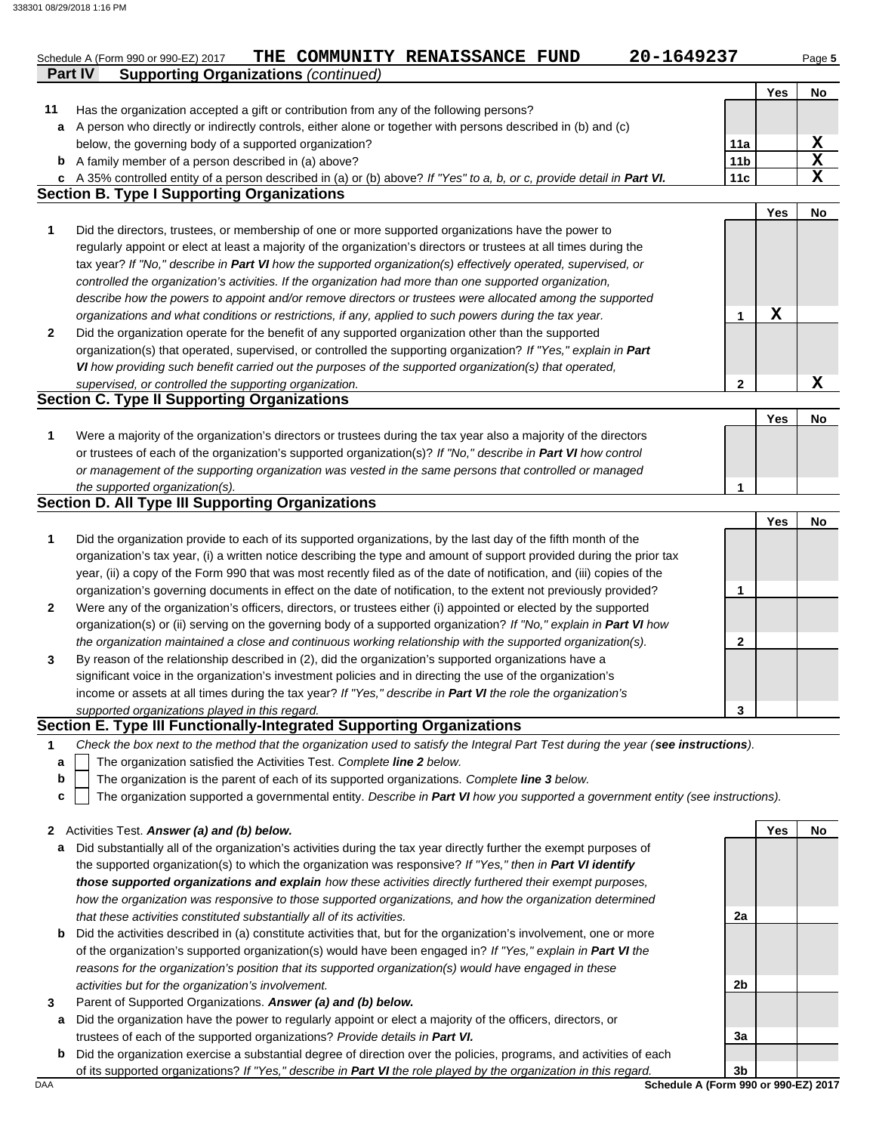|        | 20-1649237<br>THE COMMUNITY RENAISSANCE FUND<br>Schedule A (Form 990 or 990-EZ) 2017                                                                                                                    |                 |             | Page 5      |
|--------|---------------------------------------------------------------------------------------------------------------------------------------------------------------------------------------------------------|-----------------|-------------|-------------|
|        | <b>Supporting Organizations (continued)</b><br><b>Part IV</b>                                                                                                                                           |                 |             |             |
|        |                                                                                                                                                                                                         |                 | <b>Yes</b>  | No          |
| 11     | Has the organization accepted a gift or contribution from any of the following persons?<br>A person who directly or indirectly controls, either alone or together with persons described in (b) and (c) |                 |             |             |
| a      | below, the governing body of a supported organization?                                                                                                                                                  | 11a             |             | $\mathbf x$ |
|        | <b>b</b> A family member of a person described in (a) above?                                                                                                                                            | 11 <sub>b</sub> |             | $\mathbf x$ |
| C      | A 35% controlled entity of a person described in (a) or (b) above? If "Yes" to a, b, or c, provide detail in Part VI.                                                                                   | 11c             |             | $\mathbf X$ |
|        | <b>Section B. Type I Supporting Organizations</b>                                                                                                                                                       |                 |             |             |
|        |                                                                                                                                                                                                         |                 | <b>Yes</b>  | No          |
| 1      | Did the directors, trustees, or membership of one or more supported organizations have the power to                                                                                                     |                 |             |             |
|        | regularly appoint or elect at least a majority of the organization's directors or trustees at all times during the                                                                                      |                 |             |             |
|        | tax year? If "No," describe in Part VI how the supported organization(s) effectively operated, supervised, or                                                                                           |                 |             |             |
|        | controlled the organization's activities. If the organization had more than one supported organization,                                                                                                 |                 |             |             |
|        | describe how the powers to appoint and/or remove directors or trustees were allocated among the supported                                                                                               |                 |             |             |
|        | organizations and what conditions or restrictions, if any, applied to such powers during the tax year.                                                                                                  | 1               | $\mathbf X$ |             |
| 2      | Did the organization operate for the benefit of any supported organization other than the supported                                                                                                     |                 |             |             |
|        | organization(s) that operated, supervised, or controlled the supporting organization? If "Yes," explain in Part                                                                                         |                 |             |             |
|        | VI how providing such benefit carried out the purposes of the supported organization(s) that operated,                                                                                                  |                 |             |             |
|        | supervised, or controlled the supporting organization.                                                                                                                                                  | $\mathbf{2}$    |             | $\mathbf X$ |
|        | <b>Section C. Type II Supporting Organizations</b>                                                                                                                                                      |                 |             |             |
|        |                                                                                                                                                                                                         |                 | Yes         | No          |
| 1      | Were a majority of the organization's directors or trustees during the tax year also a majority of the directors                                                                                        |                 |             |             |
|        | or trustees of each of the organization's supported organization(s)? If "No," describe in Part VI how control                                                                                           |                 |             |             |
|        | or management of the supporting organization was vested in the same persons that controlled or managed                                                                                                  |                 |             |             |
|        | the supported organization(s).<br><b>Section D. All Type III Supporting Organizations</b>                                                                                                               | 1               |             |             |
|        |                                                                                                                                                                                                         |                 |             |             |
| 1      | Did the organization provide to each of its supported organizations, by the last day of the fifth month of the                                                                                          |                 | Yes         | No          |
|        | organization's tax year, (i) a written notice describing the type and amount of support provided during the prior tax                                                                                   |                 |             |             |
|        | year, (ii) a copy of the Form 990 that was most recently filed as of the date of notification, and (iii) copies of the                                                                                  |                 |             |             |
|        | organization's governing documents in effect on the date of notification, to the extent not previously provided?                                                                                        | 1               |             |             |
| 2      | Were any of the organization's officers, directors, or trustees either (i) appointed or elected by the supported                                                                                        |                 |             |             |
|        | organization(s) or (ii) serving on the governing body of a supported organization? If "No," explain in Part VI how                                                                                      |                 |             |             |
|        | the organization maintained a close and continuous working relationship with the supported organization(s).                                                                                             | $\mathbf{2}$    |             |             |
| 3      | By reason of the relationship described in (2), did the organization's supported organizations have a                                                                                                   |                 |             |             |
|        | significant voice in the organization's investment policies and in directing the use of the organization's                                                                                              |                 |             |             |
|        | income or assets at all times during the tax year? If "Yes," describe in Part VI the role the organization's                                                                                            |                 |             |             |
|        | supported organizations played in this regard.                                                                                                                                                          | 3               |             |             |
|        | Section E. Type III Functionally-Integrated Supporting Organizations                                                                                                                                    |                 |             |             |
| 1      | Check the box next to the method that the organization used to satisfy the Integral Part Test during the year (see instructions).                                                                       |                 |             |             |
| a      | The organization satisfied the Activities Test. Complete line 2 below.                                                                                                                                  |                 |             |             |
| b      | The organization is the parent of each of its supported organizations. Complete line 3 below.                                                                                                           |                 |             |             |
| c      | The organization supported a governmental entity. Describe in Part VI how you supported a government entity (see instructions).                                                                         |                 |             |             |
|        |                                                                                                                                                                                                         |                 |             |             |
| 2      | Activities Test. Answer (a) and (b) below.                                                                                                                                                              |                 | Yes         | No          |
| а      | Did substantially all of the organization's activities during the tax year directly further the exempt purposes of                                                                                      |                 |             |             |
|        | the supported organization(s) to which the organization was responsive? If "Yes," then in Part VI identify                                                                                              |                 |             |             |
|        | those supported organizations and explain how these activities directly furthered their exempt purposes,                                                                                                |                 |             |             |
|        | how the organization was responsive to those supported organizations, and how the organization determined                                                                                               |                 |             |             |
|        | that these activities constituted substantially all of its activities.                                                                                                                                  | 2a              |             |             |
| b      | Did the activities described in (a) constitute activities that, but for the organization's involvement, one or more                                                                                     |                 |             |             |
|        | of the organization's supported organization(s) would have been engaged in? If "Yes," explain in Part VI the                                                                                            |                 |             |             |
|        | reasons for the organization's position that its supported organization(s) would have engaged in these                                                                                                  | 2b              |             |             |
|        | activities but for the organization's involvement.<br>Parent of Supported Organizations. Answer (a) and (b) below.                                                                                      |                 |             |             |
| 3<br>a | Did the organization have the power to regularly appoint or elect a majority of the officers, directors, or                                                                                             |                 |             |             |
|        | trustees of each of the supported organizations? Provide details in Part VI.                                                                                                                            | 3a              |             |             |
| b      | Did the organization exercise a substantial degree of direction over the policies, programs, and activities of each                                                                                     |                 |             |             |

of its supported organizations? *If "Yes," describe in Part VI the role played by the organization in this regard.*

DAA **Schedule A (Form 990 or 990-EZ) 2017 3b**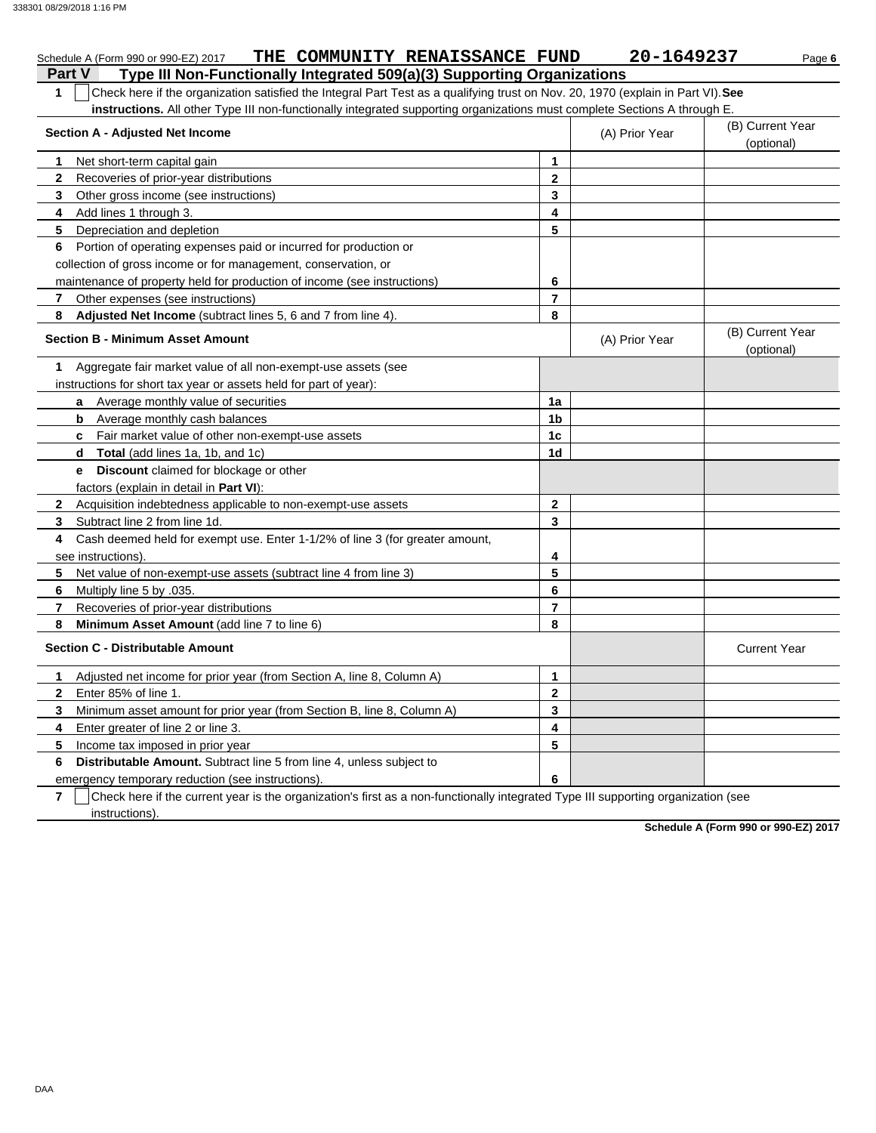| THE COMMUNITY RENAISSANCE FUND<br>Schedule A (Form 990 or 990-EZ) 2017                                                                |                | 20-1649237     | Page 6                         |
|---------------------------------------------------------------------------------------------------------------------------------------|----------------|----------------|--------------------------------|
| Type III Non-Functionally Integrated 509(a)(3) Supporting Organizations<br><b>Part V</b>                                              |                |                |                                |
| Check here if the organization satisfied the Integral Part Test as a qualifying trust on Nov. 20, 1970 (explain in Part VI). See<br>1 |                |                |                                |
| instructions. All other Type III non-functionally integrated supporting organizations must complete Sections A through E.             |                |                |                                |
| <b>Section A - Adjusted Net Income</b>                                                                                                |                | (A) Prior Year | (B) Current Year               |
|                                                                                                                                       |                |                | (optional)                     |
| 1<br>Net short-term capital gain                                                                                                      | 1              |                |                                |
| 2<br>Recoveries of prior-year distributions                                                                                           | $\mathbf{2}$   |                |                                |
| 3<br>Other gross income (see instructions)                                                                                            | 3              |                |                                |
| Add lines 1 through 3.<br>4                                                                                                           | 4              |                |                                |
| 5<br>Depreciation and depletion                                                                                                       | 5              |                |                                |
| Portion of operating expenses paid or incurred for production or<br>6                                                                 |                |                |                                |
| collection of gross income or for management, conservation, or                                                                        |                |                |                                |
| maintenance of property held for production of income (see instructions)                                                              | 6              |                |                                |
| Other expenses (see instructions)<br>7                                                                                                | $\overline{7}$ |                |                                |
| Adjusted Net Income (subtract lines 5, 6 and 7 from line 4).<br>8                                                                     | 8              |                |                                |
| <b>Section B - Minimum Asset Amount</b>                                                                                               |                | (A) Prior Year | (B) Current Year<br>(optional) |
| Aggregate fair market value of all non-exempt-use assets (see<br>1                                                                    |                |                |                                |
| instructions for short tax year or assets held for part of year):                                                                     |                |                |                                |
| a Average monthly value of securities                                                                                                 | 1a             |                |                                |
| <b>b</b> Average monthly cash balances                                                                                                | 1b             |                |                                |
| <b>c</b> Fair market value of other non-exempt-use assets                                                                             | 1 <sub>c</sub> |                |                                |
| <b>Total</b> (add lines 1a, 1b, and 1c)<br>d                                                                                          | 1d             |                |                                |
| <b>Discount</b> claimed for blockage or other<br>e                                                                                    |                |                |                                |
| factors (explain in detail in Part VI):                                                                                               |                |                |                                |
| Acquisition indebtedness applicable to non-exempt-use assets<br>$\mathbf{2}$                                                          | $\mathbf{2}$   |                |                                |
| 3<br>Subtract line 2 from line 1d.                                                                                                    | 3              |                |                                |
| Cash deemed held for exempt use. Enter 1-1/2% of line 3 (for greater amount,<br>4                                                     |                |                |                                |
| see instructions).                                                                                                                    | 4              |                |                                |
| Net value of non-exempt-use assets (subtract line 4 from line 3)<br>5                                                                 | 5              |                |                                |
| 6<br>Multiply line 5 by .035.                                                                                                         | 6              |                |                                |
| 7<br>Recoveries of prior-year distributions                                                                                           | $\overline{7}$ |                |                                |
| 8<br>Minimum Asset Amount (add line 7 to line 6)                                                                                      | 8              |                |                                |
| <b>Section C - Distributable Amount</b>                                                                                               |                |                | <b>Current Year</b>            |
| Adjusted net income for prior year (from Section A, line 8, Column A)<br>1                                                            | $\mathbf{1}$   |                |                                |
| $\mathbf{2}$<br>Enter 85% of line 1.                                                                                                  | $\mathbf{2}$   |                |                                |
| 3<br>Minimum asset amount for prior year (from Section B, line 8, Column A)                                                           | 3              |                |                                |
| Enter greater of line 2 or line 3.<br>4                                                                                               | 4              |                |                                |
| 5<br>Income tax imposed in prior year                                                                                                 | 5              |                |                                |
| <b>Distributable Amount.</b> Subtract line 5 from line 4, unless subject to<br>6                                                      |                |                |                                |
| emergency temporary reduction (see instructions).                                                                                     | 6              |                |                                |

**7**  $\vert$  Check here if the current year is the organization's first as a non-functionally integrated Type III supporting organization (see instructions).

**Schedule A (Form 990 or 990-EZ) 2017**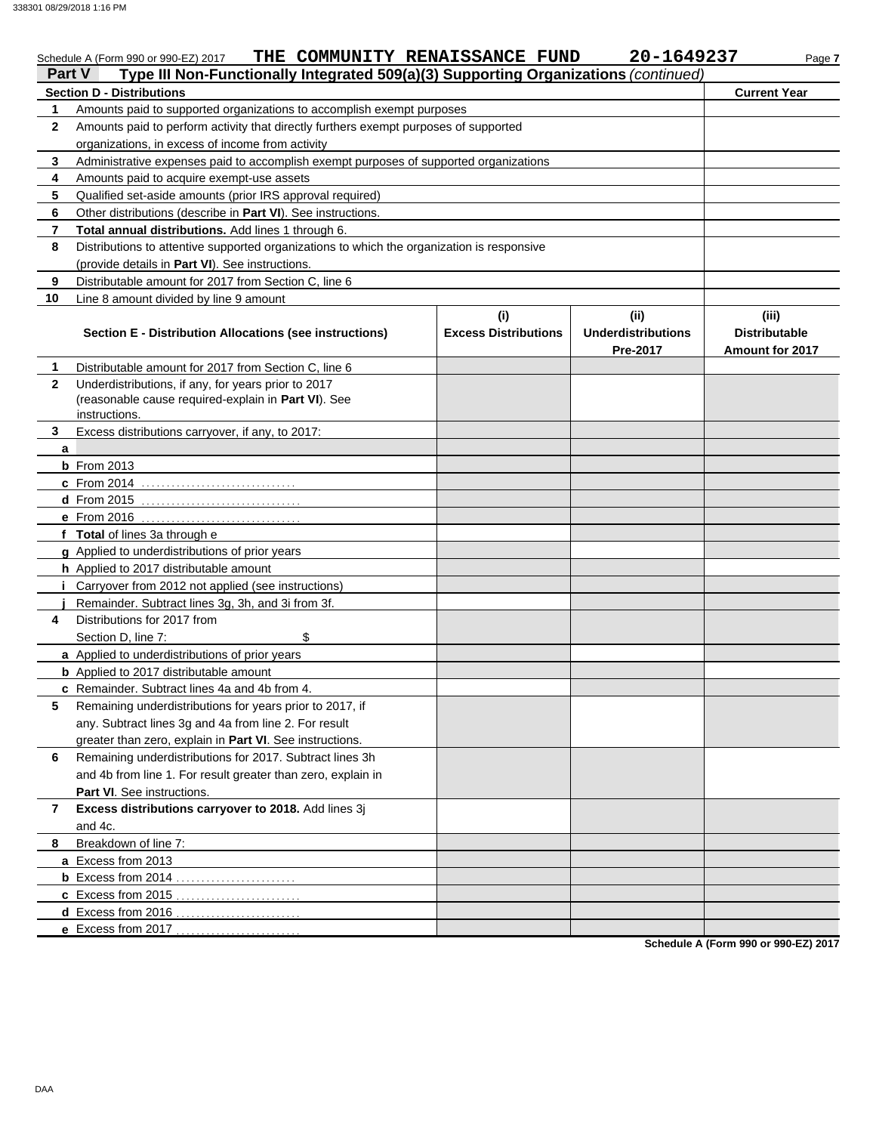338301 08/29/2018 1:16 PM

| Part V       | THE COMMUNITY RENAISSANCE FUND<br>Schedule A (Form 990 or 990-EZ) 2017<br>Type III Non-Functionally Integrated 509(a)(3) Supporting Organizations (continued) |                                    | 20-1649237                                    | Page 7                                           |  |  |  |
|--------------|---------------------------------------------------------------------------------------------------------------------------------------------------------------|------------------------------------|-----------------------------------------------|--------------------------------------------------|--|--|--|
|              | <b>Section D - Distributions</b>                                                                                                                              |                                    |                                               | <b>Current Year</b>                              |  |  |  |
| 1            | Amounts paid to supported organizations to accomplish exempt purposes                                                                                         |                                    |                                               |                                                  |  |  |  |
| 2            | Amounts paid to perform activity that directly furthers exempt purposes of supported                                                                          |                                    |                                               |                                                  |  |  |  |
|              | organizations, in excess of income from activity                                                                                                              |                                    |                                               |                                                  |  |  |  |
| 3            | Administrative expenses paid to accomplish exempt purposes of supported organizations                                                                         |                                    |                                               |                                                  |  |  |  |
| 4            | Amounts paid to acquire exempt-use assets                                                                                                                     |                                    |                                               |                                                  |  |  |  |
| 5            | Qualified set-aside amounts (prior IRS approval required)                                                                                                     |                                    |                                               |                                                  |  |  |  |
| 6            | Other distributions (describe in Part VI). See instructions.                                                                                                  |                                    |                                               |                                                  |  |  |  |
| 7            | Total annual distributions. Add lines 1 through 6.                                                                                                            |                                    |                                               |                                                  |  |  |  |
| 8            | Distributions to attentive supported organizations to which the organization is responsive                                                                    |                                    |                                               |                                                  |  |  |  |
|              | (provide details in Part VI). See instructions.                                                                                                               |                                    |                                               |                                                  |  |  |  |
| 9            | Distributable amount for 2017 from Section C, line 6                                                                                                          |                                    |                                               |                                                  |  |  |  |
| 10           | Line 8 amount divided by line 9 amount                                                                                                                        |                                    |                                               |                                                  |  |  |  |
|              | Section E - Distribution Allocations (see instructions)                                                                                                       | (i)<br><b>Excess Distributions</b> | (ii)<br><b>Underdistributions</b><br>Pre-2017 | (iii)<br><b>Distributable</b><br>Amount for 2017 |  |  |  |
| 1.           | Distributable amount for 2017 from Section C, line 6                                                                                                          |                                    |                                               |                                                  |  |  |  |
| $\mathbf{2}$ | Underdistributions, if any, for years prior to 2017<br>(reasonable cause required-explain in Part VI). See<br>instructions.                                   |                                    |                                               |                                                  |  |  |  |
| 3            | Excess distributions carryover, if any, to 2017:                                                                                                              |                                    |                                               |                                                  |  |  |  |
| a            |                                                                                                                                                               |                                    |                                               |                                                  |  |  |  |
|              | <b>b</b> From 2013                                                                                                                                            |                                    |                                               |                                                  |  |  |  |
|              | <b>c</b> From 2014                                                                                                                                            |                                    |                                               |                                                  |  |  |  |
|              |                                                                                                                                                               |                                    |                                               |                                                  |  |  |  |
|              |                                                                                                                                                               |                                    |                                               |                                                  |  |  |  |
|              | f Total of lines 3a through e                                                                                                                                 |                                    |                                               |                                                  |  |  |  |
|              | g Applied to underdistributions of prior years                                                                                                                |                                    |                                               |                                                  |  |  |  |
|              | h Applied to 2017 distributable amount                                                                                                                        |                                    |                                               |                                                  |  |  |  |
|              | <i>i</i> Carryover from 2012 not applied (see instructions)                                                                                                   |                                    |                                               |                                                  |  |  |  |
|              | Remainder. Subtract lines 3g, 3h, and 3i from 3f.                                                                                                             |                                    |                                               |                                                  |  |  |  |
| 4            | Distributions for 2017 from                                                                                                                                   |                                    |                                               |                                                  |  |  |  |
|              | \$<br>Section D, line 7:                                                                                                                                      |                                    |                                               |                                                  |  |  |  |
|              | a Applied to underdistributions of prior years                                                                                                                |                                    |                                               |                                                  |  |  |  |
|              | <b>b</b> Applied to 2017 distributable amount                                                                                                                 |                                    |                                               |                                                  |  |  |  |
|              | c Remainder. Subtract lines 4a and 4b from 4.                                                                                                                 |                                    |                                               |                                                  |  |  |  |
| 5.           | Remaining underdistributions for years prior to 2017, if                                                                                                      |                                    |                                               |                                                  |  |  |  |
|              | any. Subtract lines 3g and 4a from line 2. For result                                                                                                         |                                    |                                               |                                                  |  |  |  |
|              | greater than zero, explain in Part VI. See instructions.                                                                                                      |                                    |                                               |                                                  |  |  |  |
| 6            | Remaining underdistributions for 2017. Subtract lines 3h                                                                                                      |                                    |                                               |                                                  |  |  |  |
|              | and 4b from line 1. For result greater than zero, explain in                                                                                                  |                                    |                                               |                                                  |  |  |  |
|              | Part VI. See instructions.                                                                                                                                    |                                    |                                               |                                                  |  |  |  |
| 7            | Excess distributions carryover to 2018. Add lines 3j<br>and 4c.                                                                                               |                                    |                                               |                                                  |  |  |  |
| 8            | Breakdown of line 7:                                                                                                                                          |                                    |                                               |                                                  |  |  |  |
|              | a Excess from 2013                                                                                                                                            |                                    |                                               |                                                  |  |  |  |
|              |                                                                                                                                                               |                                    |                                               |                                                  |  |  |  |
|              | c Excess from 2015<br>.                                                                                                                                       |                                    |                                               |                                                  |  |  |  |
|              | d Excess from 2016                                                                                                                                            |                                    |                                               |                                                  |  |  |  |
|              | e Excess from 2017                                                                                                                                            |                                    |                                               | $-1.1 - A$ (Ferma 000 ex 000 F7) 004             |  |  |  |

**Schedule A (Form 990 or 990-EZ) 2017**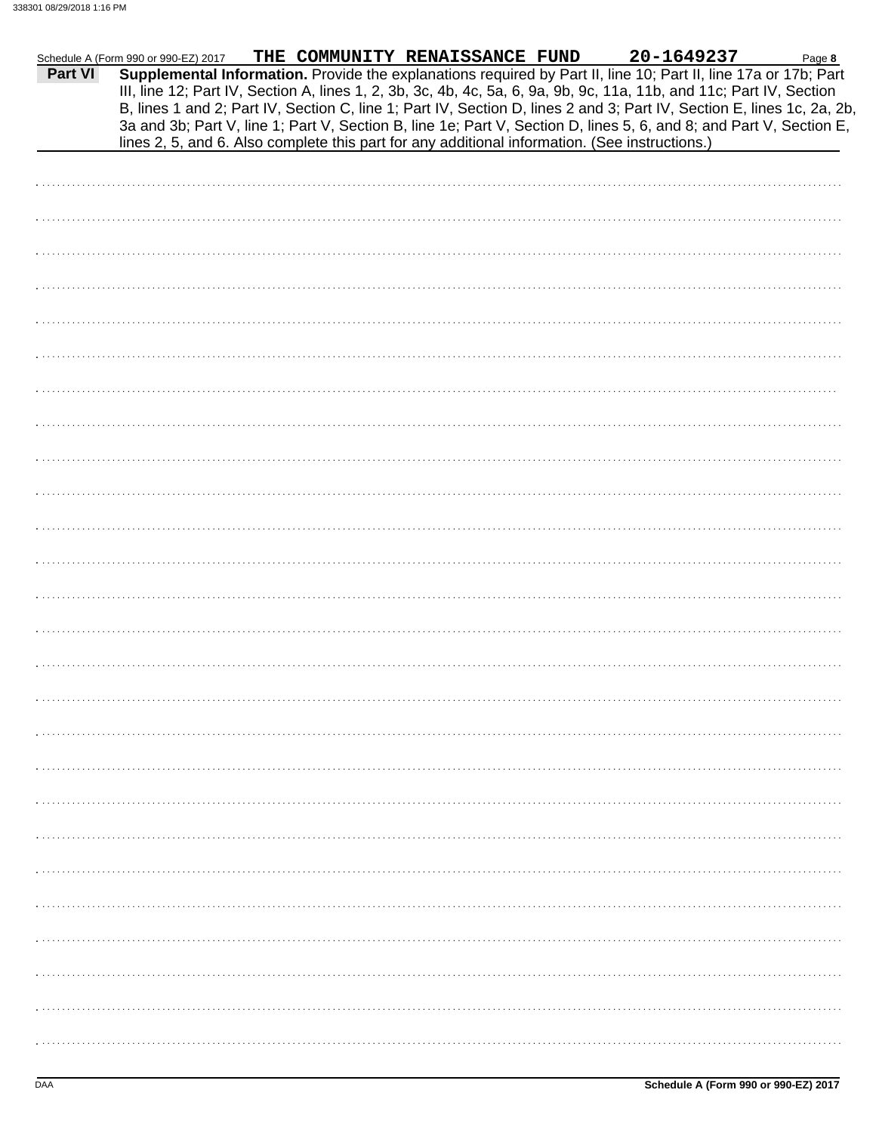|         | Schedule A (Form 990 or 990-EZ) 2017 |  | THE COMMUNITY RENAISSANCE FUND                                                                 | 20-1649237                                                                                                                                                                                                                                                                                                                                                        | Page 8 |
|---------|--------------------------------------|--|------------------------------------------------------------------------------------------------|-------------------------------------------------------------------------------------------------------------------------------------------------------------------------------------------------------------------------------------------------------------------------------------------------------------------------------------------------------------------|--------|
| Part VI |                                      |  |                                                                                                | Supplemental Information. Provide the explanations required by Part II, line 10; Part II, line 17a or 17b; Part<br>III, line 12; Part IV, Section A, lines 1, 2, 3b, 3c, 4b, 4c, 5a, 6, 9a, 9b, 9c, 11a, 11b, and 11c; Part IV, Section<br>B, lines 1 and 2; Part IV, Section C, line 1; Part IV, Section D, lines 2 and 3; Part IV, Section E, lines 1c, 2a, 2b, |        |
|         |                                      |  |                                                                                                | 3a and 3b; Part V, line 1; Part V, Section B, line 1e; Part V, Section D, lines 5, 6, and 8; and Part V, Section E,                                                                                                                                                                                                                                               |        |
|         |                                      |  | lines 2, 5, and 6. Also complete this part for any additional information. (See instructions.) |                                                                                                                                                                                                                                                                                                                                                                   |        |
|         |                                      |  |                                                                                                |                                                                                                                                                                                                                                                                                                                                                                   |        |
|         |                                      |  |                                                                                                |                                                                                                                                                                                                                                                                                                                                                                   |        |
|         |                                      |  |                                                                                                |                                                                                                                                                                                                                                                                                                                                                                   |        |
|         |                                      |  |                                                                                                |                                                                                                                                                                                                                                                                                                                                                                   |        |
|         |                                      |  |                                                                                                |                                                                                                                                                                                                                                                                                                                                                                   |        |
|         |                                      |  |                                                                                                |                                                                                                                                                                                                                                                                                                                                                                   |        |
|         |                                      |  |                                                                                                |                                                                                                                                                                                                                                                                                                                                                                   |        |
|         |                                      |  |                                                                                                |                                                                                                                                                                                                                                                                                                                                                                   |        |
|         |                                      |  |                                                                                                |                                                                                                                                                                                                                                                                                                                                                                   |        |
|         |                                      |  |                                                                                                |                                                                                                                                                                                                                                                                                                                                                                   |        |
|         |                                      |  |                                                                                                |                                                                                                                                                                                                                                                                                                                                                                   |        |
|         |                                      |  |                                                                                                |                                                                                                                                                                                                                                                                                                                                                                   |        |
|         |                                      |  |                                                                                                |                                                                                                                                                                                                                                                                                                                                                                   |        |
|         |                                      |  |                                                                                                |                                                                                                                                                                                                                                                                                                                                                                   |        |
|         |                                      |  |                                                                                                |                                                                                                                                                                                                                                                                                                                                                                   |        |
|         |                                      |  |                                                                                                |                                                                                                                                                                                                                                                                                                                                                                   |        |
|         |                                      |  |                                                                                                |                                                                                                                                                                                                                                                                                                                                                                   |        |
|         |                                      |  |                                                                                                |                                                                                                                                                                                                                                                                                                                                                                   |        |
|         |                                      |  |                                                                                                |                                                                                                                                                                                                                                                                                                                                                                   |        |
|         |                                      |  |                                                                                                |                                                                                                                                                                                                                                                                                                                                                                   |        |
|         |                                      |  |                                                                                                |                                                                                                                                                                                                                                                                                                                                                                   |        |
|         |                                      |  |                                                                                                |                                                                                                                                                                                                                                                                                                                                                                   |        |
|         |                                      |  |                                                                                                |                                                                                                                                                                                                                                                                                                                                                                   |        |
|         |                                      |  |                                                                                                |                                                                                                                                                                                                                                                                                                                                                                   |        |
|         |                                      |  |                                                                                                |                                                                                                                                                                                                                                                                                                                                                                   |        |
|         |                                      |  |                                                                                                |                                                                                                                                                                                                                                                                                                                                                                   |        |
|         |                                      |  |                                                                                                |                                                                                                                                                                                                                                                                                                                                                                   |        |
|         |                                      |  |                                                                                                |                                                                                                                                                                                                                                                                                                                                                                   |        |
|         |                                      |  |                                                                                                |                                                                                                                                                                                                                                                                                                                                                                   |        |
|         |                                      |  |                                                                                                |                                                                                                                                                                                                                                                                                                                                                                   |        |
|         |                                      |  |                                                                                                |                                                                                                                                                                                                                                                                                                                                                                   |        |
|         |                                      |  |                                                                                                |                                                                                                                                                                                                                                                                                                                                                                   |        |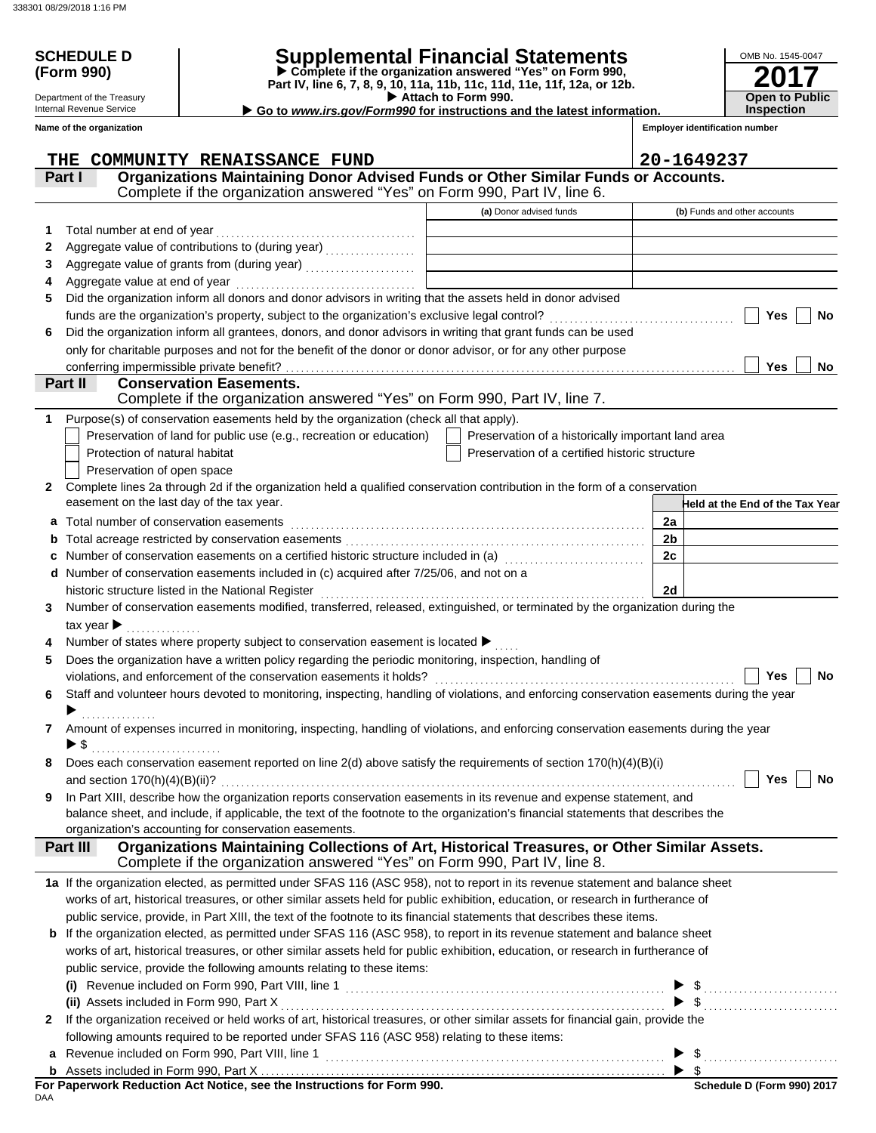Department of the Treasury Internal Revenue Service

# **SCHEDULE D Supplemental Financial Statements**

 **Attach to Form 990. (Form 990) Part IV, line 6, 7, 8, 9, 10, 11a, 11b, 11c, 11d, 11e, 11f, 12a, or 12b. Complete if the organization answered "Yes" on Form 990,**

**▶ Go to** *www.irs.gov/Form990* **for instructions and the latest information.** 

**2017 Open to Public Inspection**

OMB No. 1545-0047

|              | Name of the organization                                                                                                                                                                   |                                                    | <b>Employer identification number</b>         |
|--------------|--------------------------------------------------------------------------------------------------------------------------------------------------------------------------------------------|----------------------------------------------------|-----------------------------------------------|
|              | THE COMMUNITY RENAISSANCE FUND                                                                                                                                                             |                                                    | 20-1649237                                    |
|              | Organizations Maintaining Donor Advised Funds or Other Similar Funds or Accounts.<br>Part I<br>Complete if the organization answered "Yes" on Form 990, Part IV, line 6.                   |                                                    |                                               |
|              |                                                                                                                                                                                            | (a) Donor advised funds                            | (b) Funds and other accounts                  |
| 1            | Total number at end of year                                                                                                                                                                |                                                    |                                               |
| 2            |                                                                                                                                                                                            |                                                    |                                               |
| 3            | Aggregate value of grants from (during year)                                                                                                                                               |                                                    |                                               |
| 4            | Aggregate value at end of year                                                                                                                                                             |                                                    |                                               |
| 5            | Did the organization inform all donors and donor advisors in writing that the assets held in donor advised                                                                                 |                                                    |                                               |
|              | funds are the organization's property, subject to the organization's exclusive legal control?                                                                                              |                                                    | <b>Yes</b><br><b>No</b>                       |
| 6            | Did the organization inform all grantees, donors, and donor advisors in writing that grant funds can be used                                                                               |                                                    |                                               |
|              | only for charitable purposes and not for the benefit of the donor or donor advisor, or for any other purpose                                                                               |                                                    |                                               |
|              | conferring impermissible private benefit?                                                                                                                                                  |                                                    | Yes<br>No                                     |
|              | <b>Conservation Easements.</b><br>Part II                                                                                                                                                  |                                                    |                                               |
|              | Complete if the organization answered "Yes" on Form 990, Part IV, line 7.                                                                                                                  |                                                    |                                               |
| 1            | Purpose(s) of conservation easements held by the organization (check all that apply).                                                                                                      |                                                    |                                               |
|              | Preservation of land for public use (e.g., recreation or education)                                                                                                                        | Preservation of a historically important land area |                                               |
|              | Protection of natural habitat                                                                                                                                                              | Preservation of a certified historic structure     |                                               |
|              | Preservation of open space                                                                                                                                                                 |                                                    |                                               |
| 2            | Complete lines 2a through 2d if the organization held a qualified conservation contribution in the form of a conservation                                                                  |                                                    |                                               |
|              | easement on the last day of the tax year.                                                                                                                                                  |                                                    | Held at the End of the Tax Year               |
| a            | Total number of conservation easements                                                                                                                                                     |                                                    | 2a                                            |
|              |                                                                                                                                                                                            |                                                    | 2 <sub>b</sub>                                |
|              | Number of conservation easements on a certified historic structure included in (a) [11] Number of conservation easements on a certified historic structure included in (a)                 |                                                    | 2c                                            |
|              | Number of conservation easements included in (c) acquired after 7/25/06, and not on a                                                                                                      |                                                    |                                               |
|              | historic structure listed in the National Register                                                                                                                                         |                                                    | 2d                                            |
| 3            | Number of conservation easements modified, transferred, released, extinguished, or terminated by the organization during the                                                               |                                                    |                                               |
|              | tax year $\blacktriangleright$                                                                                                                                                             |                                                    |                                               |
|              | Number of states where property subject to conservation easement is located ▶                                                                                                              |                                                    |                                               |
| 5            | Does the organization have a written policy regarding the periodic monitoring, inspection, handling of                                                                                     |                                                    |                                               |
|              | violations, and enforcement of the conservation easements it holds?                                                                                                                        |                                                    | Yes<br><b>No</b>                              |
| 6            | Staff and volunteer hours devoted to monitoring, inspecting, handling of violations, and enforcing conservation easements during the year                                                  |                                                    |                                               |
|              |                                                                                                                                                                                            |                                                    |                                               |
| 7            | Amount of expenses incurred in monitoring, inspecting, handling of violations, and enforcing conservation easements during the year                                                        |                                                    |                                               |
|              | $\blacktriangleright$ \$                                                                                                                                                                   |                                                    |                                               |
|              | Does each conservation easement reported on line 2(d) above satisfy the requirements of section 170(h)(4)(B)(i)                                                                            |                                                    |                                               |
|              | and section $170(h)(4)(B)(ii)?$                                                                                                                                                            |                                                    | Yes<br><b>No</b>                              |
| 9            | In Part XIII, describe how the organization reports conservation easements in its revenue and expense statement, and                                                                       |                                                    |                                               |
|              | balance sheet, and include, if applicable, the text of the footnote to the organization's financial statements that describes the<br>organization's accounting for conservation easements. |                                                    |                                               |
|              | Organizations Maintaining Collections of Art, Historical Treasures, or Other Similar Assets.<br>Part III                                                                                   |                                                    |                                               |
|              | Complete if the organization answered "Yes" on Form 990, Part IV, line 8.                                                                                                                  |                                                    |                                               |
|              | 1a If the organization elected, as permitted under SFAS 116 (ASC 958), not to report in its revenue statement and balance sheet                                                            |                                                    |                                               |
|              | works of art, historical treasures, or other similar assets held for public exhibition, education, or research in furtherance of                                                           |                                                    |                                               |
|              | public service, provide, in Part XIII, the text of the footnote to its financial statements that describes these items.                                                                    |                                                    |                                               |
| b            | If the organization elected, as permitted under SFAS 116 (ASC 958), to report in its revenue statement and balance sheet                                                                   |                                                    |                                               |
|              | works of art, historical treasures, or other similar assets held for public exhibition, education, or research in furtherance of                                                           |                                                    |                                               |
|              | public service, provide the following amounts relating to these items:                                                                                                                     |                                                    |                                               |
|              |                                                                                                                                                                                            |                                                    |                                               |
|              | (ii) Assets included in Form 990, Part X                                                                                                                                                   |                                                    | $\frac{1}{2}$ , $\frac{1}{2}$ , $\frac{1}{2}$ |
| $\mathbf{2}$ | If the organization received or held works of art, historical treasures, or other similar assets for financial gain, provide the                                                           |                                                    |                                               |
|              | following amounts required to be reported under SFAS 116 (ASC 958) relating to these items:                                                                                                |                                                    |                                               |
|              | Revenue included on Form 990, Part VIII, line 1                                                                                                                                            |                                                    |                                               |
|              |                                                                                                                                                                                            |                                                    |                                               |

DAA **For Paperwork Reduction Act Notice, see the Instructions for Form 990.**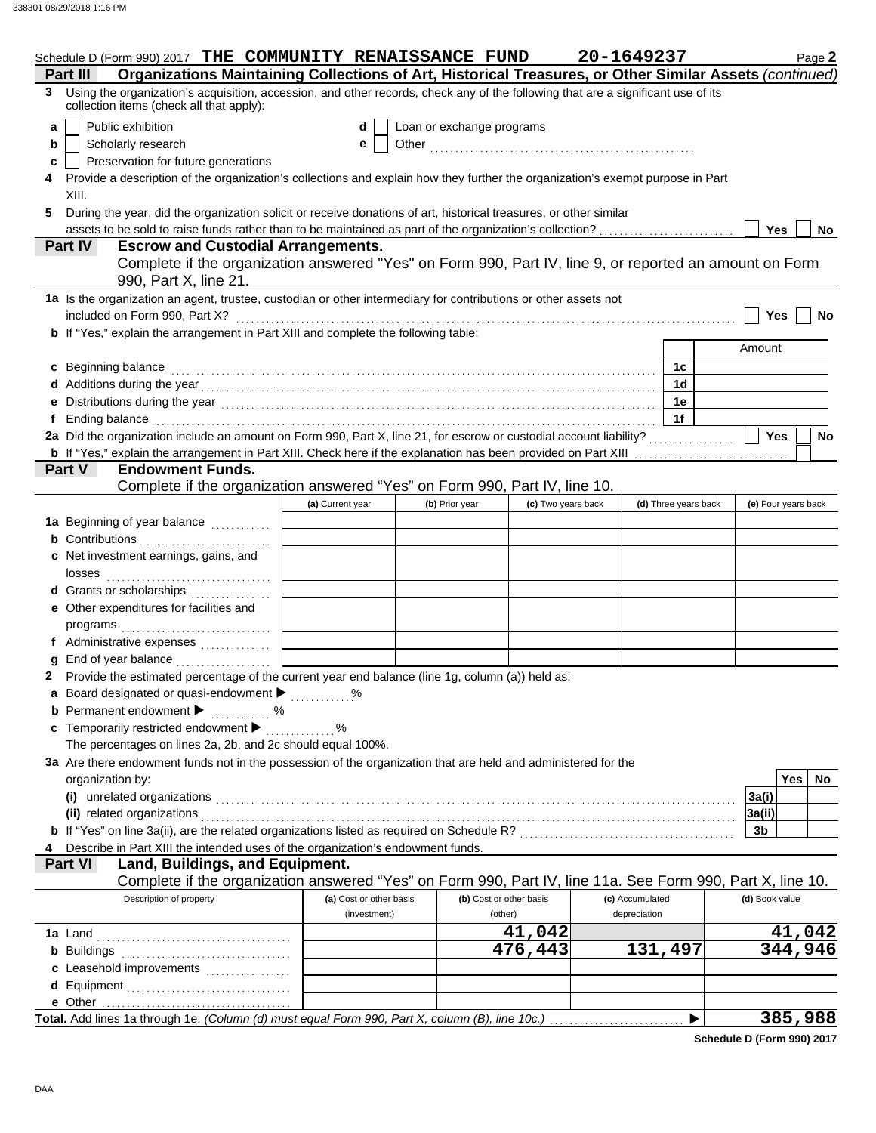|   | Schedule D (Form 990) 2017 THE COMMUNITY RENAISSANCE FUND                                                                                                                                                                      |                         |                           |                         | 20-1649237      |                      | Page 2              |
|---|--------------------------------------------------------------------------------------------------------------------------------------------------------------------------------------------------------------------------------|-------------------------|---------------------------|-------------------------|-----------------|----------------------|---------------------|
|   | Organizations Maintaining Collections of Art, Historical Treasures, or Other Similar Assets (continued)<br>Part III                                                                                                            |                         |                           |                         |                 |                      |                     |
| 3 | Using the organization's acquisition, accession, and other records, check any of the following that are a significant use of its<br>collection items (check all that apply):                                                   |                         |                           |                         |                 |                      |                     |
| a | Public exhibition                                                                                                                                                                                                              | d                       | Loan or exchange programs |                         |                 |                      |                     |
| b | Scholarly research                                                                                                                                                                                                             | е                       |                           |                         |                 |                      |                     |
| c | Preservation for future generations                                                                                                                                                                                            |                         |                           |                         |                 |                      |                     |
|   | Provide a description of the organization's collections and explain how they further the organization's exempt purpose in Part                                                                                                 |                         |                           |                         |                 |                      |                     |
|   | XIII.                                                                                                                                                                                                                          |                         |                           |                         |                 |                      |                     |
| 5 | During the year, did the organization solicit or receive donations of art, historical treasures, or other similar                                                                                                              |                         |                           |                         |                 |                      |                     |
|   | assets to be sold to raise funds rather than to be maintained as part of the organization's collection?                                                                                                                        |                         |                           |                         |                 |                      | Yes<br>No           |
|   | <b>Escrow and Custodial Arrangements.</b><br>Part IV                                                                                                                                                                           |                         |                           |                         |                 |                      |                     |
|   | Complete if the organization answered "Yes" on Form 990, Part IV, line 9, or reported an amount on Form<br>990, Part X, line 21.                                                                                               |                         |                           |                         |                 |                      |                     |
|   | 1a Is the organization an agent, trustee, custodian or other intermediary for contributions or other assets not                                                                                                                |                         |                           |                         |                 |                      |                     |
|   | included on Form 990, Part X?                                                                                                                                                                                                  |                         |                           |                         |                 |                      | Yes<br>No           |
|   | b If "Yes," explain the arrangement in Part XIII and complete the following table:                                                                                                                                             |                         |                           |                         |                 |                      |                     |
|   |                                                                                                                                                                                                                                |                         |                           |                         |                 |                      | Amount              |
|   | c Beginning balance                                                                                                                                                                                                            |                         |                           |                         |                 | 1с                   |                     |
|   |                                                                                                                                                                                                                                |                         |                           |                         |                 | 1 <sub>d</sub>       |                     |
|   |                                                                                                                                                                                                                                |                         |                           |                         |                 | 1e                   |                     |
|   | Ending balance encourance and all the contract of the contract of the contract of the contract of the contract of the contract of the contract of the contract of the contract of the contract of the contract of the contract |                         |                           |                         |                 | 1f                   |                     |
|   |                                                                                                                                                                                                                                |                         |                           |                         |                 |                      | <b>Yes</b><br>No    |
|   | b If "Yes," explain the arrangement in Part XIII. Check here if the explanation has been provided on Part XIII                                                                                                                 |                         |                           |                         |                 |                      |                     |
|   | Part V<br><b>Endowment Funds.</b>                                                                                                                                                                                              |                         |                           |                         |                 |                      |                     |
|   | Complete if the organization answered "Yes" on Form 990, Part IV, line 10.                                                                                                                                                     |                         |                           |                         |                 |                      |                     |
|   |                                                                                                                                                                                                                                | (a) Current year        | (b) Prior year            | (c) Two years back      |                 | (d) Three years back | (e) Four years back |
|   | 1a Beginning of year balance                                                                                                                                                                                                   |                         |                           |                         |                 |                      |                     |
|   | <b>b</b> Contributions <b>contributions</b>                                                                                                                                                                                    |                         |                           |                         |                 |                      |                     |
|   | c Net investment earnings, gains, and                                                                                                                                                                                          |                         |                           |                         |                 |                      |                     |
|   | losses                                                                                                                                                                                                                         |                         |                           |                         |                 |                      |                     |
|   | d Grants or scholarships                                                                                                                                                                                                       |                         |                           |                         |                 |                      |                     |
|   | e Other expenditures for facilities and                                                                                                                                                                                        |                         |                           |                         |                 |                      |                     |
|   |                                                                                                                                                                                                                                |                         |                           |                         |                 |                      |                     |
|   | f Administrative expenses                                                                                                                                                                                                      |                         |                           |                         |                 |                      |                     |
|   | End of year balance                                                                                                                                                                                                            |                         |                           |                         |                 |                      |                     |
|   | 2 Provide the estimated percentage of the current year end balance (line 1g, column (a)) held as:                                                                                                                              |                         |                           |                         |                 |                      |                     |
|   | a Board designated or quasi-endowment > 2000                                                                                                                                                                                   |                         |                           |                         |                 |                      |                     |
|   | <b>b</b> Permanent endowment $\blacktriangleright$<br>. %                                                                                                                                                                      |                         |                           |                         |                 |                      |                     |
|   | c Temporarily restricted endowment                                                                                                                                                                                             | %                       |                           |                         |                 |                      |                     |
|   | The percentages on lines 2a, 2b, and 2c should equal 100%.                                                                                                                                                                     |                         |                           |                         |                 |                      |                     |
|   | 3a Are there endowment funds not in the possession of the organization that are held and administered for the                                                                                                                  |                         |                           |                         |                 |                      | <b>Yes</b><br>No    |
|   | organization by:                                                                                                                                                                                                               |                         |                           |                         |                 |                      |                     |
|   | (i) unrelated organizations                                                                                                                                                                                                    |                         |                           |                         |                 |                      | 3a(i)               |
|   | (ii) related organizations<br>b If "Yes" on line 3a(ii), are the related organizations listed as required on Schedule R? [[[[[[[[[[[[[[[[[[[                                                                                   |                         |                           |                         |                 |                      | 3a(ii)<br>3b        |
|   | Describe in Part XIII the intended uses of the organization's endowment funds.                                                                                                                                                 |                         |                           |                         |                 |                      |                     |
|   | Land, Buildings, and Equipment.<br><b>Part VI</b>                                                                                                                                                                              |                         |                           |                         |                 |                      |                     |
|   | Complete if the organization answered "Yes" on Form 990, Part IV, line 11a. See Form 990, Part X, line 10.                                                                                                                     |                         |                           |                         |                 |                      |                     |
|   | Description of property                                                                                                                                                                                                        | (a) Cost or other basis |                           | (b) Cost or other basis | (c) Accumulated |                      | (d) Book value      |
|   |                                                                                                                                                                                                                                | (investment)            |                           | (other)                 | depreciation    |                      |                     |
|   |                                                                                                                                                                                                                                |                         |                           | 41,042                  |                 |                      | 41,042              |
|   | <b>b</b> Buildings                                                                                                                                                                                                             |                         |                           | 476,443                 |                 | 131,497              | 344,946             |
|   | c Leasehold improvements                                                                                                                                                                                                       |                         |                           |                         |                 |                      |                     |
|   |                                                                                                                                                                                                                                |                         |                           |                         |                 |                      |                     |
|   | e Other                                                                                                                                                                                                                        |                         |                           |                         |                 |                      |                     |
|   | Total. Add lines 1a through 1e. (Column (d) must equal Form 990, Part X, column (B), line 10c.)                                                                                                                                |                         |                           |                         |                 |                      | 385,988             |
|   |                                                                                                                                                                                                                                |                         |                           |                         |                 |                      |                     |

**Schedule D (Form 990) 2017**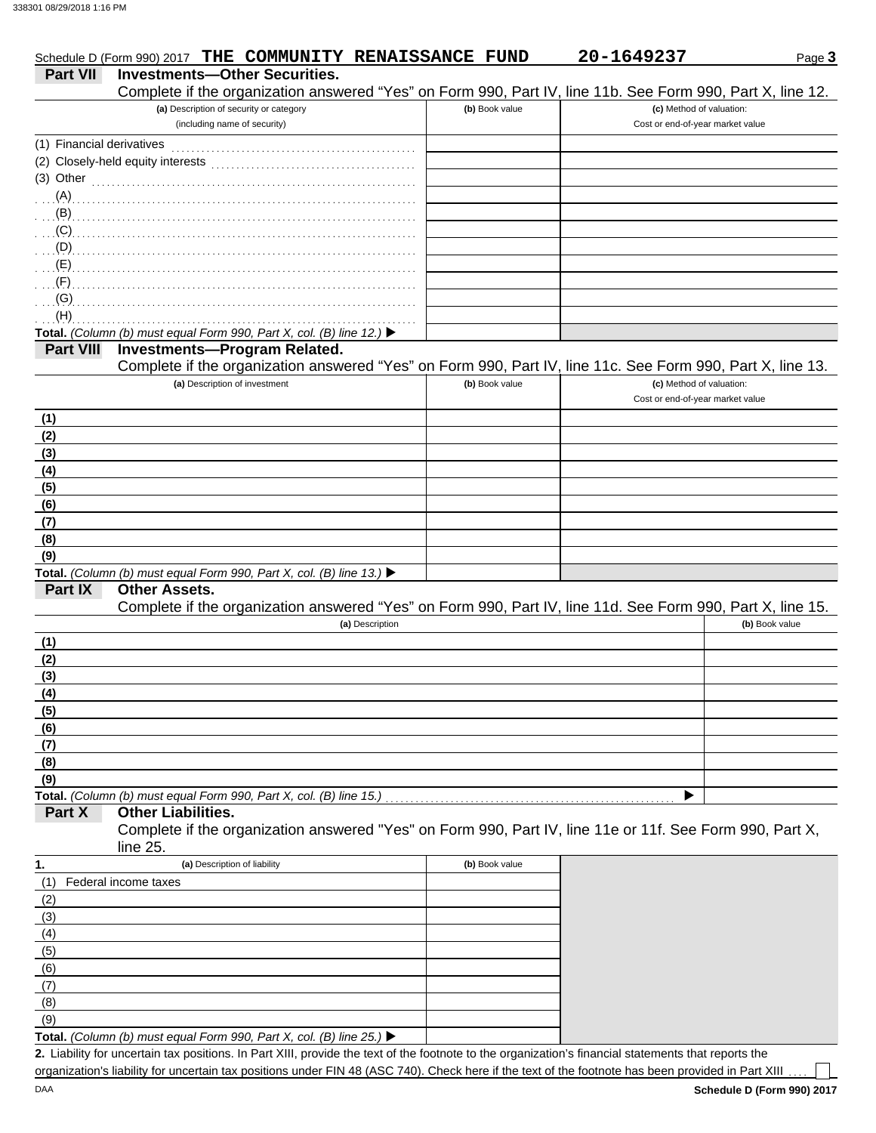|                           | Schedule D (Form 990) 2017 THE COMMUNITY RENAISSANCE FUND                                                                                   |                | 20-1649237                                                   | Page 3         |
|---------------------------|---------------------------------------------------------------------------------------------------------------------------------------------|----------------|--------------------------------------------------------------|----------------|
| <b>Part VII</b>           | <b>Investments-Other Securities.</b>                                                                                                        |                |                                                              |                |
|                           | Complete if the organization answered "Yes" on Form 990, Part IV, line 11b. See Form 990, Part X, line 12.                                  |                |                                                              |                |
|                           | (a) Description of security or category<br>(including name of security)                                                                     | (b) Book value | (c) Method of valuation:<br>Cost or end-of-year market value |                |
| (1) Financial derivatives |                                                                                                                                             |                |                                                              |                |
|                           | (2) Closely-held equity interests                                                                                                           |                |                                                              |                |
| (3) Other                 |                                                                                                                                             |                |                                                              |                |
| $(A)$                     |                                                                                                                                             |                |                                                              |                |
| (B)<br>(C)                |                                                                                                                                             |                |                                                              |                |
| (D)                       |                                                                                                                                             |                |                                                              |                |
| (E)                       |                                                                                                                                             |                |                                                              |                |
| (F)                       |                                                                                                                                             |                |                                                              |                |
| (G)                       |                                                                                                                                             |                |                                                              |                |
| (H)                       |                                                                                                                                             |                |                                                              |                |
|                           | Total. (Column (b) must equal Form 990, Part X, col. (B) line 12.) ▶                                                                        |                |                                                              |                |
| <b>Part VIII</b>          | <b>Investments-Program Related.</b>                                                                                                         |                |                                                              |                |
|                           | Complete if the organization answered "Yes" on Form 990, Part IV, line 11c. See Form 990, Part X, line 13.<br>(a) Description of investment | (b) Book value | (c) Method of valuation:                                     |                |
|                           |                                                                                                                                             |                | Cost or end-of-year market value                             |                |
| (1)                       |                                                                                                                                             |                |                                                              |                |
| (2)                       |                                                                                                                                             |                |                                                              |                |
| (3)                       |                                                                                                                                             |                |                                                              |                |
| (4)                       |                                                                                                                                             |                |                                                              |                |
| (5)                       |                                                                                                                                             |                |                                                              |                |
| (6)                       |                                                                                                                                             |                |                                                              |                |
| (7)                       |                                                                                                                                             |                |                                                              |                |
| (8)<br>(9)                |                                                                                                                                             |                |                                                              |                |
|                           | Total. (Column (b) must equal Form 990, Part X, col. (B) line 13.) ▶                                                                        |                |                                                              |                |
| Part IX                   | <b>Other Assets.</b>                                                                                                                        |                |                                                              |                |
|                           | Complete if the organization answered "Yes" on Form 990, Part IV, line 11d. See Form 990, Part X, line 15.                                  |                |                                                              |                |
|                           | (a) Description                                                                                                                             |                |                                                              | (b) Book value |
| (1)                       |                                                                                                                                             |                |                                                              |                |
| (2)                       |                                                                                                                                             |                |                                                              |                |
| (3)                       |                                                                                                                                             |                |                                                              |                |
| (4)<br>(5)                |                                                                                                                                             |                |                                                              |                |
| (6)                       |                                                                                                                                             |                |                                                              |                |
| (7)                       |                                                                                                                                             |                |                                                              |                |
| (8)                       |                                                                                                                                             |                |                                                              |                |
| (9)                       |                                                                                                                                             |                |                                                              |                |
| Part X                    | Total. (Column (b) must equal Form 990, Part X, col. (B) line 15.)<br><b>Other Liabilities.</b>                                             |                |                                                              |                |
|                           | Complete if the organization answered "Yes" on Form 990, Part IV, line 11e or 11f. See Form 990, Part X,                                    |                |                                                              |                |
| 1.                        | line 25.<br>(a) Description of liability                                                                                                    | (b) Book value |                                                              |                |
| (1)                       | Federal income taxes                                                                                                                        |                |                                                              |                |
| (2)                       |                                                                                                                                             |                |                                                              |                |
| (3)                       |                                                                                                                                             |                |                                                              |                |
| (4)                       |                                                                                                                                             |                |                                                              |                |
| (5)                       |                                                                                                                                             |                |                                                              |                |
| (6)                       |                                                                                                                                             |                |                                                              |                |
| (7)                       |                                                                                                                                             |                |                                                              |                |
| (8)                       |                                                                                                                                             |                |                                                              |                |
| (9)                       |                                                                                                                                             |                |                                                              |                |

**Total.** *(Column (b) must equal Form 990, Part X, col. (B) line 25.)* 

Liability for uncertain tax positions. In Part XIII, provide the text of the footnote to the organization's financial statements that reports the **2.** organization's liability for uncertain tax positions under FIN 48 (ASC 740). Check here if the text of the footnote has been provided in Part XIII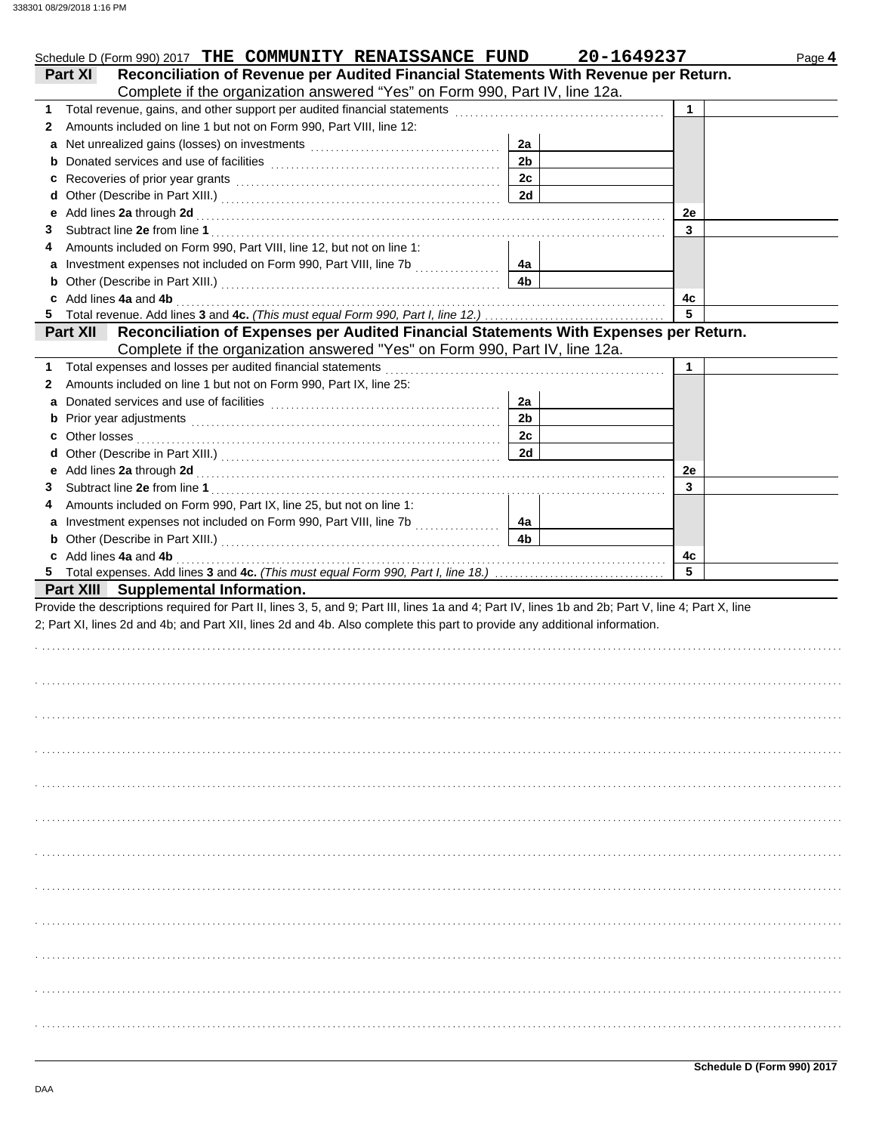| Schedule D (Form 990) 2017 THE COMMUNITY RENAISSANCE FUND                                                                                          |                | 20-1649237<br>Page 4 |
|----------------------------------------------------------------------------------------------------------------------------------------------------|----------------|----------------------|
| Reconciliation of Revenue per Audited Financial Statements With Revenue per Return.<br><b>Part XI</b>                                              |                |                      |
| Complete if the organization answered "Yes" on Form 990, Part IV, line 12a.                                                                        |                |                      |
|                                                                                                                                                    |                | 1                    |
| Amounts included on line 1 but not on Form 990, Part VIII, line 12:<br>$\mathbf{2}$                                                                |                |                      |
| a Net unrealized gains (losses) on investments [111] [11] Net unrealized gains (losses) on investments [11] $\cdot$                                | 2a             |                      |
|                                                                                                                                                    | 2 <sub>b</sub> |                      |
|                                                                                                                                                    | 2c             |                      |
|                                                                                                                                                    | 2d             |                      |
|                                                                                                                                                    |                | 2e                   |
| 3                                                                                                                                                  |                | 3                    |
| Amounts included on Form 990, Part VIII, line 12, but not on line 1:<br>4                                                                          |                |                      |
|                                                                                                                                                    | 4a             |                      |
|                                                                                                                                                    | 4b             |                      |
| c Add lines 4a and 4b                                                                                                                              |                | 4c                   |
|                                                                                                                                                    |                | 5                    |
| Part XII Reconciliation of Expenses per Audited Financial Statements With Expenses per Return.                                                     |                |                      |
| Complete if the organization answered "Yes" on Form 990, Part IV, line 12a.                                                                        |                |                      |
| 1 Total expenses and losses per audited financial statements                                                                                       |                | 1                    |
| Amounts included on line 1 but not on Form 990, Part IX, line 25:<br>2                                                                             |                |                      |
|                                                                                                                                                    | 2a             |                      |
|                                                                                                                                                    | 2 <sub>b</sub> |                      |
|                                                                                                                                                    | 2c             |                      |
|                                                                                                                                                    | 2d             |                      |
|                                                                                                                                                    |                | 2e                   |
| 3                                                                                                                                                  |                | 3                    |
| Amounts included on Form 990, Part IX, line 25, but not on line 1:<br>4                                                                            |                |                      |
|                                                                                                                                                    | 4a             |                      |
|                                                                                                                                                    | 4 <sub>b</sub> |                      |
| c Add lines 4a and 4b                                                                                                                              |                | 4c                   |
|                                                                                                                                                    |                | 5                    |
| Part XIII Supplemental Information.                                                                                                                |                |                      |
| Provide the descriptions required for Part II, lines 3, 5, and 9; Part III, lines 1a and 4; Part IV, lines 1b and 2b; Part V, line 4; Part X, line |                |                      |
| 2; Part XI, lines 2d and 4b; and Part XII, lines 2d and 4b. Also complete this part to provide any additional information.                         |                |                      |
|                                                                                                                                                    |                |                      |
|                                                                                                                                                    |                |                      |
|                                                                                                                                                    |                |                      |
|                                                                                                                                                    |                |                      |
|                                                                                                                                                    |                |                      |
|                                                                                                                                                    |                |                      |
|                                                                                                                                                    |                |                      |
|                                                                                                                                                    |                |                      |
|                                                                                                                                                    |                |                      |
|                                                                                                                                                    |                |                      |
|                                                                                                                                                    |                |                      |
|                                                                                                                                                    |                |                      |
|                                                                                                                                                    |                |                      |
|                                                                                                                                                    |                |                      |
|                                                                                                                                                    |                |                      |
|                                                                                                                                                    |                |                      |
|                                                                                                                                                    |                |                      |
|                                                                                                                                                    |                |                      |
|                                                                                                                                                    |                |                      |
|                                                                                                                                                    |                |                      |
|                                                                                                                                                    |                |                      |
|                                                                                                                                                    |                |                      |
|                                                                                                                                                    |                |                      |
|                                                                                                                                                    |                |                      |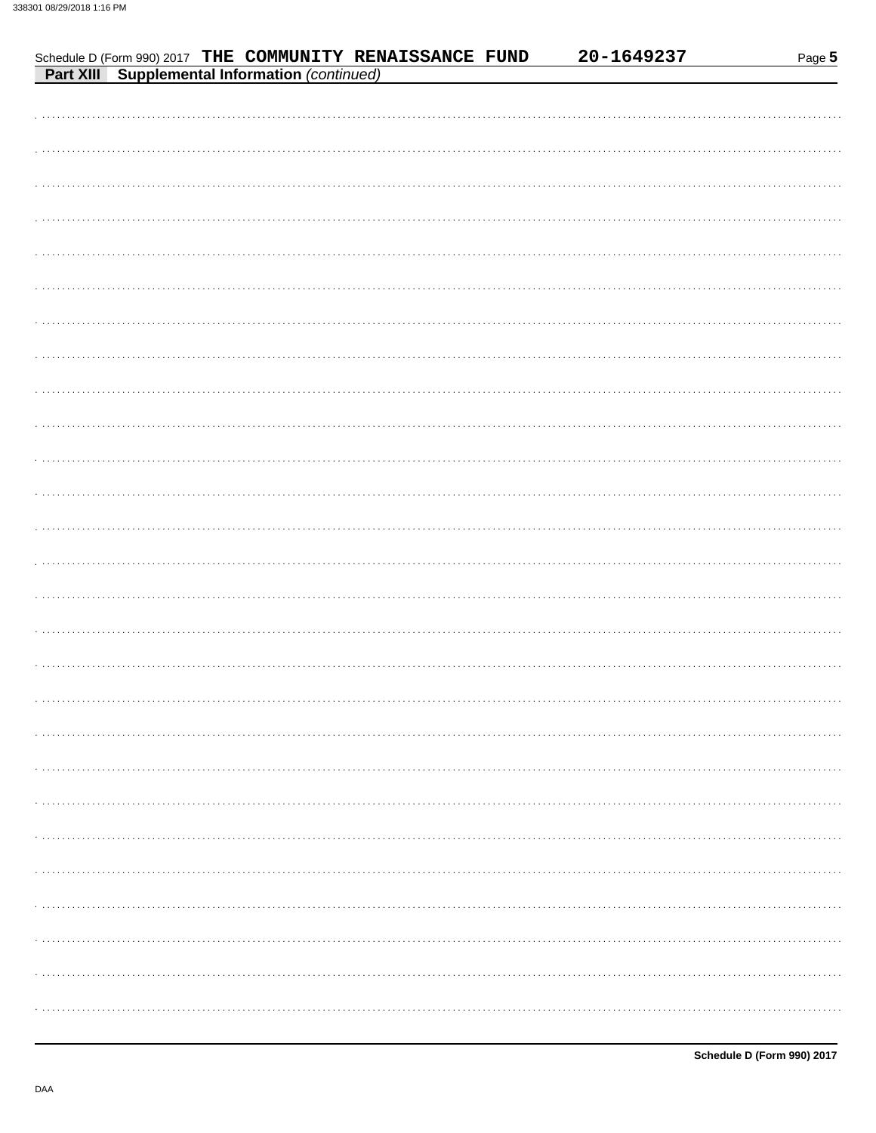| Schedule D (Form 990) 2017 THE COMMUNITY RENAISSANCE FUND<br>Part XIII Supplemental Information (continued) | 20-1649237 | Page 5 |
|-------------------------------------------------------------------------------------------------------------|------------|--------|
|                                                                                                             |            |        |
|                                                                                                             |            |        |
|                                                                                                             |            |        |
|                                                                                                             |            |        |
|                                                                                                             |            |        |
|                                                                                                             |            |        |
|                                                                                                             |            |        |
|                                                                                                             |            |        |
|                                                                                                             |            |        |
|                                                                                                             |            |        |
|                                                                                                             |            |        |
|                                                                                                             |            |        |
|                                                                                                             |            |        |
|                                                                                                             |            |        |
|                                                                                                             |            |        |
|                                                                                                             |            |        |
|                                                                                                             |            |        |
|                                                                                                             |            |        |
|                                                                                                             |            |        |
|                                                                                                             |            |        |
|                                                                                                             |            | .      |
|                                                                                                             |            |        |
|                                                                                                             |            |        |
|                                                                                                             |            |        |
|                                                                                                             |            | .      |
|                                                                                                             |            |        |
|                                                                                                             |            |        |
|                                                                                                             |            |        |
|                                                                                                             |            |        |
|                                                                                                             |            |        |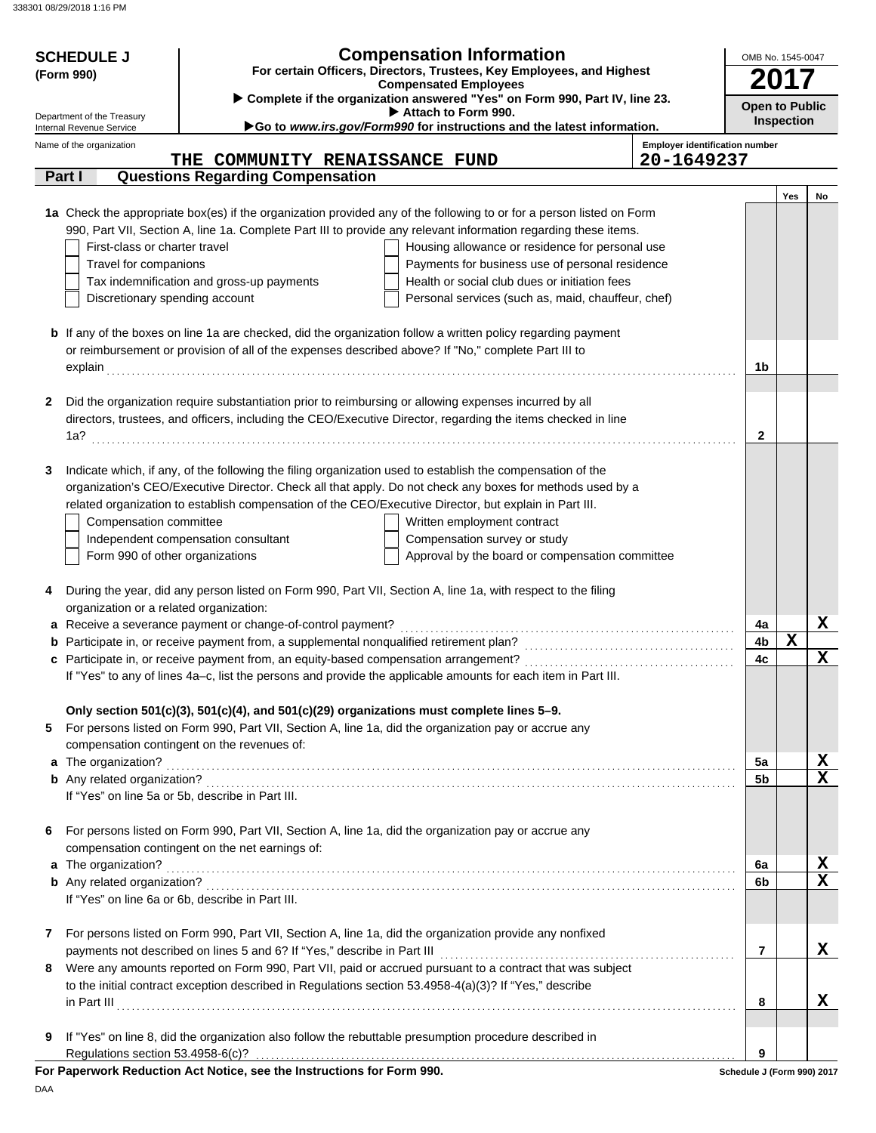| Complete if the organization answered "Yes" on Form 990, Part IV, line 23.<br><b>Open to Public</b><br>Attach to Form 990.<br>Department of the Treasury<br><b>Inspection</b><br>Go to www.irs.gov/Form990 for instructions and the latest information.<br>Internal Revenue Service<br><b>Employer identification number</b><br>Name of the organization<br>20-1649237<br>THE COMMUNITY RENAISSANCE FUND<br><b>Questions Regarding Compensation</b><br>Part I<br>Yes<br>No<br>1a Check the appropriate box(es) if the organization provided any of the following to or for a person listed on Form<br>990, Part VII, Section A, line 1a. Complete Part III to provide any relevant information regarding these items.<br>First-class or charter travel<br>Housing allowance or residence for personal use<br>Travel for companions<br>Payments for business use of personal residence<br>Tax indemnification and gross-up payments<br>Health or social club dues or initiation fees<br>Personal services (such as, maid, chauffeur, chef)<br>Discretionary spending account<br><b>b</b> If any of the boxes on line 1a are checked, did the organization follow a written policy regarding payment<br>or reimbursement or provision of all of the expenses described above? If "No," complete Part III to<br>1b<br>explain<br>Did the organization require substantiation prior to reimbursing or allowing expenses incurred by all<br>2<br>directors, trustees, and officers, including the CEO/Executive Director, regarding the items checked in line<br>$\mathbf{2}$<br>Indicate which, if any, of the following the filing organization used to establish the compensation of the<br>3<br>organization's CEO/Executive Director. Check all that apply. Do not check any boxes for methods used by a<br>related organization to establish compensation of the CEO/Executive Director, but explain in Part III.<br>Written employment contract<br>Compensation committee<br>Independent compensation consultant<br>Compensation survey or study<br>Form 990 of other organizations<br>Approval by the board or compensation committee<br>During the year, did any person listed on Form 990, Part VII, Section A, line 1a, with respect to the filing<br>4<br>organization or a related organization:<br>X<br>a Receive a severance payment or change-of-control payment?<br>4a<br>X<br><b>b</b> Participate in, or receive payment from, a supplemental nonqualified retirement plan?<br>4b<br>X<br>4c<br>If "Yes" to any of lines 4a-c, list the persons and provide the applicable amounts for each item in Part III.<br>Only section 501(c)(3), 501(c)(4), and 501(c)(29) organizations must complete lines 5-9.<br>For persons listed on Form 990, Part VII, Section A, line 1a, did the organization pay or accrue any<br>5<br>compensation contingent on the revenues of:<br>X<br>5a<br>$\overline{\mathbf{x}}$<br>5 <sub>b</sub><br>If "Yes" on line 5a or 5b, describe in Part III.<br>For persons listed on Form 990, Part VII, Section A, line 1a, did the organization pay or accrue any<br>6<br>compensation contingent on the net earnings of:<br>X<br>a The organization?<br>6a<br>$\overline{\mathbf{x}}$<br>6b<br>If "Yes" on line 6a or 6b, describe in Part III.<br>For persons listed on Form 990, Part VII, Section A, line 1a, did the organization provide any nonfixed<br>7<br>X<br>$\overline{7}$<br>Were any amounts reported on Form 990, Part VII, paid or accrued pursuant to a contract that was subject<br>8<br>to the initial contract exception described in Regulations section 53.4958-4(a)(3)? If "Yes," describe<br>x<br>8<br>If "Yes" on line 8, did the organization also follow the rebuttable presumption procedure described in<br>9<br>Regulations section 53.4958-6(c)?<br>9<br>For Paperwork Reduction Act Notice, see the Instructions for Form 990.<br>Schedule J (Form 990) 2017 | <b>SCHEDULE J</b><br>(Form 990) | <b>Compensation Information</b><br>For certain Officers, Directors, Trustees, Key Employees, and Highest | OMB No. 1545-0047 |  |
|-------------------------------------------------------------------------------------------------------------------------------------------------------------------------------------------------------------------------------------------------------------------------------------------------------------------------------------------------------------------------------------------------------------------------------------------------------------------------------------------------------------------------------------------------------------------------------------------------------------------------------------------------------------------------------------------------------------------------------------------------------------------------------------------------------------------------------------------------------------------------------------------------------------------------------------------------------------------------------------------------------------------------------------------------------------------------------------------------------------------------------------------------------------------------------------------------------------------------------------------------------------------------------------------------------------------------------------------------------------------------------------------------------------------------------------------------------------------------------------------------------------------------------------------------------------------------------------------------------------------------------------------------------------------------------------------------------------------------------------------------------------------------------------------------------------------------------------------------------------------------------------------------------------------------------------------------------------------------------------------------------------------------------------------------------------------------------------------------------------------------------------------------------------------------------------------------------------------------------------------------------------------------------------------------------------------------------------------------------------------------------------------------------------------------------------------------------------------------------------------------------------------------------------------------------------------------------------------------------------------------------------------------------------------------------------------------------------------------------------------------------------------------------------------------------------------------------------------------------------------------------------------------------------------------------------------------------------------------------------------------------------------------------------------------------------------------------------------------------------------------------------------------------------------------------------------------------------------------------------------------------------------------------------------------------------------------------------------------------------------------------------------------------------------------------------------------------------------------------------------------------------------------------------------------------------------------------------------------------------------------------------------------------------------------------------------------------------------------------------------------------------------------------------------------------------------------------------------------------------------------------------------------------------------------------------|---------------------------------|----------------------------------------------------------------------------------------------------------|-------------------|--|
|                                                                                                                                                                                                                                                                                                                                                                                                                                                                                                                                                                                                                                                                                                                                                                                                                                                                                                                                                                                                                                                                                                                                                                                                                                                                                                                                                                                                                                                                                                                                                                                                                                                                                                                                                                                                                                                                                                                                                                                                                                                                                                                                                                                                                                                                                                                                                                                                                                                                                                                                                                                                                                                                                                                                                                                                                                                                                                                                                                                                                                                                                                                                                                                                                                                                                                                                                                                                                                                                                                                                                                                                                                                                                                                                                                                                                                                                                                                                     |                                 | <b>Compensated Employees</b>                                                                             |                   |  |
|                                                                                                                                                                                                                                                                                                                                                                                                                                                                                                                                                                                                                                                                                                                                                                                                                                                                                                                                                                                                                                                                                                                                                                                                                                                                                                                                                                                                                                                                                                                                                                                                                                                                                                                                                                                                                                                                                                                                                                                                                                                                                                                                                                                                                                                                                                                                                                                                                                                                                                                                                                                                                                                                                                                                                                                                                                                                                                                                                                                                                                                                                                                                                                                                                                                                                                                                                                                                                                                                                                                                                                                                                                                                                                                                                                                                                                                                                                                                     |                                 |                                                                                                          |                   |  |
|                                                                                                                                                                                                                                                                                                                                                                                                                                                                                                                                                                                                                                                                                                                                                                                                                                                                                                                                                                                                                                                                                                                                                                                                                                                                                                                                                                                                                                                                                                                                                                                                                                                                                                                                                                                                                                                                                                                                                                                                                                                                                                                                                                                                                                                                                                                                                                                                                                                                                                                                                                                                                                                                                                                                                                                                                                                                                                                                                                                                                                                                                                                                                                                                                                                                                                                                                                                                                                                                                                                                                                                                                                                                                                                                                                                                                                                                                                                                     |                                 |                                                                                                          |                   |  |
|                                                                                                                                                                                                                                                                                                                                                                                                                                                                                                                                                                                                                                                                                                                                                                                                                                                                                                                                                                                                                                                                                                                                                                                                                                                                                                                                                                                                                                                                                                                                                                                                                                                                                                                                                                                                                                                                                                                                                                                                                                                                                                                                                                                                                                                                                                                                                                                                                                                                                                                                                                                                                                                                                                                                                                                                                                                                                                                                                                                                                                                                                                                                                                                                                                                                                                                                                                                                                                                                                                                                                                                                                                                                                                                                                                                                                                                                                                                                     |                                 |                                                                                                          |                   |  |
|                                                                                                                                                                                                                                                                                                                                                                                                                                                                                                                                                                                                                                                                                                                                                                                                                                                                                                                                                                                                                                                                                                                                                                                                                                                                                                                                                                                                                                                                                                                                                                                                                                                                                                                                                                                                                                                                                                                                                                                                                                                                                                                                                                                                                                                                                                                                                                                                                                                                                                                                                                                                                                                                                                                                                                                                                                                                                                                                                                                                                                                                                                                                                                                                                                                                                                                                                                                                                                                                                                                                                                                                                                                                                                                                                                                                                                                                                                                                     |                                 |                                                                                                          |                   |  |
|                                                                                                                                                                                                                                                                                                                                                                                                                                                                                                                                                                                                                                                                                                                                                                                                                                                                                                                                                                                                                                                                                                                                                                                                                                                                                                                                                                                                                                                                                                                                                                                                                                                                                                                                                                                                                                                                                                                                                                                                                                                                                                                                                                                                                                                                                                                                                                                                                                                                                                                                                                                                                                                                                                                                                                                                                                                                                                                                                                                                                                                                                                                                                                                                                                                                                                                                                                                                                                                                                                                                                                                                                                                                                                                                                                                                                                                                                                                                     |                                 |                                                                                                          |                   |  |
|                                                                                                                                                                                                                                                                                                                                                                                                                                                                                                                                                                                                                                                                                                                                                                                                                                                                                                                                                                                                                                                                                                                                                                                                                                                                                                                                                                                                                                                                                                                                                                                                                                                                                                                                                                                                                                                                                                                                                                                                                                                                                                                                                                                                                                                                                                                                                                                                                                                                                                                                                                                                                                                                                                                                                                                                                                                                                                                                                                                                                                                                                                                                                                                                                                                                                                                                                                                                                                                                                                                                                                                                                                                                                                                                                                                                                                                                                                                                     |                                 |                                                                                                          |                   |  |
|                                                                                                                                                                                                                                                                                                                                                                                                                                                                                                                                                                                                                                                                                                                                                                                                                                                                                                                                                                                                                                                                                                                                                                                                                                                                                                                                                                                                                                                                                                                                                                                                                                                                                                                                                                                                                                                                                                                                                                                                                                                                                                                                                                                                                                                                                                                                                                                                                                                                                                                                                                                                                                                                                                                                                                                                                                                                                                                                                                                                                                                                                                                                                                                                                                                                                                                                                                                                                                                                                                                                                                                                                                                                                                                                                                                                                                                                                                                                     |                                 |                                                                                                          |                   |  |
|                                                                                                                                                                                                                                                                                                                                                                                                                                                                                                                                                                                                                                                                                                                                                                                                                                                                                                                                                                                                                                                                                                                                                                                                                                                                                                                                                                                                                                                                                                                                                                                                                                                                                                                                                                                                                                                                                                                                                                                                                                                                                                                                                                                                                                                                                                                                                                                                                                                                                                                                                                                                                                                                                                                                                                                                                                                                                                                                                                                                                                                                                                                                                                                                                                                                                                                                                                                                                                                                                                                                                                                                                                                                                                                                                                                                                                                                                                                                     |                                 |                                                                                                          |                   |  |
|                                                                                                                                                                                                                                                                                                                                                                                                                                                                                                                                                                                                                                                                                                                                                                                                                                                                                                                                                                                                                                                                                                                                                                                                                                                                                                                                                                                                                                                                                                                                                                                                                                                                                                                                                                                                                                                                                                                                                                                                                                                                                                                                                                                                                                                                                                                                                                                                                                                                                                                                                                                                                                                                                                                                                                                                                                                                                                                                                                                                                                                                                                                                                                                                                                                                                                                                                                                                                                                                                                                                                                                                                                                                                                                                                                                                                                                                                                                                     |                                 |                                                                                                          |                   |  |
|                                                                                                                                                                                                                                                                                                                                                                                                                                                                                                                                                                                                                                                                                                                                                                                                                                                                                                                                                                                                                                                                                                                                                                                                                                                                                                                                                                                                                                                                                                                                                                                                                                                                                                                                                                                                                                                                                                                                                                                                                                                                                                                                                                                                                                                                                                                                                                                                                                                                                                                                                                                                                                                                                                                                                                                                                                                                                                                                                                                                                                                                                                                                                                                                                                                                                                                                                                                                                                                                                                                                                                                                                                                                                                                                                                                                                                                                                                                                     |                                 |                                                                                                          |                   |  |
|                                                                                                                                                                                                                                                                                                                                                                                                                                                                                                                                                                                                                                                                                                                                                                                                                                                                                                                                                                                                                                                                                                                                                                                                                                                                                                                                                                                                                                                                                                                                                                                                                                                                                                                                                                                                                                                                                                                                                                                                                                                                                                                                                                                                                                                                                                                                                                                                                                                                                                                                                                                                                                                                                                                                                                                                                                                                                                                                                                                                                                                                                                                                                                                                                                                                                                                                                                                                                                                                                                                                                                                                                                                                                                                                                                                                                                                                                                                                     |                                 |                                                                                                          |                   |  |
|                                                                                                                                                                                                                                                                                                                                                                                                                                                                                                                                                                                                                                                                                                                                                                                                                                                                                                                                                                                                                                                                                                                                                                                                                                                                                                                                                                                                                                                                                                                                                                                                                                                                                                                                                                                                                                                                                                                                                                                                                                                                                                                                                                                                                                                                                                                                                                                                                                                                                                                                                                                                                                                                                                                                                                                                                                                                                                                                                                                                                                                                                                                                                                                                                                                                                                                                                                                                                                                                                                                                                                                                                                                                                                                                                                                                                                                                                                                                     |                                 |                                                                                                          |                   |  |
|                                                                                                                                                                                                                                                                                                                                                                                                                                                                                                                                                                                                                                                                                                                                                                                                                                                                                                                                                                                                                                                                                                                                                                                                                                                                                                                                                                                                                                                                                                                                                                                                                                                                                                                                                                                                                                                                                                                                                                                                                                                                                                                                                                                                                                                                                                                                                                                                                                                                                                                                                                                                                                                                                                                                                                                                                                                                                                                                                                                                                                                                                                                                                                                                                                                                                                                                                                                                                                                                                                                                                                                                                                                                                                                                                                                                                                                                                                                                     |                                 |                                                                                                          |                   |  |
|                                                                                                                                                                                                                                                                                                                                                                                                                                                                                                                                                                                                                                                                                                                                                                                                                                                                                                                                                                                                                                                                                                                                                                                                                                                                                                                                                                                                                                                                                                                                                                                                                                                                                                                                                                                                                                                                                                                                                                                                                                                                                                                                                                                                                                                                                                                                                                                                                                                                                                                                                                                                                                                                                                                                                                                                                                                                                                                                                                                                                                                                                                                                                                                                                                                                                                                                                                                                                                                                                                                                                                                                                                                                                                                                                                                                                                                                                                                                     |                                 |                                                                                                          |                   |  |
|                                                                                                                                                                                                                                                                                                                                                                                                                                                                                                                                                                                                                                                                                                                                                                                                                                                                                                                                                                                                                                                                                                                                                                                                                                                                                                                                                                                                                                                                                                                                                                                                                                                                                                                                                                                                                                                                                                                                                                                                                                                                                                                                                                                                                                                                                                                                                                                                                                                                                                                                                                                                                                                                                                                                                                                                                                                                                                                                                                                                                                                                                                                                                                                                                                                                                                                                                                                                                                                                                                                                                                                                                                                                                                                                                                                                                                                                                                                                     |                                 |                                                                                                          |                   |  |
|                                                                                                                                                                                                                                                                                                                                                                                                                                                                                                                                                                                                                                                                                                                                                                                                                                                                                                                                                                                                                                                                                                                                                                                                                                                                                                                                                                                                                                                                                                                                                                                                                                                                                                                                                                                                                                                                                                                                                                                                                                                                                                                                                                                                                                                                                                                                                                                                                                                                                                                                                                                                                                                                                                                                                                                                                                                                                                                                                                                                                                                                                                                                                                                                                                                                                                                                                                                                                                                                                                                                                                                                                                                                                                                                                                                                                                                                                                                                     |                                 |                                                                                                          |                   |  |
|                                                                                                                                                                                                                                                                                                                                                                                                                                                                                                                                                                                                                                                                                                                                                                                                                                                                                                                                                                                                                                                                                                                                                                                                                                                                                                                                                                                                                                                                                                                                                                                                                                                                                                                                                                                                                                                                                                                                                                                                                                                                                                                                                                                                                                                                                                                                                                                                                                                                                                                                                                                                                                                                                                                                                                                                                                                                                                                                                                                                                                                                                                                                                                                                                                                                                                                                                                                                                                                                                                                                                                                                                                                                                                                                                                                                                                                                                                                                     |                                 |                                                                                                          |                   |  |
|                                                                                                                                                                                                                                                                                                                                                                                                                                                                                                                                                                                                                                                                                                                                                                                                                                                                                                                                                                                                                                                                                                                                                                                                                                                                                                                                                                                                                                                                                                                                                                                                                                                                                                                                                                                                                                                                                                                                                                                                                                                                                                                                                                                                                                                                                                                                                                                                                                                                                                                                                                                                                                                                                                                                                                                                                                                                                                                                                                                                                                                                                                                                                                                                                                                                                                                                                                                                                                                                                                                                                                                                                                                                                                                                                                                                                                                                                                                                     |                                 |                                                                                                          |                   |  |
|                                                                                                                                                                                                                                                                                                                                                                                                                                                                                                                                                                                                                                                                                                                                                                                                                                                                                                                                                                                                                                                                                                                                                                                                                                                                                                                                                                                                                                                                                                                                                                                                                                                                                                                                                                                                                                                                                                                                                                                                                                                                                                                                                                                                                                                                                                                                                                                                                                                                                                                                                                                                                                                                                                                                                                                                                                                                                                                                                                                                                                                                                                                                                                                                                                                                                                                                                                                                                                                                                                                                                                                                                                                                                                                                                                                                                                                                                                                                     |                                 |                                                                                                          |                   |  |
|                                                                                                                                                                                                                                                                                                                                                                                                                                                                                                                                                                                                                                                                                                                                                                                                                                                                                                                                                                                                                                                                                                                                                                                                                                                                                                                                                                                                                                                                                                                                                                                                                                                                                                                                                                                                                                                                                                                                                                                                                                                                                                                                                                                                                                                                                                                                                                                                                                                                                                                                                                                                                                                                                                                                                                                                                                                                                                                                                                                                                                                                                                                                                                                                                                                                                                                                                                                                                                                                                                                                                                                                                                                                                                                                                                                                                                                                                                                                     |                                 |                                                                                                          |                   |  |
|                                                                                                                                                                                                                                                                                                                                                                                                                                                                                                                                                                                                                                                                                                                                                                                                                                                                                                                                                                                                                                                                                                                                                                                                                                                                                                                                                                                                                                                                                                                                                                                                                                                                                                                                                                                                                                                                                                                                                                                                                                                                                                                                                                                                                                                                                                                                                                                                                                                                                                                                                                                                                                                                                                                                                                                                                                                                                                                                                                                                                                                                                                                                                                                                                                                                                                                                                                                                                                                                                                                                                                                                                                                                                                                                                                                                                                                                                                                                     |                                 |                                                                                                          |                   |  |
|                                                                                                                                                                                                                                                                                                                                                                                                                                                                                                                                                                                                                                                                                                                                                                                                                                                                                                                                                                                                                                                                                                                                                                                                                                                                                                                                                                                                                                                                                                                                                                                                                                                                                                                                                                                                                                                                                                                                                                                                                                                                                                                                                                                                                                                                                                                                                                                                                                                                                                                                                                                                                                                                                                                                                                                                                                                                                                                                                                                                                                                                                                                                                                                                                                                                                                                                                                                                                                                                                                                                                                                                                                                                                                                                                                                                                                                                                                                                     |                                 |                                                                                                          |                   |  |
|                                                                                                                                                                                                                                                                                                                                                                                                                                                                                                                                                                                                                                                                                                                                                                                                                                                                                                                                                                                                                                                                                                                                                                                                                                                                                                                                                                                                                                                                                                                                                                                                                                                                                                                                                                                                                                                                                                                                                                                                                                                                                                                                                                                                                                                                                                                                                                                                                                                                                                                                                                                                                                                                                                                                                                                                                                                                                                                                                                                                                                                                                                                                                                                                                                                                                                                                                                                                                                                                                                                                                                                                                                                                                                                                                                                                                                                                                                                                     |                                 |                                                                                                          |                   |  |
|                                                                                                                                                                                                                                                                                                                                                                                                                                                                                                                                                                                                                                                                                                                                                                                                                                                                                                                                                                                                                                                                                                                                                                                                                                                                                                                                                                                                                                                                                                                                                                                                                                                                                                                                                                                                                                                                                                                                                                                                                                                                                                                                                                                                                                                                                                                                                                                                                                                                                                                                                                                                                                                                                                                                                                                                                                                                                                                                                                                                                                                                                                                                                                                                                                                                                                                                                                                                                                                                                                                                                                                                                                                                                                                                                                                                                                                                                                                                     |                                 |                                                                                                          |                   |  |
|                                                                                                                                                                                                                                                                                                                                                                                                                                                                                                                                                                                                                                                                                                                                                                                                                                                                                                                                                                                                                                                                                                                                                                                                                                                                                                                                                                                                                                                                                                                                                                                                                                                                                                                                                                                                                                                                                                                                                                                                                                                                                                                                                                                                                                                                                                                                                                                                                                                                                                                                                                                                                                                                                                                                                                                                                                                                                                                                                                                                                                                                                                                                                                                                                                                                                                                                                                                                                                                                                                                                                                                                                                                                                                                                                                                                                                                                                                                                     |                                 |                                                                                                          |                   |  |
|                                                                                                                                                                                                                                                                                                                                                                                                                                                                                                                                                                                                                                                                                                                                                                                                                                                                                                                                                                                                                                                                                                                                                                                                                                                                                                                                                                                                                                                                                                                                                                                                                                                                                                                                                                                                                                                                                                                                                                                                                                                                                                                                                                                                                                                                                                                                                                                                                                                                                                                                                                                                                                                                                                                                                                                                                                                                                                                                                                                                                                                                                                                                                                                                                                                                                                                                                                                                                                                                                                                                                                                                                                                                                                                                                                                                                                                                                                                                     |                                 |                                                                                                          |                   |  |
|                                                                                                                                                                                                                                                                                                                                                                                                                                                                                                                                                                                                                                                                                                                                                                                                                                                                                                                                                                                                                                                                                                                                                                                                                                                                                                                                                                                                                                                                                                                                                                                                                                                                                                                                                                                                                                                                                                                                                                                                                                                                                                                                                                                                                                                                                                                                                                                                                                                                                                                                                                                                                                                                                                                                                                                                                                                                                                                                                                                                                                                                                                                                                                                                                                                                                                                                                                                                                                                                                                                                                                                                                                                                                                                                                                                                                                                                                                                                     |                                 |                                                                                                          |                   |  |
|                                                                                                                                                                                                                                                                                                                                                                                                                                                                                                                                                                                                                                                                                                                                                                                                                                                                                                                                                                                                                                                                                                                                                                                                                                                                                                                                                                                                                                                                                                                                                                                                                                                                                                                                                                                                                                                                                                                                                                                                                                                                                                                                                                                                                                                                                                                                                                                                                                                                                                                                                                                                                                                                                                                                                                                                                                                                                                                                                                                                                                                                                                                                                                                                                                                                                                                                                                                                                                                                                                                                                                                                                                                                                                                                                                                                                                                                                                                                     |                                 |                                                                                                          |                   |  |
|                                                                                                                                                                                                                                                                                                                                                                                                                                                                                                                                                                                                                                                                                                                                                                                                                                                                                                                                                                                                                                                                                                                                                                                                                                                                                                                                                                                                                                                                                                                                                                                                                                                                                                                                                                                                                                                                                                                                                                                                                                                                                                                                                                                                                                                                                                                                                                                                                                                                                                                                                                                                                                                                                                                                                                                                                                                                                                                                                                                                                                                                                                                                                                                                                                                                                                                                                                                                                                                                                                                                                                                                                                                                                                                                                                                                                                                                                                                                     |                                 |                                                                                                          |                   |  |
|                                                                                                                                                                                                                                                                                                                                                                                                                                                                                                                                                                                                                                                                                                                                                                                                                                                                                                                                                                                                                                                                                                                                                                                                                                                                                                                                                                                                                                                                                                                                                                                                                                                                                                                                                                                                                                                                                                                                                                                                                                                                                                                                                                                                                                                                                                                                                                                                                                                                                                                                                                                                                                                                                                                                                                                                                                                                                                                                                                                                                                                                                                                                                                                                                                                                                                                                                                                                                                                                                                                                                                                                                                                                                                                                                                                                                                                                                                                                     |                                 |                                                                                                          |                   |  |
|                                                                                                                                                                                                                                                                                                                                                                                                                                                                                                                                                                                                                                                                                                                                                                                                                                                                                                                                                                                                                                                                                                                                                                                                                                                                                                                                                                                                                                                                                                                                                                                                                                                                                                                                                                                                                                                                                                                                                                                                                                                                                                                                                                                                                                                                                                                                                                                                                                                                                                                                                                                                                                                                                                                                                                                                                                                                                                                                                                                                                                                                                                                                                                                                                                                                                                                                                                                                                                                                                                                                                                                                                                                                                                                                                                                                                                                                                                                                     |                                 |                                                                                                          |                   |  |
|                                                                                                                                                                                                                                                                                                                                                                                                                                                                                                                                                                                                                                                                                                                                                                                                                                                                                                                                                                                                                                                                                                                                                                                                                                                                                                                                                                                                                                                                                                                                                                                                                                                                                                                                                                                                                                                                                                                                                                                                                                                                                                                                                                                                                                                                                                                                                                                                                                                                                                                                                                                                                                                                                                                                                                                                                                                                                                                                                                                                                                                                                                                                                                                                                                                                                                                                                                                                                                                                                                                                                                                                                                                                                                                                                                                                                                                                                                                                     |                                 |                                                                                                          |                   |  |
|                                                                                                                                                                                                                                                                                                                                                                                                                                                                                                                                                                                                                                                                                                                                                                                                                                                                                                                                                                                                                                                                                                                                                                                                                                                                                                                                                                                                                                                                                                                                                                                                                                                                                                                                                                                                                                                                                                                                                                                                                                                                                                                                                                                                                                                                                                                                                                                                                                                                                                                                                                                                                                                                                                                                                                                                                                                                                                                                                                                                                                                                                                                                                                                                                                                                                                                                                                                                                                                                                                                                                                                                                                                                                                                                                                                                                                                                                                                                     |                                 |                                                                                                          |                   |  |
|                                                                                                                                                                                                                                                                                                                                                                                                                                                                                                                                                                                                                                                                                                                                                                                                                                                                                                                                                                                                                                                                                                                                                                                                                                                                                                                                                                                                                                                                                                                                                                                                                                                                                                                                                                                                                                                                                                                                                                                                                                                                                                                                                                                                                                                                                                                                                                                                                                                                                                                                                                                                                                                                                                                                                                                                                                                                                                                                                                                                                                                                                                                                                                                                                                                                                                                                                                                                                                                                                                                                                                                                                                                                                                                                                                                                                                                                                                                                     |                                 |                                                                                                          |                   |  |
|                                                                                                                                                                                                                                                                                                                                                                                                                                                                                                                                                                                                                                                                                                                                                                                                                                                                                                                                                                                                                                                                                                                                                                                                                                                                                                                                                                                                                                                                                                                                                                                                                                                                                                                                                                                                                                                                                                                                                                                                                                                                                                                                                                                                                                                                                                                                                                                                                                                                                                                                                                                                                                                                                                                                                                                                                                                                                                                                                                                                                                                                                                                                                                                                                                                                                                                                                                                                                                                                                                                                                                                                                                                                                                                                                                                                                                                                                                                                     |                                 |                                                                                                          |                   |  |
|                                                                                                                                                                                                                                                                                                                                                                                                                                                                                                                                                                                                                                                                                                                                                                                                                                                                                                                                                                                                                                                                                                                                                                                                                                                                                                                                                                                                                                                                                                                                                                                                                                                                                                                                                                                                                                                                                                                                                                                                                                                                                                                                                                                                                                                                                                                                                                                                                                                                                                                                                                                                                                                                                                                                                                                                                                                                                                                                                                                                                                                                                                                                                                                                                                                                                                                                                                                                                                                                                                                                                                                                                                                                                                                                                                                                                                                                                                                                     |                                 |                                                                                                          |                   |  |
|                                                                                                                                                                                                                                                                                                                                                                                                                                                                                                                                                                                                                                                                                                                                                                                                                                                                                                                                                                                                                                                                                                                                                                                                                                                                                                                                                                                                                                                                                                                                                                                                                                                                                                                                                                                                                                                                                                                                                                                                                                                                                                                                                                                                                                                                                                                                                                                                                                                                                                                                                                                                                                                                                                                                                                                                                                                                                                                                                                                                                                                                                                                                                                                                                                                                                                                                                                                                                                                                                                                                                                                                                                                                                                                                                                                                                                                                                                                                     |                                 |                                                                                                          |                   |  |
|                                                                                                                                                                                                                                                                                                                                                                                                                                                                                                                                                                                                                                                                                                                                                                                                                                                                                                                                                                                                                                                                                                                                                                                                                                                                                                                                                                                                                                                                                                                                                                                                                                                                                                                                                                                                                                                                                                                                                                                                                                                                                                                                                                                                                                                                                                                                                                                                                                                                                                                                                                                                                                                                                                                                                                                                                                                                                                                                                                                                                                                                                                                                                                                                                                                                                                                                                                                                                                                                                                                                                                                                                                                                                                                                                                                                                                                                                                                                     |                                 |                                                                                                          |                   |  |
|                                                                                                                                                                                                                                                                                                                                                                                                                                                                                                                                                                                                                                                                                                                                                                                                                                                                                                                                                                                                                                                                                                                                                                                                                                                                                                                                                                                                                                                                                                                                                                                                                                                                                                                                                                                                                                                                                                                                                                                                                                                                                                                                                                                                                                                                                                                                                                                                                                                                                                                                                                                                                                                                                                                                                                                                                                                                                                                                                                                                                                                                                                                                                                                                                                                                                                                                                                                                                                                                                                                                                                                                                                                                                                                                                                                                                                                                                                                                     |                                 |                                                                                                          |                   |  |
|                                                                                                                                                                                                                                                                                                                                                                                                                                                                                                                                                                                                                                                                                                                                                                                                                                                                                                                                                                                                                                                                                                                                                                                                                                                                                                                                                                                                                                                                                                                                                                                                                                                                                                                                                                                                                                                                                                                                                                                                                                                                                                                                                                                                                                                                                                                                                                                                                                                                                                                                                                                                                                                                                                                                                                                                                                                                                                                                                                                                                                                                                                                                                                                                                                                                                                                                                                                                                                                                                                                                                                                                                                                                                                                                                                                                                                                                                                                                     |                                 |                                                                                                          |                   |  |
|                                                                                                                                                                                                                                                                                                                                                                                                                                                                                                                                                                                                                                                                                                                                                                                                                                                                                                                                                                                                                                                                                                                                                                                                                                                                                                                                                                                                                                                                                                                                                                                                                                                                                                                                                                                                                                                                                                                                                                                                                                                                                                                                                                                                                                                                                                                                                                                                                                                                                                                                                                                                                                                                                                                                                                                                                                                                                                                                                                                                                                                                                                                                                                                                                                                                                                                                                                                                                                                                                                                                                                                                                                                                                                                                                                                                                                                                                                                                     |                                 |                                                                                                          |                   |  |
|                                                                                                                                                                                                                                                                                                                                                                                                                                                                                                                                                                                                                                                                                                                                                                                                                                                                                                                                                                                                                                                                                                                                                                                                                                                                                                                                                                                                                                                                                                                                                                                                                                                                                                                                                                                                                                                                                                                                                                                                                                                                                                                                                                                                                                                                                                                                                                                                                                                                                                                                                                                                                                                                                                                                                                                                                                                                                                                                                                                                                                                                                                                                                                                                                                                                                                                                                                                                                                                                                                                                                                                                                                                                                                                                                                                                                                                                                                                                     |                                 |                                                                                                          |                   |  |
|                                                                                                                                                                                                                                                                                                                                                                                                                                                                                                                                                                                                                                                                                                                                                                                                                                                                                                                                                                                                                                                                                                                                                                                                                                                                                                                                                                                                                                                                                                                                                                                                                                                                                                                                                                                                                                                                                                                                                                                                                                                                                                                                                                                                                                                                                                                                                                                                                                                                                                                                                                                                                                                                                                                                                                                                                                                                                                                                                                                                                                                                                                                                                                                                                                                                                                                                                                                                                                                                                                                                                                                                                                                                                                                                                                                                                                                                                                                                     |                                 |                                                                                                          |                   |  |
|                                                                                                                                                                                                                                                                                                                                                                                                                                                                                                                                                                                                                                                                                                                                                                                                                                                                                                                                                                                                                                                                                                                                                                                                                                                                                                                                                                                                                                                                                                                                                                                                                                                                                                                                                                                                                                                                                                                                                                                                                                                                                                                                                                                                                                                                                                                                                                                                                                                                                                                                                                                                                                                                                                                                                                                                                                                                                                                                                                                                                                                                                                                                                                                                                                                                                                                                                                                                                                                                                                                                                                                                                                                                                                                                                                                                                                                                                                                                     |                                 |                                                                                                          |                   |  |
|                                                                                                                                                                                                                                                                                                                                                                                                                                                                                                                                                                                                                                                                                                                                                                                                                                                                                                                                                                                                                                                                                                                                                                                                                                                                                                                                                                                                                                                                                                                                                                                                                                                                                                                                                                                                                                                                                                                                                                                                                                                                                                                                                                                                                                                                                                                                                                                                                                                                                                                                                                                                                                                                                                                                                                                                                                                                                                                                                                                                                                                                                                                                                                                                                                                                                                                                                                                                                                                                                                                                                                                                                                                                                                                                                                                                                                                                                                                                     |                                 |                                                                                                          |                   |  |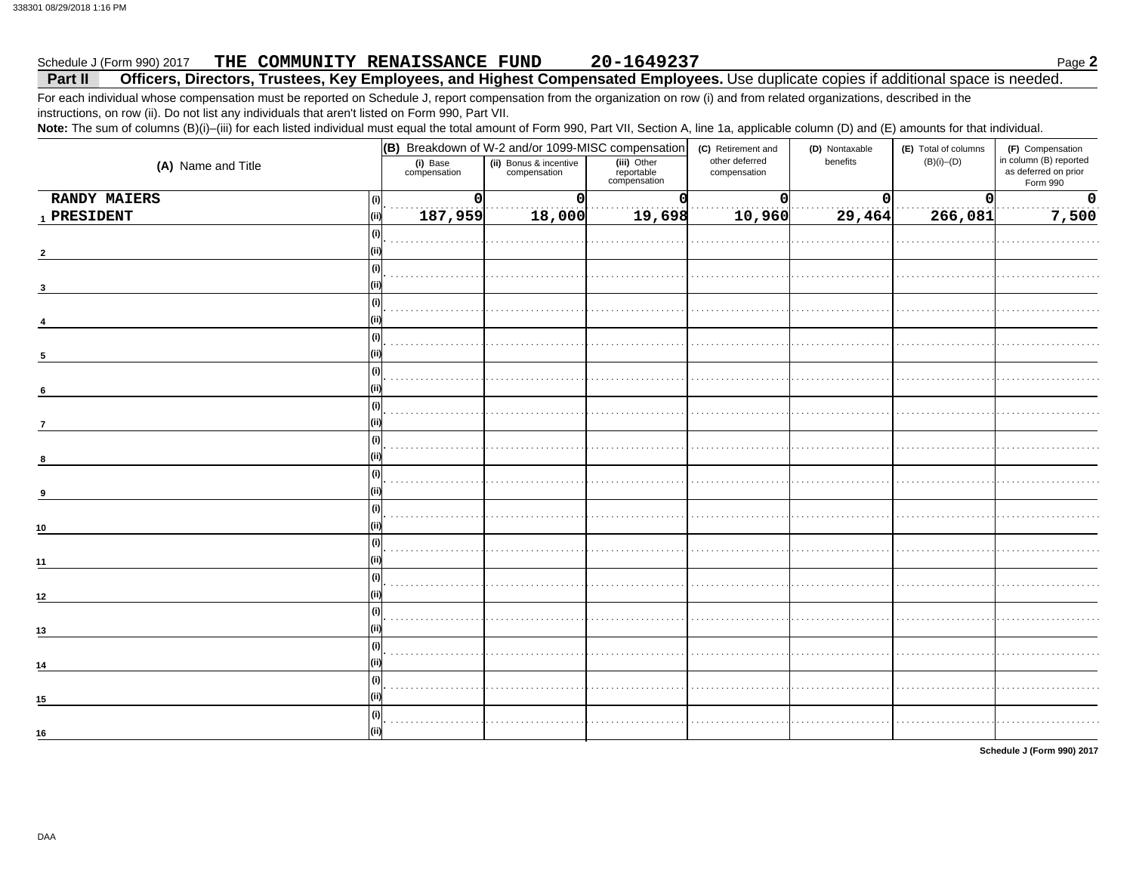### THE COMMUNITY RENAISSANCE FUND 20-1649237 Schedule J (Form 990) 2017

### Officers, Directors, Trustees, Key Employees, and Highest Compensated Employees. Use duplicate copies if additional space is needed. Part II

For each individual whose compensation must be reported on Schedule J, report compensation from the organization on row (i) and from related organizations, described in the instructions, on row (ii). Do not list any individuals that aren't listed on Form 990, Part VII.

Note: The sum of columns (B)(i)-(iii) for each listed individual must equal the total amount of Form 990, Part VII, Section A, line 1a, applicable column (D) and (E) amounts for that individual.

|                            |                          | (B) Breakdown of W-2 and/or 1099-MISC compensation |                                           | (C) Retirement and             | (D) Nontaxable | (E) Total of columns | (F) Compensation                                           |
|----------------------------|--------------------------|----------------------------------------------------|-------------------------------------------|--------------------------------|----------------|----------------------|------------------------------------------------------------|
| (A) Name and Title         | (i) Base<br>compensation | (ii) Bonus & incentive<br>compensation             | (iii) Other<br>reportable<br>compensation | other deferred<br>compensation | benefits       | $(B)(i)$ - $(D)$     | in column (B) reported<br>as deferred on prior<br>Form 990 |
| <b>RANDY MAIERS</b><br>(i) | $\mathbf 0$              | $\overline{0}$                                     | Ω                                         | 0                              | n              | $\mathbf{O}$         | $\mathbf 0$                                                |
| 1 PRESIDENT<br>(iii)       | 187,959                  | 18,000                                             | 19,698                                    | 10,960                         | 29,464         | 266,081              | 7,500                                                      |
| (i)                        |                          |                                                    |                                           |                                |                |                      |                                                            |
| $\overline{2}$             |                          |                                                    |                                           |                                |                |                      |                                                            |
| (i)                        |                          |                                                    |                                           |                                |                |                      |                                                            |
|                            |                          |                                                    |                                           |                                |                |                      |                                                            |
| (i)                        |                          |                                                    |                                           |                                |                |                      |                                                            |
|                            |                          |                                                    |                                           |                                |                |                      |                                                            |
| (i)                        |                          |                                                    |                                           |                                |                |                      |                                                            |
| $\sqrt{5}$                 |                          |                                                    |                                           |                                |                |                      |                                                            |
| (i)                        |                          |                                                    |                                           |                                |                |                      |                                                            |
| $\bf{6}$                   |                          |                                                    |                                           |                                |                |                      |                                                            |
| (i)                        |                          |                                                    |                                           |                                |                |                      |                                                            |
| $\overline{7}$             |                          |                                                    |                                           |                                |                |                      |                                                            |
| (i)                        |                          |                                                    |                                           |                                |                |                      |                                                            |
| 8                          |                          |                                                    |                                           |                                |                |                      |                                                            |
| (i)                        |                          |                                                    |                                           |                                |                |                      |                                                            |
| 9                          |                          |                                                    |                                           |                                |                |                      |                                                            |
| (i)                        |                          |                                                    |                                           |                                |                |                      |                                                            |
| $10\,$                     |                          |                                                    |                                           |                                |                |                      |                                                            |
| (i)                        |                          |                                                    |                                           |                                |                |                      |                                                            |
| 11                         |                          |                                                    |                                           |                                |                |                      |                                                            |
| (i)                        |                          |                                                    |                                           |                                |                |                      |                                                            |
| 12                         |                          |                                                    |                                           |                                |                |                      |                                                            |
| (i)                        |                          |                                                    |                                           |                                |                |                      |                                                            |
| 13                         |                          |                                                    |                                           |                                |                |                      |                                                            |
| (i)                        |                          |                                                    |                                           |                                |                |                      |                                                            |
| 14                         |                          |                                                    |                                           |                                |                |                      |                                                            |
| (i)                        |                          |                                                    |                                           |                                |                |                      |                                                            |
| 15                         |                          |                                                    |                                           |                                |                |                      |                                                            |
| (i)                        |                          |                                                    |                                           |                                |                |                      |                                                            |
| 16                         |                          |                                                    |                                           |                                |                |                      |                                                            |

Schedule J (Form 990) 2017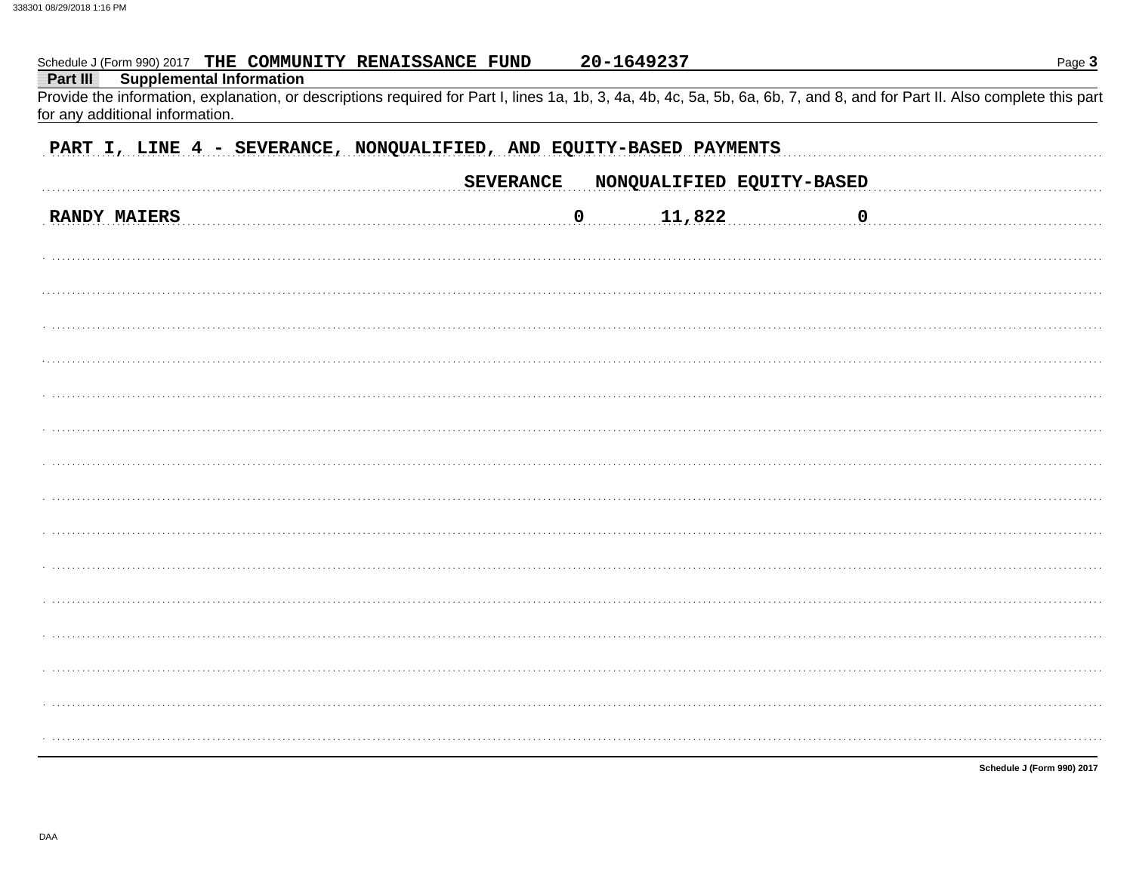| Schedule J (Form 990) 2017 THE COMMUNITY RENAISSANCE FUND                                                                                                                                                                                                    | 20-1649237                                    | Page 3      |
|--------------------------------------------------------------------------------------------------------------------------------------------------------------------------------------------------------------------------------------------------------------|-----------------------------------------------|-------------|
| <b>Supplemental Information</b><br>Part III<br>Provide the information, explanation, or descriptions required for Part I, lines 1a, 1b, 3, 4a, 4b, 4c, 5a, 5b, 6a, 6b, 7, and 8, and for Part II. Also complete this part<br>for any additional information. |                                               |             |
| PART I, LINE 4 - SEVERANCE, NONQUALIFIED, AND EQUITY-BASED PAYMENTS                                                                                                                                                                                          |                                               |             |
|                                                                                                                                                                                                                                                              | <b>SEVERANCE</b><br>NONQUALIFIED EQUITY-BASED |             |
| <b>RANDY MAIERS</b>                                                                                                                                                                                                                                          | 11,822<br>$\mathbf 0$                         | $\mathbf 0$ |
|                                                                                                                                                                                                                                                              |                                               |             |
|                                                                                                                                                                                                                                                              |                                               |             |
|                                                                                                                                                                                                                                                              |                                               |             |
|                                                                                                                                                                                                                                                              |                                               |             |
|                                                                                                                                                                                                                                                              |                                               |             |
|                                                                                                                                                                                                                                                              |                                               |             |
|                                                                                                                                                                                                                                                              |                                               |             |
|                                                                                                                                                                                                                                                              |                                               |             |
|                                                                                                                                                                                                                                                              |                                               |             |
|                                                                                                                                                                                                                                                              |                                               |             |
|                                                                                                                                                                                                                                                              |                                               |             |
|                                                                                                                                                                                                                                                              |                                               |             |
|                                                                                                                                                                                                                                                              |                                               |             |
|                                                                                                                                                                                                                                                              |                                               |             |
|                                                                                                                                                                                                                                                              |                                               |             |
|                                                                                                                                                                                                                                                              |                                               |             |

Schedule J (Form 990) 2017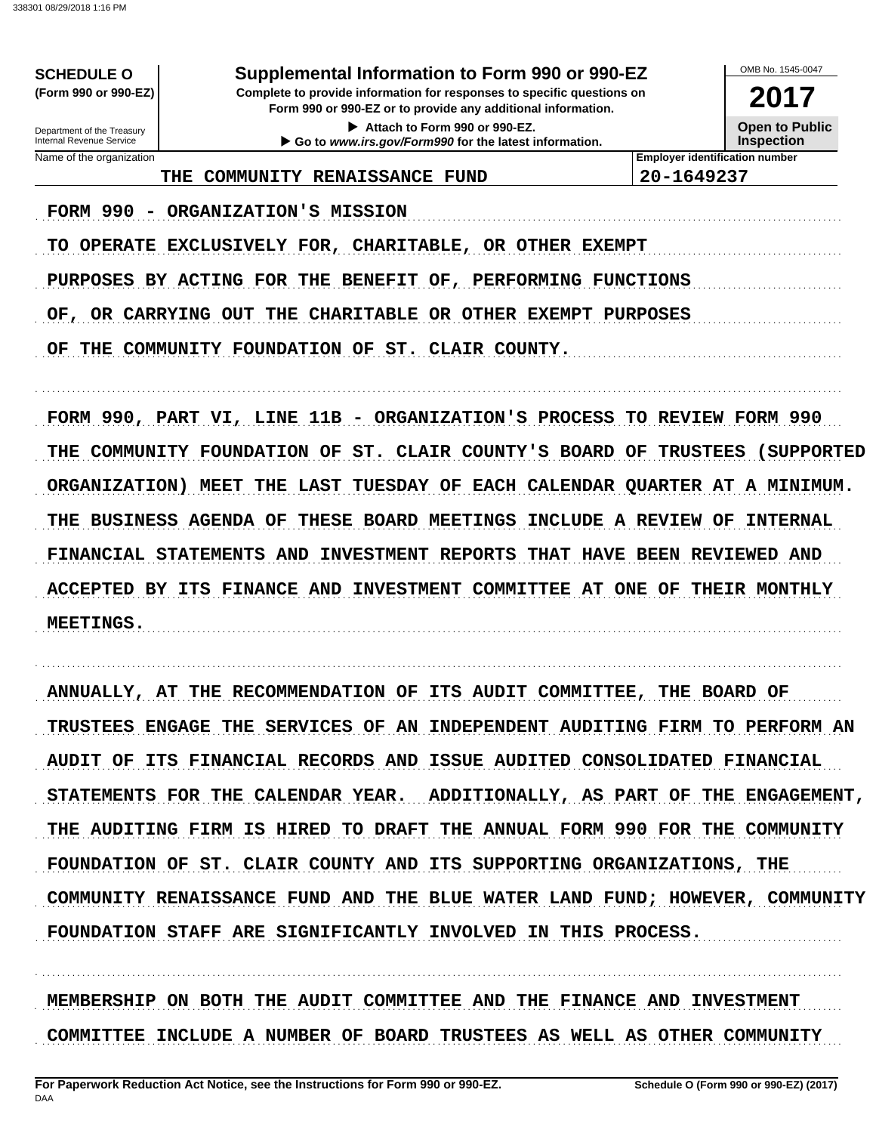Supplemental Information to Form 990 or 990-EZ

Complete to provide information for responses to specific questions on Form 990 or 990-EZ or to provide any additional information.

> Attach to Form 990 or 990-EZ. Go to www.irs.gov/Form990 for the latest information.

2017

**Open to Public Inspection** 

OMB No 1545-0047

Department of the Treasury<br>Internal Revenue Service Name of the organization

**SCHEDULE O** (Form 990 or 990-EZ)

THE COMMUNITY RENAISSANCE FUND

**Employer identification number** 20-1649237

FORM 990 - ORGANIZATION'S MISSION

TO OPERATE EXCLUSIVELY FOR, CHARITABLE, OR OTHER EXEMPT

PURPOSES BY ACTING FOR THE BENEFIT OF, PERFORMING FUNCTIONS

OF, OR CARRYING OUT THE CHARITABLE OR OTHER EXEMPT PURPOSES

OF THE COMMUNITY FOUNDATION OF ST. CLAIR COUNTY.

FORM 990, PART VI, LINE 11B - ORGANIZATION'S PROCESS TO REVIEW FORM 990 THE COMMUNITY FOUNDATION OF ST. CLAIR COUNTY'S BOARD OF TRUSTEES (SUPPORTED ORGANIZATION) MEET THE LAST TUESDAY OF EACH CALENDAR QUARTER AT A MINIMUM. THE BUSINESS AGENDA OF THESE BOARD MEETINGS INCLUDE A REVIEW OF INTERNAL FINANCIAL STATEMENTS AND INVESTMENT REPORTS THAT HAVE BEEN REVIEWED AND ACCEPTED BY ITS FINANCE AND INVESTMENT COMMITTEE AT ONE OF THEIR MONTHLY MEETINGS.

ANNUALLY, AT THE RECOMMENDATION OF ITS AUDIT COMMITTEE, THE BOARD OF TRUSTEES ENGAGE THE SERVICES OF AN INDEPENDENT AUDITING FIRM TO PERFORM AN AUDIT OF ITS FINANCIAL RECORDS AND ISSUE AUDITED CONSOLIDATED FINANCIAL ADDITIONALLY, AS PART OF THE ENGAGEMENT, STATEMENTS FOR THE CALENDAR YEAR. THE AUDITING FIRM IS HIRED TO DRAFT THE ANNUAL FORM 990 FOR THE COMMUNITY FOUNDATION OF ST. CLAIR COUNTY AND ITS SUPPORTING ORGANIZATIONS, THE COMMUNITY RENAISSANCE FUND AND THE BLUE WATER LAND FUND; HOWEVER, COMMUNITY FOUNDATION STAFF ARE SIGNIFICANTLY INVOLVED IN THIS PROCESS.

MEMBERSHIP ON BOTH THE AUDIT COMMITTEE AND THE FINANCE AND INVESTMENT COMMITTEE INCLUDE A NUMBER OF BOARD TRUSTEES AS WELL AS OTHER COMMUNITY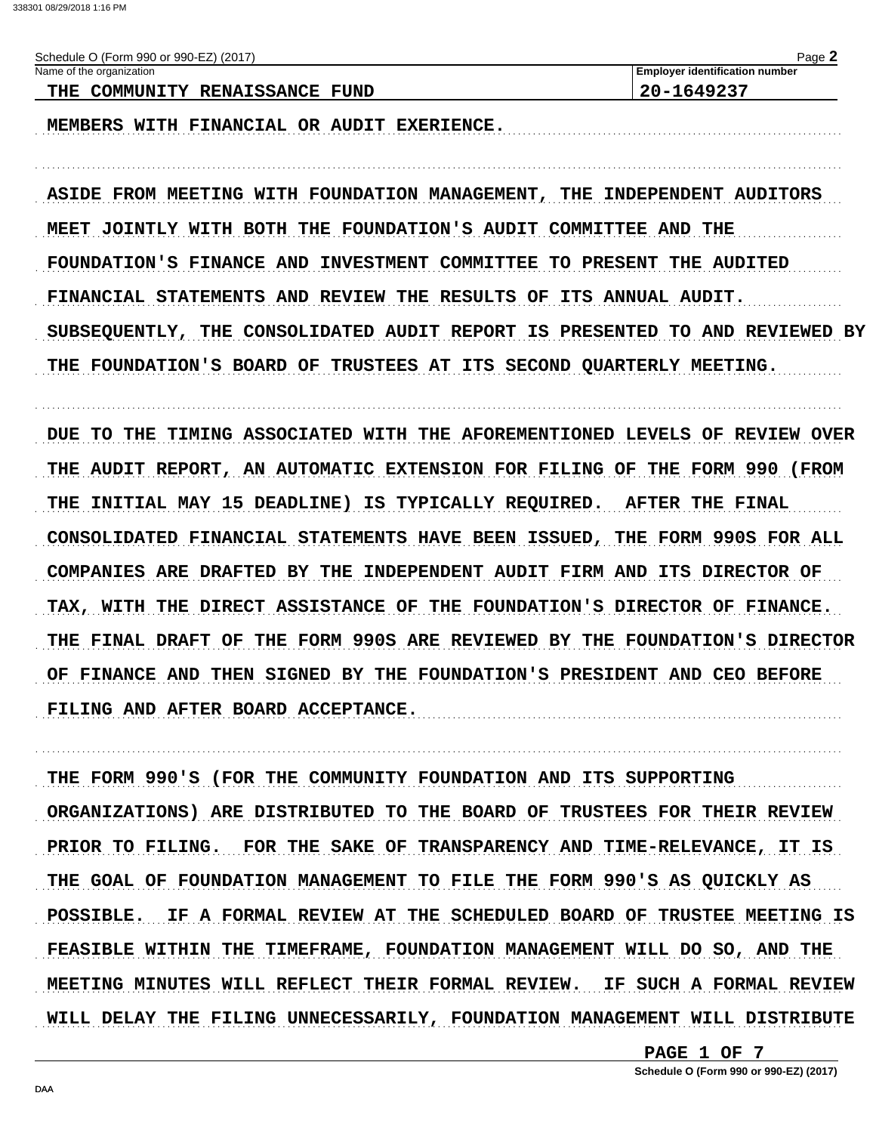| Schedule O (Form 990 or 990-EZ) (2017) | Page                                  |
|----------------------------------------|---------------------------------------|
| Name of the organization               | <b>Employer identification number</b> |
| THE COMMUNITY RENAISSANCE FUND         | 20-1649237                            |
|                                        |                                       |

MEMBERS WITH FINANCIAL OR AUDIT EXERIENCE.

ASIDE FROM MEETING WITH FOUNDATION MANAGEMENT, THE INDEPENDENT AUDITORS MEET JOINTLY WITH BOTH THE FOUNDATION'S AUDIT COMMITTEE AND THE FOUNDATION'S FINANCE AND INVESTMENT COMMITTEE TO PRESENT THE AUDITED FINANCIAL STATEMENTS AND REVIEW THE RESULTS OF ITS ANNUAL AUDIT. SUBSEQUENTLY, THE CONSOLIDATED AUDIT REPORT IS PRESENTED TO AND REVIEWED BY THE FOUNDATION'S BOARD OF TRUSTEES AT ITS SECOND QUARTERLY MEETING.

DUE TO THE TIMING ASSOCIATED WITH THE AFOREMENTIONED LEVELS OF REVIEW OVER THE AUDIT REPORT, AN AUTOMATIC EXTENSION FOR FILING OF THE FORM 990 (FROM THE INITIAL MAY 15 DEADLINE) IS TYPICALLY REQUIRED. AFTER THE FINAL CONSOLIDATED FINANCIAL STATEMENTS HAVE BEEN ISSUED, THE FORM 990S FOR ALL COMPANIES ARE DRAFTED BY THE INDEPENDENT AUDIT FIRM AND ITS DIRECTOR OF TAX, WITH THE DIRECT ASSISTANCE OF THE FOUNDATION'S DIRECTOR OF FINANCE. THE FINAL DRAFT OF THE FORM 990S ARE REVIEWED BY THE FOUNDATION'S DIRECTOR OF FINANCE AND THEN SIGNED BY THE FOUNDATION'S PRESIDENT AND CEO BEFORE FILING AND AFTER BOARD ACCEPTANCE.

THE FORM 990'S (FOR THE COMMUNITY FOUNDATION AND ITS SUPPORTING ORGANIZATIONS) ARE DISTRIBUTED TO THE BOARD OF TRUSTEES FOR THEIR REVIEW PRIOR TO FILING. FOR THE SAKE OF TRANSPARENCY AND TIME-RELEVANCE, IT IS THE GOAL OF FOUNDATION MANAGEMENT TO FILE THE FORM 990'S AS QUICKLY AS IF A FORMAL REVIEW AT THE SCHEDULED BOARD OF TRUSTEE MEETING IS POSSIBLE. FEASIBLE WITHIN THE TIMEFRAME, FOUNDATION MANAGEMENT WILL DO SO, AND THE MEETING MINUTES WILL REFLECT THEIR FORMAL REVIEW. IF SUCH A FORMAL REVIEW WILL DELAY THE FILING UNNECESSARILY, FOUNDATION MANAGEMENT WILL DISTRIBUTE

PAGE 1 OF 7

Schedule O (Form 990 or 990-EZ) (2017)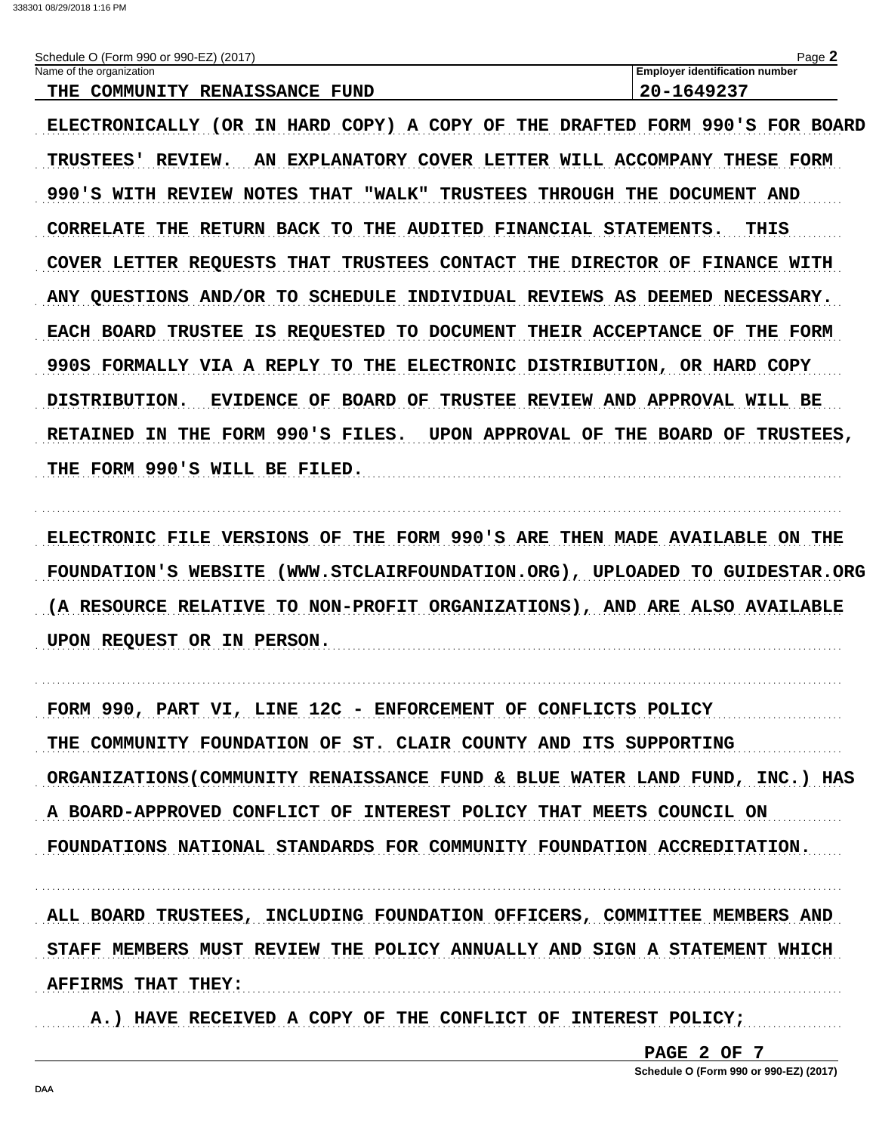| Schedule O (Form 990 or 990-EZ) (2017)                | $P$ ade $\lceil$                      |
|-------------------------------------------------------|---------------------------------------|
| Name of the organization                              | <b>Employer identification number</b> |
| <b>COMMINITY</b><br><b>RENATSSANCE</b><br>THE<br>FIND | 1649237<br>フロー                        |

ELECTRONICALLY (OR IN HARD COPY) A COPY OF THE DRAFTED FORM 990'S FOR BOARD TRUSTEES' REVIEW. AN EXPLANATORY COVER LETTER WILL ACCOMPANY THESE FORM 990'S WITH REVIEW NOTES THAT "WALK" TRUSTEES THROUGH THE DOCUMENT AND CORRELATE THE RETURN BACK TO THE AUDITED FINANCIAL STATEMENTS. THIS COVER LETTER REOUESTS THAT TRUSTEES CONTACT THE DIRECTOR OF FINANCE WITH ANY OUESTIONS AND/OR TO SCHEDULE INDIVIDUAL REVIEWS AS DEEMED NECESSARY. EACH BOARD TRUSTEE IS REQUESTED TO DOCUMENT THEIR ACCEPTANCE OF THE FORM 990S FORMALLY VIA A REPLY TO THE ELECTRONIC DISTRIBUTION, OR HARD COPY DISTRIBUTION. EVIDENCE OF BOARD OF TRUSTEE REVIEW AND APPROVAL WILL BE RETAINED IN THE FORM 990'S FILES. UPON APPROVAL OF THE BOARD OF TRUSTEES, THE FORM 990'S WILL BE FILED.

ELECTRONIC FILE VERSIONS OF THE FORM 990'S ARE THEN MADE AVAILABLE ON THE FOUNDATION'S WEBSITE (WWW.STCLAIRFOUNDATION.ORG), UPLOADED TO GUIDESTAR.ORG (A RESOURCE RELATIVE TO NON-PROFIT ORGANIZATIONS), AND ARE ALSO AVAILABLE UPON REQUEST OR IN PERSON.

FORM 990, PART VI, LINE 12C - ENFORCEMENT OF CONFLICTS POLICY THE COMMUNITY FOUNDATION OF ST. CLAIR COUNTY AND ITS SUPPORTING ORGANIZATIONS (COMMUNITY RENAISSANCE FUND & BLUE WATER LAND FUND, INC.) HAS A BOARD-APPROVED CONFLICT OF INTEREST POLICY THAT MEETS COUNCIL ON FOUNDATIONS NATIONAL STANDARDS FOR COMMUNITY FOUNDATION ACCREDITATION.

ALL BOARD TRUSTEES, INCLUDING FOUNDATION OFFICERS, COMMITTEE MEMBERS AND STAFF MEMBERS MUST REVIEW THE POLICY ANNUALLY AND SIGN A STATEMENT WHICH AFFIRMS THAT THEY:

A.) HAVE RECEIVED A COPY OF THE CONFLICT OF INTEREST POLICY;

PAGE 2 OF 7

Schedule O (Form 990 or 990-EZ) (2017)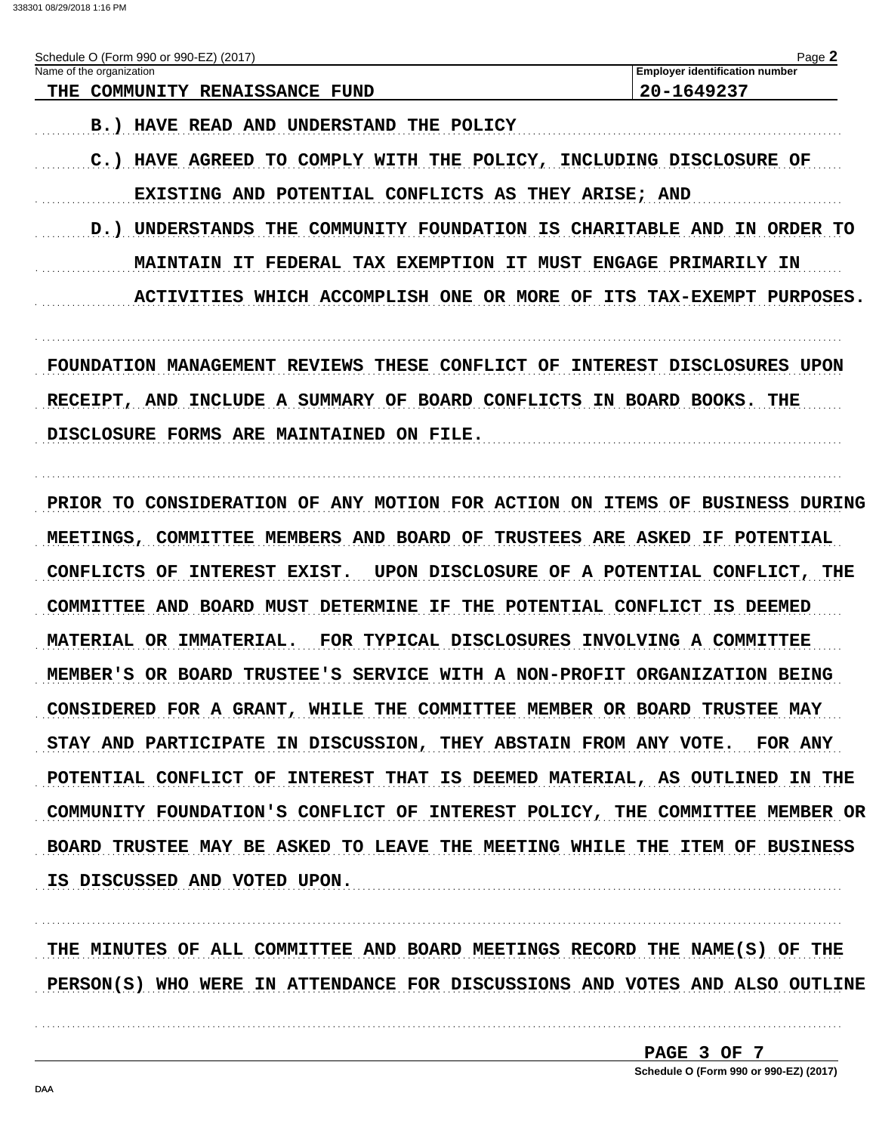338301 08/29/2018 1:16 PM

| Schedule O (Form 990 or 990-EZ) (2017)<br>Name of the organization<br>THE COMMUNITY RENAISSANCE FUND | Page 2<br><b>Employer identification number</b><br>20-1649237 |
|------------------------------------------------------------------------------------------------------|---------------------------------------------------------------|
| <b>B.) HAVE READ AND UNDERSTAND THE POLICY</b>                                                       |                                                               |
| <b>HAVE AGREED</b><br>TO COMPLY WITH THE POLICY, INCLUDING DISCLOSURE OF                             |                                                               |
| EXISTING AND POTENTIAL CONFLICTS AS THEY ARISE; AND                                                  |                                                               |
| D.) UNDERSTANDS THE COMMUNITY FOUNDATION IS CHARITABLE AND IN ORDER TO                               |                                                               |
| <b>MAINTAIN IT FEDERAL TAX EXEMPTION IT MUST ENGAGE PRIMARILY IN</b>                                 |                                                               |
| ACTIVITIES WHICH ACCOMPLISH ONE OR MORE OF ITS TAX-EXEMPT PURPOSES.                                  |                                                               |
|                                                                                                      |                                                               |
| FOUNDATION MANAGEMENT REVIEWS THESE CONFLICT OF INTEREST DISCLOSURES UPON                            |                                                               |
| RECEIPT, AND INCLUDE A SUMMARY OF BOARD CONFLICTS IN BOARD BOOKS. THE                                |                                                               |
| DISCLOSURE FORMS ARE MAINTAINED ON FILE.                                                             |                                                               |
| PRIOR TO CONSIDERATION OF ANY MOTION FOR ACTION ON ITEMS OF BUSINESS DURING                          |                                                               |
| MEETINGS, COMMITTEE MEMBERS AND BOARD OF TRUSTEES ARE ASKED IF POTENTIAL                             |                                                               |
| CONFLICTS OF<br>INTEREST EXIST.                                                                      | UPON DISCLOSURE OF A POTENTIAL CONFLICT, THE                  |
| COMMITTEE AND BOARD MUST DETERMINE IF THE POTENTIAL CONFLICT IS DEEMED                               |                                                               |
| MATERIAL OR IMMATERIAL.                                                                              | FOR TYPICAL DISCLOSURES INVOLVING A COMMITTEE                 |
| MEMBER'S OR BOARD TRUSTEE'S SERVICE WITH A NON-PROFIT ORGANIZATION BEING                             |                                                               |
| CONSIDERED FOR A GRANT, WHILE THE COMMITTEE MEMBER OR BOARD TRUSTEE MAY                              |                                                               |
| STAY AND PARTICIPATE IN DISCUSSION, THEY ABSTAIN FROM ANY VOTE. FOR ANY                              |                                                               |
| POTENTIAL CONFLICT OF INTEREST THAT IS DEEMED MATERIAL, AS OUTLINED IN THE                           |                                                               |
| COMMUNITY FOUNDATION'S CONFLICT OF INTEREST POLICY, THE COMMITTEE MEMBER OR                          |                                                               |
| BOARD TRUSTEE MAY BE ASKED TO LEAVE THE MEETING WHILE THE ITEM OF BUSINESS                           |                                                               |
|                                                                                                      |                                                               |

THE MINUTES OF ALL COMMITTEE AND BOARD MEETINGS RECORD THE NAME(S) OF THE PERSON(S) WHO WERE IN ATTENDANCE FOR DISCUSSIONS AND VOTES AND ALSO OUTLINE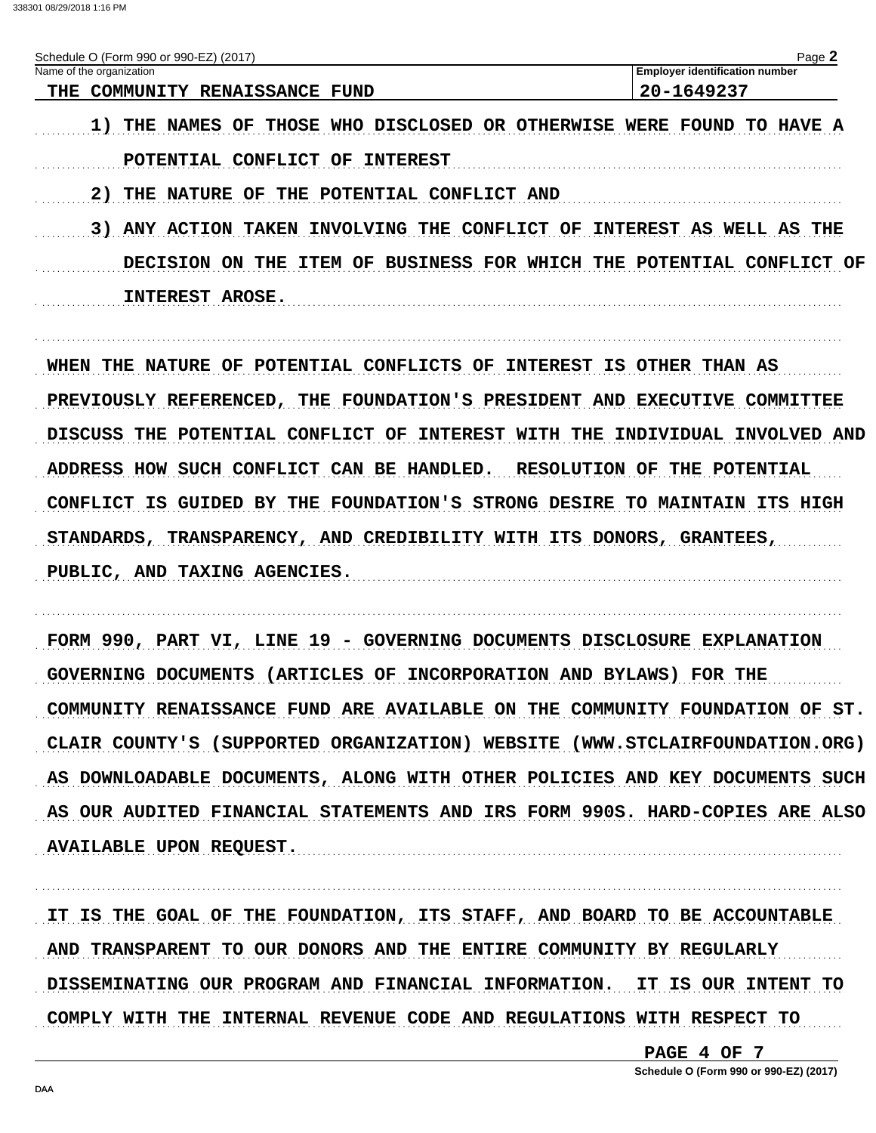338301 08/29/2018 1:16 PM

| Schedule O (Form 990 or 990-EZ) (2017)                                       | Page 2                                               |
|------------------------------------------------------------------------------|------------------------------------------------------|
| Name of the organization<br>THE COMMUNITY RENAISSANCE FUND                   | <b>Employer identification number</b><br>20-1649237  |
|                                                                              |                                                      |
| <b>1) THE NAMES OF THOSE WHO DISCLOSED OR OTHERWISE WERE FOUND TO HAVE A</b> |                                                      |
| POTENTIAL CONFLICT OF<br><b>INTEREST</b>                                     |                                                      |
| <b>2) THE NATURE OF THE POTENTIAL CONFLICT AND</b>                           |                                                      |
| <b>3) ANY ACTION TAKEN INVOLVING THE CONFLICT OF INTEREST AS WELL AS THE</b> |                                                      |
| DECISION ON THE                                                              | ITEM OF BUSINESS FOR WHICH THE POTENTIAL CONFLICT OF |
| INTEREST AROSE.                                                              |                                                      |
|                                                                              |                                                      |
| WHEN THE NATURE OF POTENTIAL CONFLICTS OF INTEREST IS OTHER THAN AS          |                                                      |
|                                                                              |                                                      |
| PREVIOUSLY REFERENCED, THE FOUNDATION'S PRESIDENT AND EXECUTIVE COMMITTEE    |                                                      |
| DISCUSS THE POTENTIAL CONFLICT OF INTEREST WITH THE INDIVIDUAL INVOLVED AND  |                                                      |
| ADDRESS HOW SUCH CONFLICT CAN BE HANDLED. RESOLUTION OF THE POTENTIAL        |                                                      |
| CONFLICT IS GUIDED BY THE FOUNDATION'S STRONG DESIRE TO MAINTAIN ITS HIGH    |                                                      |
| STANDARDS, TRANSPARENCY, AND CREDIBILITY WITH ITS DONORS, GRANTEES,          |                                                      |
| PUBLIC, AND TAXING AGENCIES.                                                 |                                                      |
|                                                                              |                                                      |
|                                                                              |                                                      |
| FORM 990, PART VI, LINE 19 - GOVERNING DOCUMENTS DISCLOSURE EXPLANATION      |                                                      |
| GOVERNING DOCUMENTS (ARTICLES OF INCORPORATION AND BYLAWS) FOR THE           |                                                      |
| COMMUNITY RENAISSANCE FUND ARE AVAILABLE ON THE COMMUNITY FOUNDATION OF ST.  |                                                      |
| CLAIR COUNTY'S (SUPPORTED ORGANIZATION) WEBSITE (WWW.STCLAIRFOUNDATION.ORG)  |                                                      |
| AS DOWNLOADABLE DOCUMENTS, ALONG WITH OTHER POLICIES AND KEY DOCUMENTS SUCH  |                                                      |
| AS OUR AUDITED FINANCIAL STATEMENTS AND IRS FORM 990S. HARD-COPIES ARE ALSO  |                                                      |
| <b>AVAILABLE UPON REQUEST.</b>                                               |                                                      |

IT IS THE GOAL OF THE FOUNDATION, ITS STAFF, AND BOARD TO BE ACCOUNTABLE AND TRANSPARENT TO OUR DONORS AND THE ENTIRE COMMUNITY BY REGULARLY DISSEMINATING OUR PROGRAM AND FINANCIAL INFORMATION. IT IS OUR INTENT TO COMPLY WITH THE INTERNAL REVENUE CODE AND REGULATIONS WITH RESPECT TO

PAGE 4 OF 7

Schedule O (Form 990 or 990-EZ) (2017)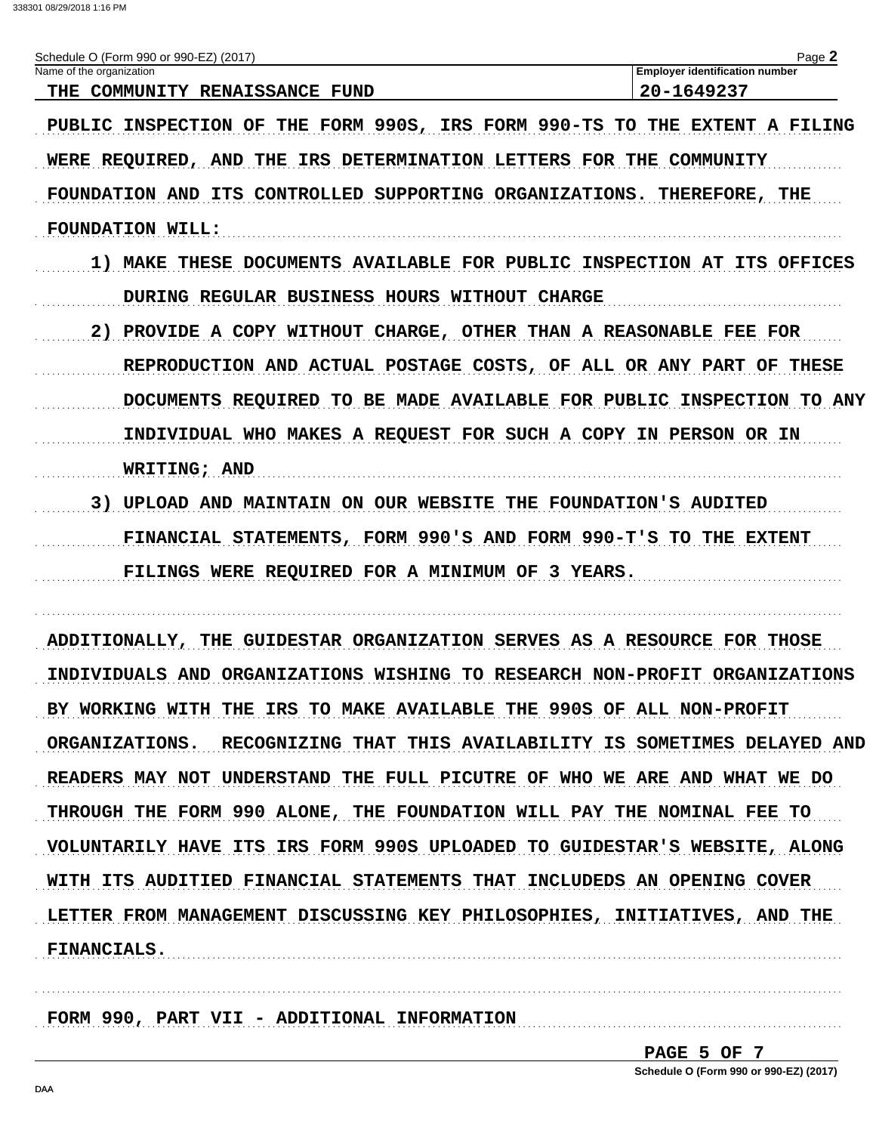| Schedule O (Form 990 or 990-EZ) (2017) | $P$ age                               |
|----------------------------------------|---------------------------------------|
| Name of the organization               | <b>Employer identification number</b> |
| COMMUNITY RENAISSANCE FUND<br>THE.     | 20-1649237                            |

PUBLIC INSPECTION OF THE FORM 990S, IRS FORM 990-TS TO THE EXTENT A FILING WERE REQUIRED, AND THE IRS DETERMINATION LETTERS FOR THE COMMUNITY FOUNDATION AND ITS CONTROLLED SUPPORTING ORGANIZATIONS. THEREFORE, THE **FOUNDATION WILL:** 

- 1) MAKE THESE DOCUMENTS AVAILABLE FOR PUBLIC INSPECTION AT ITS OFFICES DURING REGULAR BUSINESS HOURS WITHOUT CHARGE
- 2) PROVIDE A COPY WITHOUT CHARGE, OTHER THAN A REASONABLE FEE FOR REPRODUCTION AND ACTUAL POSTAGE COSTS, OF ALL OR ANY PART OF THESE DOCUMENTS REQUIRED TO BE MADE AVAILABLE FOR PUBLIC INSPECTION TO ANY INDIVIDUAL WHO MAKES A REQUEST FOR SUCH A COPY IN PERSON OR IN **WRITING; AND** 3) UPLOAD AND MAINTAIN ON OUR WEBSITE THE FOUNDATION'S AUDITED
- FINANCIAL STATEMENTS, FORM 990'S AND FORM 990-T'S TO THE EXTENT FILINGS WERE REQUIRED FOR A MINIMUM OF 3 YEARS.

ADDITIONALLY, THE GUIDESTAR ORGANIZATION SERVES AS A RESOURCE FOR THOSE INDIVIDUALS AND ORGANIZATIONS WISHING TO RESEARCH NON-PROFIT ORGANIZATIONS BY WORKING WITH THE IRS TO MAKE AVAILABLE THE 990S OF ALL NON-PROFIT ORGANIZATIONS. RECOGNIZING THAT THIS AVAILABILITY IS SOMETIMES DELAYED AND READERS MAY NOT UNDERSTAND THE FULL PICUTRE OF WHO WE ARE AND WHAT WE DO THROUGH THE FORM 990 ALONE, THE FOUNDATION WILL PAY THE NOMINAL FEE TO VOLUNTARILY HAVE ITS IRS FORM 990S UPLOADED TO GUIDESTAR'S WEBSITE, ALONG WITH ITS AUDITIED FINANCIAL STATEMENTS THAT INCLUDEDS AN OPENING COVER LETTER FROM MANAGEMENT DISCUSSING KEY PHILOSOPHIES, INITIATIVES, AND THE **FINANCIALS.** 

FORM 990, PART VII - ADDITIONAL INFORMATION

PAGE 5 OF 7 Schedule O (Form 990 or 990-EZ) (2017)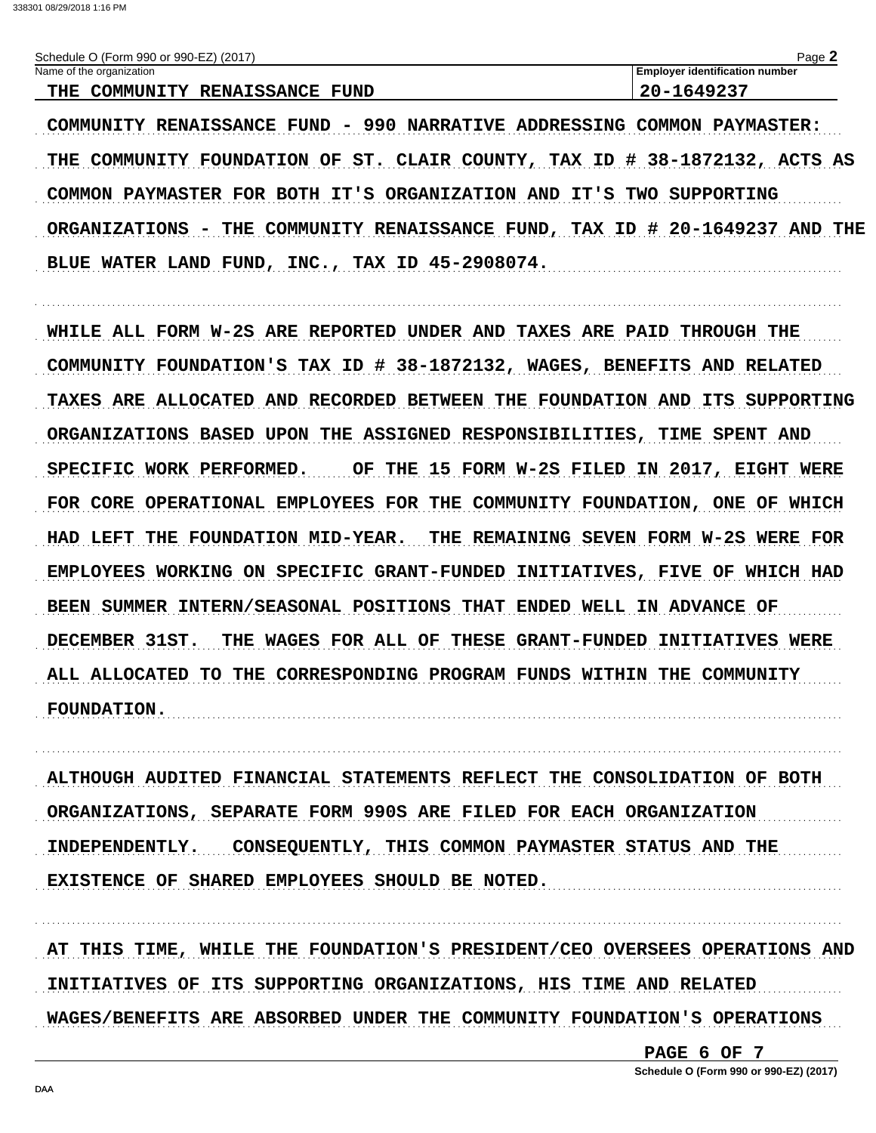| (Form 990 or 990-EZ) (2017)<br>Schedule <sup>r</sup> | مەمد<br>auc                           |
|------------------------------------------------------|---------------------------------------|
| Name of the organization                             | <b>Employer identification number</b> |
| <b>RENAISSANCE</b><br>COMMUNITY<br>FUND<br>THE       | ZU-<br>- <i>. .</i><br>---            |

COMMUNITY RENAISSANCE FUND - 990 NARRATIVE ADDRESSING COMMON PAYMASTER: THE COMMUNITY FOUNDATION OF ST. CLAIR COUNTY, TAX ID # 38-1872132, ACTS AS COMMON PAYMASTER FOR BOTH IT'S ORGANIZATION AND IT'S TWO SUPPORTING ORGANIZATIONS - THE COMMUNITY RENAISSANCE FUND, TAX ID # 20-1649237 AND THE BLUE WATER LAND FUND, INC., TAX ID 45-2908074.

WHILE ALL FORM W-2S ARE REPORTED UNDER AND TAXES ARE PAID THROUGH THE COMMUNITY FOUNDATION'S TAX ID # 38-1872132, WAGES, BENEFITS AND RELATED TAXES ARE ALLOCATED AND RECORDED BETWEEN THE FOUNDATION AND ITS SUPPORTING ORGANIZATIONS BASED UPON THE ASSIGNED RESPONSIBILITIES, TIME SPENT AND SPECIFIC WORK PERFORMED. OF THE 15 FORM W-2S FILED IN 2017, EIGHT WERE FOR CORE OPERATIONAL EMPLOYEES FOR THE COMMUNITY FOUNDATION, ONE OF WHICH HAD LEFT THE FOUNDATION MID-YEAR. THE REMAINING SEVEN FORM W-2S WERE FOR EMPLOYEES WORKING ON SPECIFIC GRANT-FUNDED INITIATIVES, FIVE OF WHICH HAD BEEN SUMMER INTERN/SEASONAL POSITIONS THAT ENDED WELL IN ADVANCE OF DECEMBER 31ST. THE WAGES FOR ALL OF THESE GRANT-FUNDED INITIATIVES WERE ALL ALLOCATED TO THE CORRESPONDING PROGRAM FUNDS WITHIN THE COMMUNITY **FOUNDATION.** 

ALTHOUGH AUDITED FINANCIAL STATEMENTS REFLECT THE CONSOLIDATION OF BOTH ORGANIZATIONS, SEPARATE FORM 990S ARE FILED FOR EACH ORGANIZATION INDEPENDENTLY. CONSEQUENTLY, THIS COMMON PAYMASTER STATUS AND THE EXISTENCE OF SHARED EMPLOYEES SHOULD BE NOTED.

AT THIS TIME, WHILE THE FOUNDATION'S PRESIDENT/CEO OVERSEES OPERATIONS AND INITIATIVES OF ITS SUPPORTING ORGANIZATIONS, HIS TIME AND RELATED WAGES/BENEFITS ARE ABSORBED UNDER THE COMMUNITY FOUNDATION'S OPERATIONS

PAGE 6 OF 7

Schedule O (Form 990 or 990-EZ) (2017)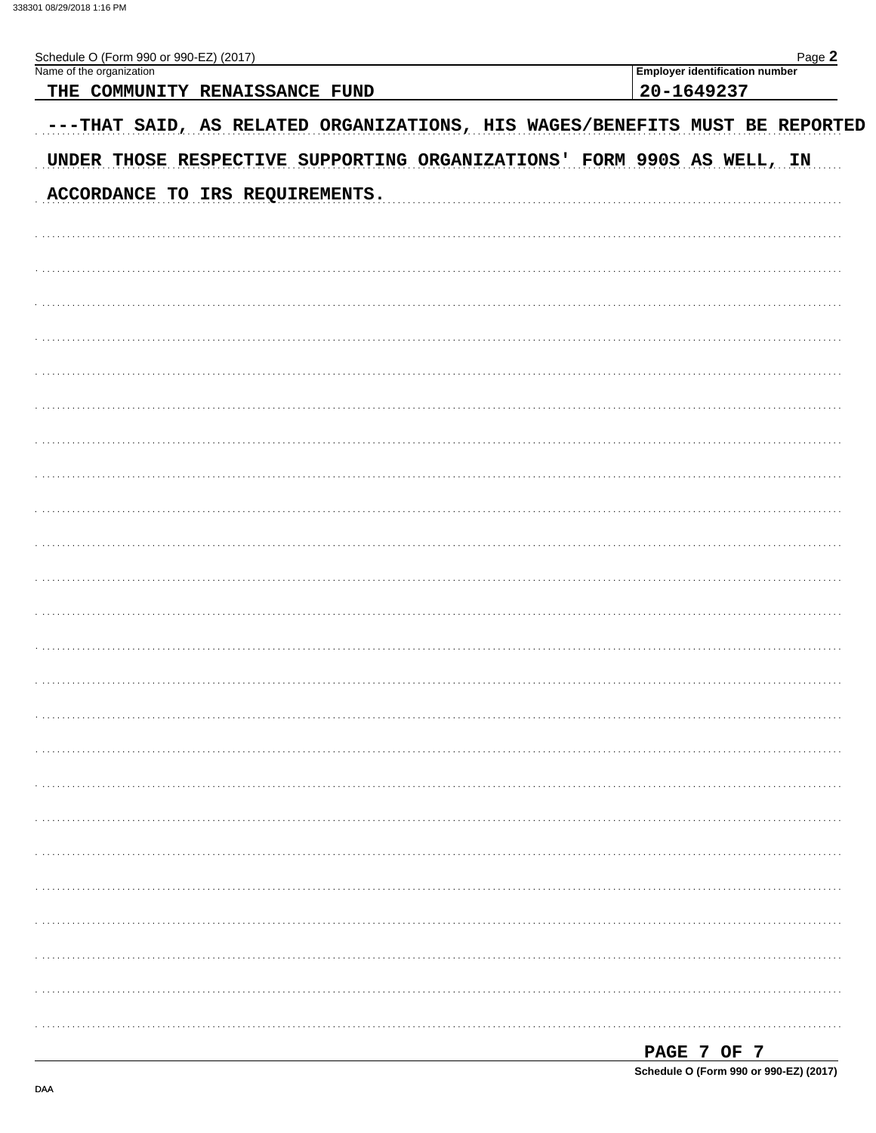| ≏חר |  |
|-----|--|

| Schedule O (Form 990 or 990-EZ) (2017)<br>Name of the organization          | Page 2<br><b>Employer identification number</b> |
|-----------------------------------------------------------------------------|-------------------------------------------------|
| THE COMMUNITY RENAISSANCE FUND                                              | 20-1649237                                      |
|                                                                             |                                                 |
| ---THAT SAID, AS RELATED ORGANIZATIONS, HIS WAGES/BENEFITS MUST BE REPORTED |                                                 |
| UNDER THOSE RESPECTIVE SUPPORTING ORGANIZATIONS' FORM 990S AS WELL, IN      |                                                 |
| ACCORDANCE TO IRS REQUIREMENTS.                                             |                                                 |
|                                                                             |                                                 |
|                                                                             |                                                 |
|                                                                             |                                                 |
|                                                                             |                                                 |
|                                                                             |                                                 |
|                                                                             |                                                 |
|                                                                             |                                                 |
|                                                                             |                                                 |
|                                                                             |                                                 |
|                                                                             |                                                 |
|                                                                             |                                                 |
|                                                                             |                                                 |
|                                                                             |                                                 |
|                                                                             |                                                 |
|                                                                             |                                                 |
|                                                                             |                                                 |
|                                                                             |                                                 |
|                                                                             |                                                 |
|                                                                             |                                                 |
|                                                                             |                                                 |
|                                                                             |                                                 |
|                                                                             |                                                 |
|                                                                             |                                                 |
|                                                                             |                                                 |
|                                                                             |                                                 |
|                                                                             |                                                 |
|                                                                             |                                                 |
|                                                                             |                                                 |
|                                                                             |                                                 |
|                                                                             |                                                 |
|                                                                             |                                                 |
|                                                                             |                                                 |
|                                                                             |                                                 |

| PAGE 7 OF 7                            |  |  |  |
|----------------------------------------|--|--|--|
| Schedule O (Form 990 or 990-EZ) (2017) |  |  |  |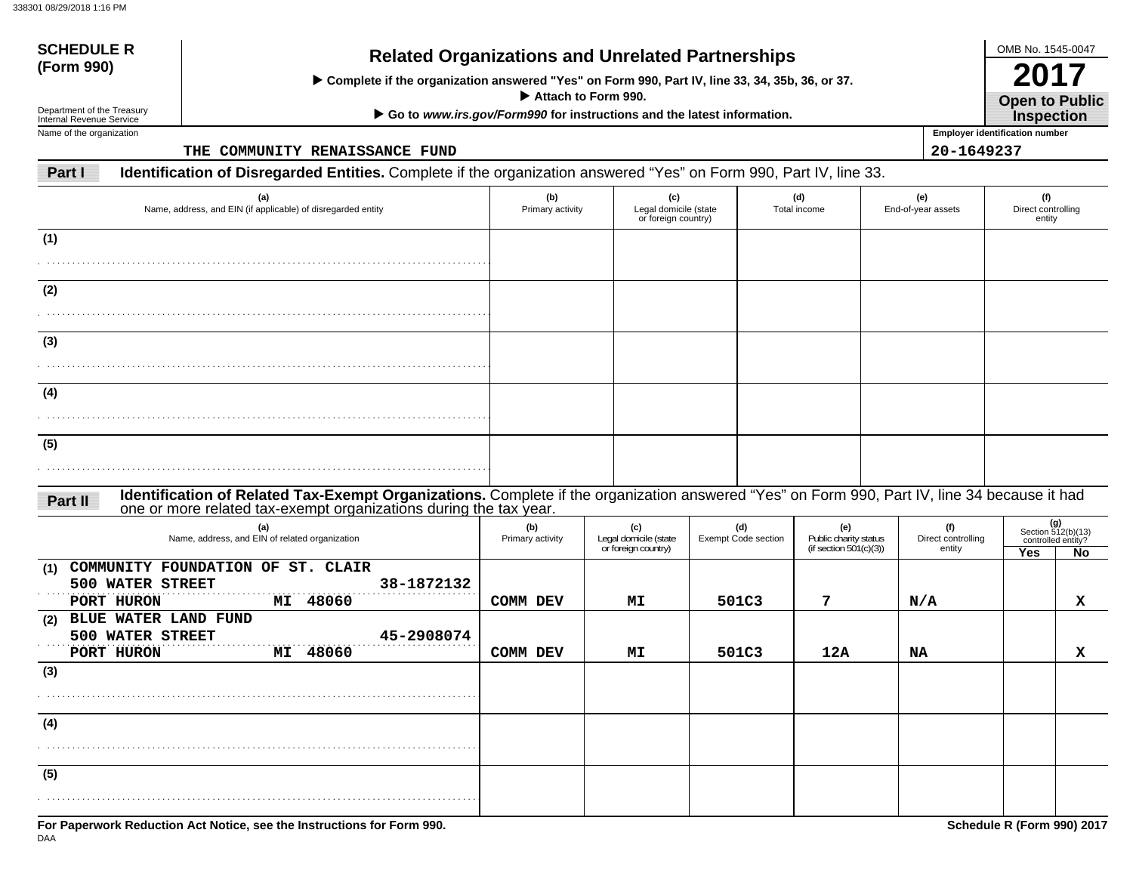**(5)**

| <b>SCHEDULE R</b><br>(Form 990)                        | <b>Related Organizations and Unrelated Partnerships</b><br>> Complete if the organization answered "Yes" on Form 990, Part IV, line 33, 34, 35b, 36, or 37.<br>Attach to Form 990.                                |                         |                                                     |                            |                                                    |                              |                                       |                                                |  |  |  |
|--------------------------------------------------------|-------------------------------------------------------------------------------------------------------------------------------------------------------------------------------------------------------------------|-------------------------|-----------------------------------------------------|----------------------------|----------------------------------------------------|------------------------------|---------------------------------------|------------------------------------------------|--|--|--|
| Department of the Treasury<br>Internal Revenue Service | Go to www.irs.gov/Form990 for instructions and the latest information.                                                                                                                                            |                         |                                                     |                            |                                                    |                              |                                       |                                                |  |  |  |
| Name of the organization                               |                                                                                                                                                                                                                   |                         |                                                     |                            |                                                    |                              | <b>Employer identification number</b> |                                                |  |  |  |
|                                                        | THE COMMUNITY RENAISSANCE FUND                                                                                                                                                                                    |                         |                                                     |                            |                                                    | 20-1649237                   |                                       |                                                |  |  |  |
| Part I                                                 | Identification of Disregarded Entities. Complete if the organization answered "Yes" on Form 990, Part IV, line 33.                                                                                                |                         |                                                     |                            |                                                    |                              |                                       |                                                |  |  |  |
|                                                        | (a)<br>Name, address, and EIN (if applicable) of disregarded entity                                                                                                                                               | (b)<br>Primary activity | (c)<br>Legal domicile (state<br>or foreign country) |                            | (d)<br>Total income                                | (e)<br>End-of-year assets    | (f)<br>Direct controlling<br>entity   |                                                |  |  |  |
| (1)                                                    |                                                                                                                                                                                                                   |                         |                                                     |                            |                                                    |                              |                                       |                                                |  |  |  |
|                                                        |                                                                                                                                                                                                                   |                         |                                                     |                            |                                                    |                              |                                       |                                                |  |  |  |
| (2)                                                    |                                                                                                                                                                                                                   |                         |                                                     |                            |                                                    |                              |                                       |                                                |  |  |  |
|                                                        |                                                                                                                                                                                                                   |                         |                                                     |                            |                                                    |                              |                                       |                                                |  |  |  |
| (3)                                                    |                                                                                                                                                                                                                   |                         |                                                     |                            |                                                    |                              |                                       |                                                |  |  |  |
|                                                        |                                                                                                                                                                                                                   |                         |                                                     |                            |                                                    |                              |                                       |                                                |  |  |  |
|                                                        |                                                                                                                                                                                                                   |                         |                                                     |                            |                                                    |                              |                                       |                                                |  |  |  |
| (4)                                                    |                                                                                                                                                                                                                   |                         |                                                     |                            |                                                    |                              |                                       |                                                |  |  |  |
|                                                        |                                                                                                                                                                                                                   |                         |                                                     |                            |                                                    |                              |                                       |                                                |  |  |  |
| (5)                                                    |                                                                                                                                                                                                                   |                         |                                                     |                            |                                                    |                              |                                       |                                                |  |  |  |
|                                                        |                                                                                                                                                                                                                   |                         |                                                     |                            |                                                    |                              |                                       |                                                |  |  |  |
| Part II                                                | Identification of Related Tax-Exempt Organizations. Complete if the organization answered "Yes" on Form 990, Part IV, line 34 because it had<br>one or more related tax-exempt organizations during the tax year. |                         |                                                     |                            |                                                    |                              |                                       |                                                |  |  |  |
|                                                        | (a)                                                                                                                                                                                                               | (b)                     | (c)                                                 | (d)                        | (e)                                                | (f)                          |                                       | (g)                                            |  |  |  |
|                                                        | Name, address, and EIN of related organization                                                                                                                                                                    | Primary activity        | Legal domicile (state<br>or foreign country)        | <b>Exempt Code section</b> | Public charity status<br>(if section $501(c)(3)$ ) | Direct controlling<br>entity | Yes                                   | Section 512(b)(13)<br>controlled entity?<br>No |  |  |  |
| (1)                                                    | COMMUNITY FOUNDATION OF ST. CLAIR                                                                                                                                                                                 |                         |                                                     |                            |                                                    |                              |                                       |                                                |  |  |  |
| 500 WATER STREET                                       | 38-1872132                                                                                                                                                                                                        |                         |                                                     |                            |                                                    |                              |                                       |                                                |  |  |  |
| PORT HURON<br><b>BLUE WATER LAND FUND</b><br>(2)       | MI 48060                                                                                                                                                                                                          | COMM DEV                | МI                                                  | 501C3                      | 7                                                  | N/A                          |                                       | x                                              |  |  |  |
| 500 WATER STREET                                       | 45-2908074                                                                                                                                                                                                        |                         |                                                     |                            |                                                    |                              |                                       |                                                |  |  |  |
| PORT HURON                                             | MI 48060                                                                                                                                                                                                          | COMM DEV                | MΙ                                                  | 501C3                      | 12A                                                | NA                           |                                       | x                                              |  |  |  |
| (3)                                                    |                                                                                                                                                                                                                   |                         |                                                     |                            |                                                    |                              |                                       |                                                |  |  |  |
|                                                        |                                                                                                                                                                                                                   |                         |                                                     |                            |                                                    |                              |                                       |                                                |  |  |  |
| (4)                                                    |                                                                                                                                                                                                                   |                         |                                                     |                            |                                                    |                              |                                       |                                                |  |  |  |
|                                                        |                                                                                                                                                                                                                   |                         |                                                     |                            |                                                    |                              |                                       |                                                |  |  |  |

. . . . . . . . . . . . . . . . . . . . . . . . . . . . . . . . . . . . . . . . . . . . . . . . . . . . . . . . . . . . . . . . . . . . . . . . . . . . . . . . . . . . . . . .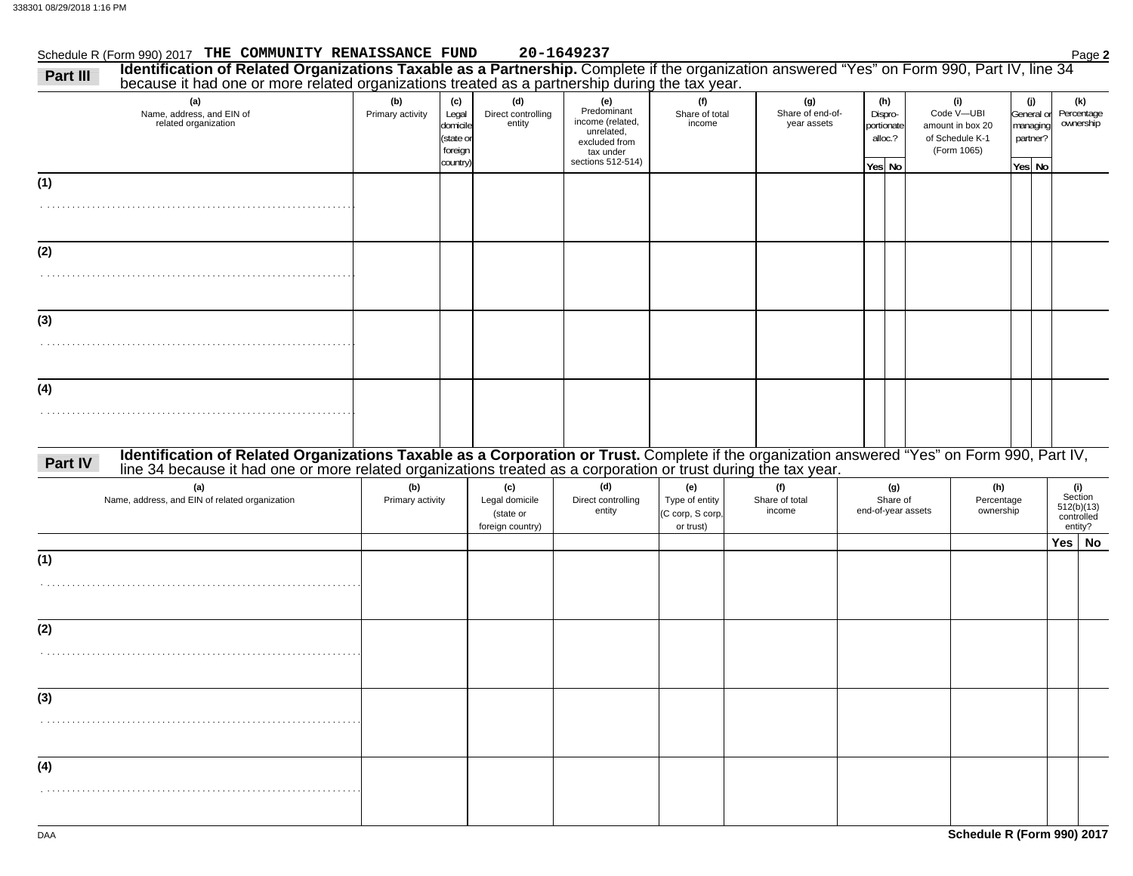|          | Schedule R (Form 990) 2017 THE COMMUNITY RENAISSANCE FUND                                                                                                                                                                      |                         |                                                              |                                                        | 20-1649237                                                                                              |                                                        |                                        |                                                   |                    |                                                                         |                                                     | Page 2                                                |
|----------|--------------------------------------------------------------------------------------------------------------------------------------------------------------------------------------------------------------------------------|-------------------------|--------------------------------------------------------------|--------------------------------------------------------|---------------------------------------------------------------------------------------------------------|--------------------------------------------------------|----------------------------------------|---------------------------------------------------|--------------------|-------------------------------------------------------------------------|-----------------------------------------------------|-------------------------------------------------------|
| Part III | Identification of Related Organizations Taxable as a Partnership. Complete if the organization answered "Yes" on Form 990, Part IV, line 34 because it had one or more related organizations treated as a partnership during t |                         |                                                              |                                                        |                                                                                                         |                                                        |                                        |                                                   |                    |                                                                         |                                                     |                                                       |
|          | (a)<br>Name, address, and EIN of<br>related organization                                                                                                                                                                       | (b)<br>Primary activity | (c)<br>Legal<br>domicile<br>(state or<br>foreign<br>country) | (d)<br>Direct controlling<br>entity                    | (e)<br>Predominant<br>income (related,<br>unrelated,<br>excluded from<br>tax under<br>sections 512-514) | (f)<br>Share of total<br>income                        | (g)<br>Share of end-of-<br>year assets | (h)<br>Dispro-<br>portionate<br>alloc.?<br>Yes No |                    | (i)<br>Code V-UBI<br>amount in box 20<br>of Schedule K-1<br>(Form 1065) | (j)<br>General or<br>managing<br>partner?<br>Yes No | (k)<br>Percentage<br>ownership                        |
| (1)      |                                                                                                                                                                                                                                |                         |                                                              |                                                        |                                                                                                         |                                                        |                                        |                                                   |                    |                                                                         |                                                     |                                                       |
|          |                                                                                                                                                                                                                                |                         |                                                              |                                                        |                                                                                                         |                                                        |                                        |                                                   |                    |                                                                         |                                                     |                                                       |
| (2)      |                                                                                                                                                                                                                                |                         |                                                              |                                                        |                                                                                                         |                                                        |                                        |                                                   |                    |                                                                         |                                                     |                                                       |
|          |                                                                                                                                                                                                                                |                         |                                                              |                                                        |                                                                                                         |                                                        |                                        |                                                   |                    |                                                                         |                                                     |                                                       |
| (3)      |                                                                                                                                                                                                                                |                         |                                                              |                                                        |                                                                                                         |                                                        |                                        |                                                   |                    |                                                                         |                                                     |                                                       |
|          |                                                                                                                                                                                                                                |                         |                                                              |                                                        |                                                                                                         |                                                        |                                        |                                                   |                    |                                                                         |                                                     |                                                       |
| (4)      |                                                                                                                                                                                                                                |                         |                                                              |                                                        |                                                                                                         |                                                        |                                        |                                                   |                    |                                                                         |                                                     |                                                       |
|          |                                                                                                                                                                                                                                |                         |                                                              |                                                        |                                                                                                         |                                                        |                                        |                                                   |                    |                                                                         |                                                     |                                                       |
| Part IV  | Identification of Related Organizations Taxable as a Corporation or Trust. Complete if the organization answered "Yes" on Form 990, Part IV, line 34 because it had one or more related organizations treated as a corporation |                         |                                                              |                                                        |                                                                                                         |                                                        |                                        |                                                   |                    |                                                                         |                                                     |                                                       |
|          | (a)<br>Name, address, and EIN of related organization                                                                                                                                                                          | (b)<br>Primary activity |                                                              | (c)<br>Legal domicile<br>(state or<br>foreign country) | (d)<br>Direct controlling<br>entity                                                                     | (e)<br>Type of entity<br>(C corp, S corp,<br>or trust) | (f)<br>Share of total<br>income        | (g)<br>Share of                                   | end-of-year assets | (h)<br>Percentage<br>ownership                                          |                                                     | (i)<br>Section<br>512(b)(13)<br>controlled<br>entity? |
| (1)      |                                                                                                                                                                                                                                |                         |                                                              |                                                        |                                                                                                         |                                                        |                                        |                                                   |                    |                                                                         |                                                     | Yes No                                                |
|          |                                                                                                                                                                                                                                |                         |                                                              |                                                        |                                                                                                         |                                                        |                                        |                                                   |                    |                                                                         |                                                     |                                                       |
| (2)      |                                                                                                                                                                                                                                |                         |                                                              |                                                        |                                                                                                         |                                                        |                                        |                                                   |                    |                                                                         |                                                     |                                                       |
|          |                                                                                                                                                                                                                                |                         |                                                              |                                                        |                                                                                                         |                                                        |                                        |                                                   |                    |                                                                         |                                                     |                                                       |
| (3)      |                                                                                                                                                                                                                                |                         |                                                              |                                                        |                                                                                                         |                                                        |                                        |                                                   |                    |                                                                         |                                                     |                                                       |
|          |                                                                                                                                                                                                                                |                         |                                                              |                                                        |                                                                                                         |                                                        |                                        |                                                   |                    |                                                                         |                                                     |                                                       |
| (4)      |                                                                                                                                                                                                                                |                         |                                                              |                                                        |                                                                                                         |                                                        |                                        |                                                   |                    |                                                                         |                                                     |                                                       |
|          |                                                                                                                                                                                                                                |                         |                                                              |                                                        |                                                                                                         |                                                        |                                        |                                                   |                    |                                                                         |                                                     |                                                       |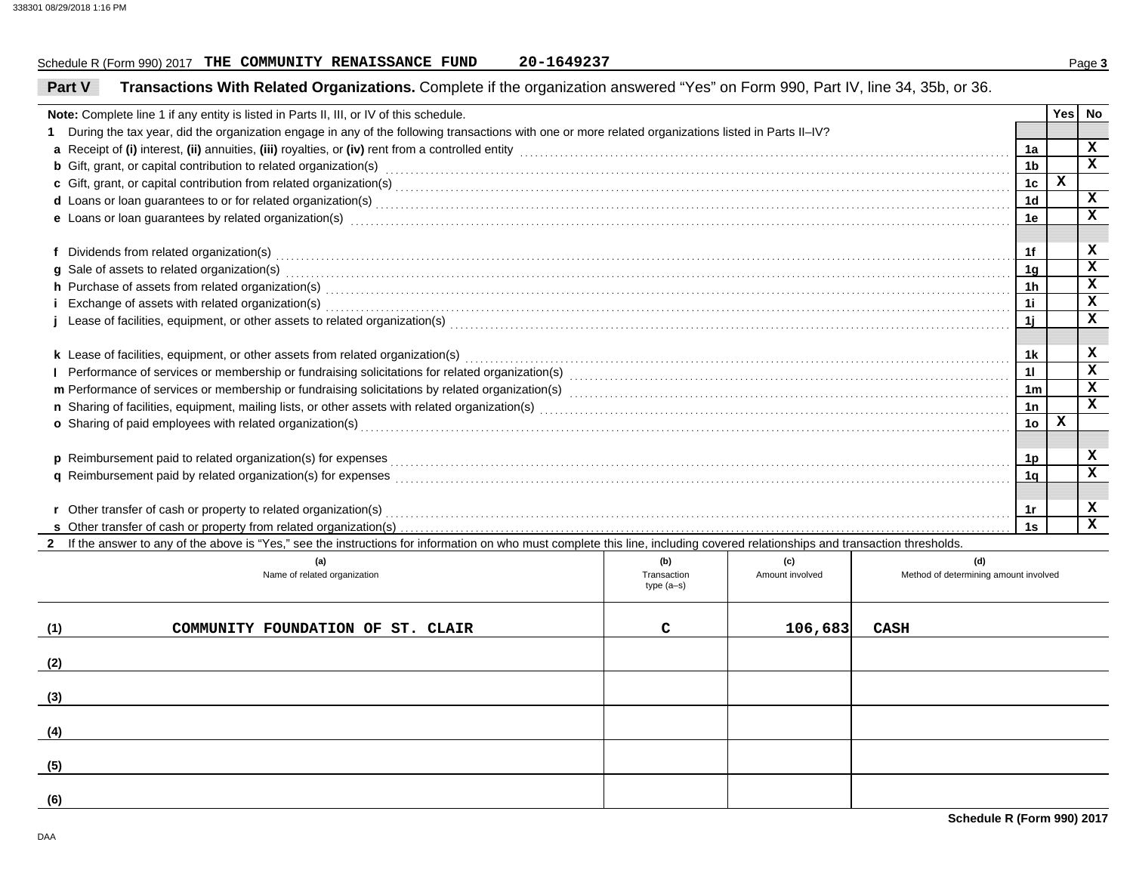### Schedule R (Form 990) 2017 Page **3 THE COMMUNITY RENAISSANCE FUND 20-1649237**20-1649237

| Part V | Transactions With Related Organizations. Complete if the organization answered "Yes" on Form 990, Part IV, line 34, 35b, or 36.                                                                                                |             |                 |                                       |                      |     |                            |  |  |
|--------|--------------------------------------------------------------------------------------------------------------------------------------------------------------------------------------------------------------------------------|-------------|-----------------|---------------------------------------|----------------------|-----|----------------------------|--|--|
|        | Note: Complete line 1 if any entity is listed in Parts II, III, or IV of this schedule.                                                                                                                                        |             |                 |                                       |                      | Yes | No                         |  |  |
| 1      | During the tax year, did the organization engage in any of the following transactions with one or more related organizations listed in Parts II-IV?                                                                            |             |                 |                                       |                      |     |                            |  |  |
|        |                                                                                                                                                                                                                                |             |                 |                                       |                      |     |                            |  |  |
|        | <b>b</b> Gift, grant, or capital contribution to related organization(s) encourse consumed and consumed contribution to related organization(s)                                                                                |             |                 |                                       | 1 <sub>b</sub>       |     | x                          |  |  |
|        |                                                                                                                                                                                                                                |             |                 |                                       | 1 <sub>c</sub>       | X   |                            |  |  |
|        |                                                                                                                                                                                                                                |             |                 |                                       | 1 <sub>d</sub>       |     | x                          |  |  |
|        | e Loans or loan guarantees by related organization(s) encourance control control control control control control control control control control control control control control control control control control control contr |             |                 |                                       | 1e                   |     | x                          |  |  |
|        |                                                                                                                                                                                                                                |             |                 |                                       |                      |     |                            |  |  |
|        |                                                                                                                                                                                                                                |             |                 |                                       | 1f                   |     | x                          |  |  |
|        | g Sale of assets to related organization(s) encourance contains a substantial container and state of assets to related organization(s)                                                                                         |             |                 |                                       | 1 <sub>q</sub>       |     | $\mathbf x$                |  |  |
|        | h Purchase of assets from related organization(s) with an example control of the control of the control of assets from related organization(s) with an example control of the control of the control of the control of the con |             |                 |                                       | 1 <sub>h</sub>       |     | $\mathbf x$                |  |  |
|        | i Exchange of assets with related organization(s) electron contract the control of the control of the control of the control of the control of the control of the control of the control of the control of the control of the  |             |                 |                                       | 1i                   |     | $\mathbf x$                |  |  |
|        | Lease of facilities, equipment, or other assets to related organization(s) Materian and the content of the content of acilities, equipment, or other assets to related organization(s) materials are content of the content of |             |                 |                                       | 11                   |     | $\overline{\mathbf{x}}$    |  |  |
|        |                                                                                                                                                                                                                                |             |                 |                                       |                      |     |                            |  |  |
|        | k Lease of facilities, equipment, or other assets from related organization(s)                                                                                                                                                 |             |                 |                                       | 1k                   |     | x                          |  |  |
|        |                                                                                                                                                                                                                                |             |                 |                                       | 11                   |     | $\mathbf x$<br>$\mathbf x$ |  |  |
|        |                                                                                                                                                                                                                                |             |                 |                                       | 1 <sub>m</sub>       |     | x                          |  |  |
|        |                                                                                                                                                                                                                                |             |                 |                                       | 1n                   | x   |                            |  |  |
|        |                                                                                                                                                                                                                                |             |                 |                                       | 1o                   |     |                            |  |  |
|        |                                                                                                                                                                                                                                |             |                 |                                       |                      |     | x                          |  |  |
|        |                                                                                                                                                                                                                                |             |                 |                                       | 1p<br>1 <sub>q</sub> |     | x                          |  |  |
|        |                                                                                                                                                                                                                                |             |                 |                                       |                      |     |                            |  |  |
|        | r Other transfer of cash or property to related organization(s)                                                                                                                                                                |             |                 |                                       | 1r                   |     | x                          |  |  |
|        | s Other transfer of cash or property from related organization(s)                                                                                                                                                              |             |                 |                                       | 1s                   |     | x                          |  |  |
|        | 2 If the answer to any of the above is "Yes," see the instructions for information on who must complete this line, including covered relationships and transaction thresholds.                                                 |             |                 |                                       |                      |     |                            |  |  |
|        | (a)                                                                                                                                                                                                                            | (b)         | (c)             | (d)                                   |                      |     |                            |  |  |
|        | Name of related organization                                                                                                                                                                                                   | Transaction | Amount involved | Method of determining amount involved |                      |     |                            |  |  |
|        |                                                                                                                                                                                                                                | $type(a-s)$ |                 |                                       |                      |     |                            |  |  |
|        |                                                                                                                                                                                                                                |             |                 |                                       |                      |     |                            |  |  |
| (1)    | COMMUNITY FOUNDATION OF ST. CLAIR                                                                                                                                                                                              | C           | 106,683         | CASH                                  |                      |     |                            |  |  |
|        |                                                                                                                                                                                                                                |             |                 |                                       |                      |     |                            |  |  |
| (2)    |                                                                                                                                                                                                                                |             |                 |                                       |                      |     |                            |  |  |
|        |                                                                                                                                                                                                                                |             |                 |                                       |                      |     |                            |  |  |
| (3)    |                                                                                                                                                                                                                                |             |                 |                                       |                      |     |                            |  |  |
|        |                                                                                                                                                                                                                                |             |                 |                                       |                      |     |                            |  |  |
| (4)    |                                                                                                                                                                                                                                |             |                 |                                       |                      |     |                            |  |  |
|        |                                                                                                                                                                                                                                |             |                 |                                       |                      |     |                            |  |  |
| (5)    |                                                                                                                                                                                                                                |             |                 |                                       |                      |     |                            |  |  |
| (6)    |                                                                                                                                                                                                                                |             |                 |                                       |                      |     |                            |  |  |
|        |                                                                                                                                                                                                                                |             |                 |                                       |                      |     |                            |  |  |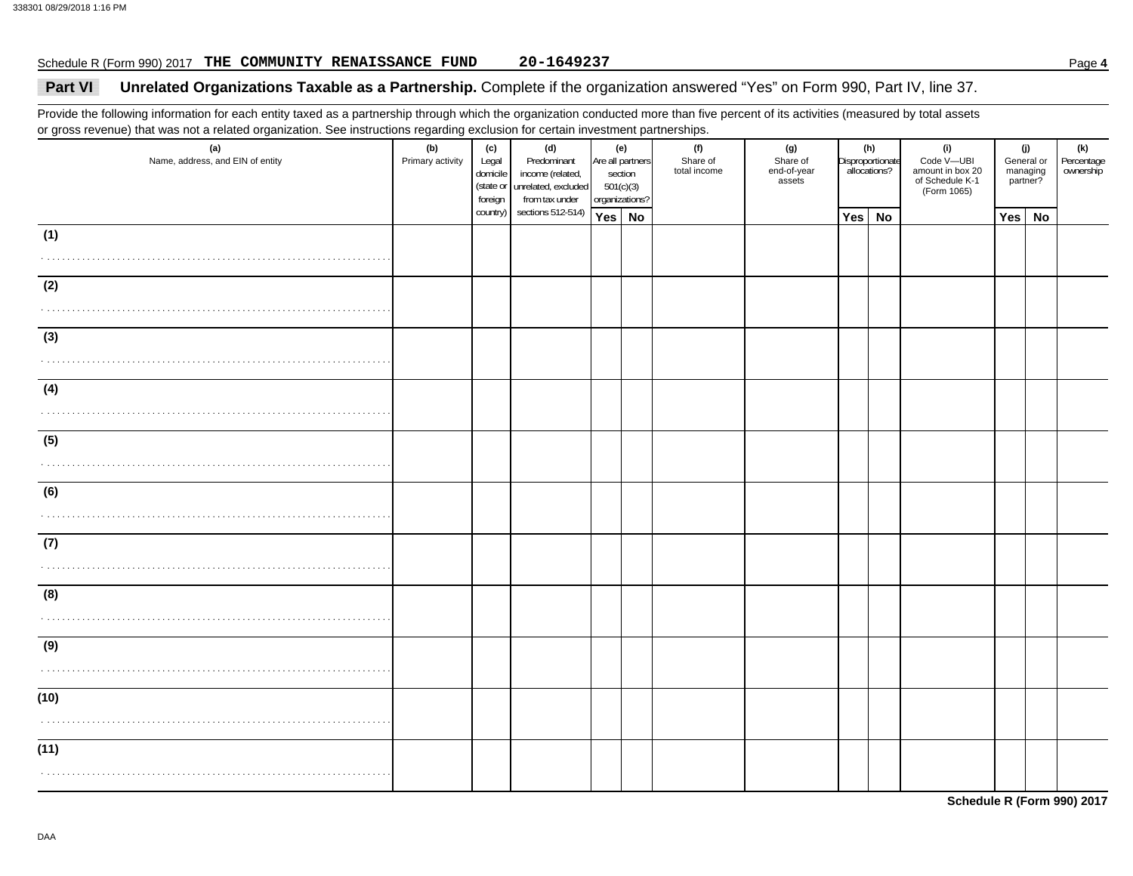### Schedule R (Form 990) 2017 Page **4 THE COMMUNITY RENAISSANCE FUND 20-1649237**20-1649237

## Part VI Unrelated Organizations Taxable as a Partnership. Complete if the organization answered "Yes" on Form 990, Part IV, line 37.

Provide the following information for each entity taxed as a partnership through which the organization conducted more than five percent of its activities (measured by total assets or gross revenue) that was not a related organization. See instructions regarding exclusion for certain investment partnerships.

| (a)<br>Name, address, and EIN of entity | . <b>.</b> 9 9<br>(b)<br>Primary activity | (c)<br>Legal<br>domicile<br>foreign | (d)<br>Predominant<br>income (related,<br>(state or unrelated, excluded<br>from tax under | (e)<br>Are all partners<br>section<br>501(c)(3)<br>organizations? | in the contract of the contract of the contract of the contract of the contract of the contract of the contract of the contract of the contract of the contract of the contract of the contract of the contract of the contrac<br>(f)<br>Share of<br>total income | (g)<br>Share of<br>end-of-year<br>assets |        | (h)<br>Disproportionate<br>allocations? | (i)<br>Code V-UBI<br>amount in box 20<br>of Schedule K-1<br>(Form 1065) |        | (j)<br>General or<br>managing<br>partner? | (k)<br>Percentage<br>ownership |
|-----------------------------------------|-------------------------------------------|-------------------------------------|-------------------------------------------------------------------------------------------|-------------------------------------------------------------------|-------------------------------------------------------------------------------------------------------------------------------------------------------------------------------------------------------------------------------------------------------------------|------------------------------------------|--------|-----------------------------------------|-------------------------------------------------------------------------|--------|-------------------------------------------|--------------------------------|
|                                         |                                           | country)                            | sections 512-514)                                                                         | Yes No                                                            |                                                                                                                                                                                                                                                                   |                                          | Yes No |                                         |                                                                         | Yes No |                                           |                                |
| (1)                                     |                                           |                                     |                                                                                           |                                                                   |                                                                                                                                                                                                                                                                   |                                          |        |                                         |                                                                         |        |                                           |                                |
| (2)                                     |                                           |                                     |                                                                                           |                                                                   |                                                                                                                                                                                                                                                                   |                                          |        |                                         |                                                                         |        |                                           |                                |
| (3)                                     |                                           |                                     |                                                                                           |                                                                   |                                                                                                                                                                                                                                                                   |                                          |        |                                         |                                                                         |        |                                           |                                |
| (4)                                     |                                           |                                     |                                                                                           |                                                                   |                                                                                                                                                                                                                                                                   |                                          |        |                                         |                                                                         |        |                                           |                                |
| (5)                                     |                                           |                                     |                                                                                           |                                                                   |                                                                                                                                                                                                                                                                   |                                          |        |                                         |                                                                         |        |                                           |                                |
| (6)                                     |                                           |                                     |                                                                                           |                                                                   |                                                                                                                                                                                                                                                                   |                                          |        |                                         |                                                                         |        |                                           |                                |
| (7)                                     |                                           |                                     |                                                                                           |                                                                   |                                                                                                                                                                                                                                                                   |                                          |        |                                         |                                                                         |        |                                           |                                |
| (8)                                     |                                           |                                     |                                                                                           |                                                                   |                                                                                                                                                                                                                                                                   |                                          |        |                                         |                                                                         |        |                                           |                                |
| (9)                                     |                                           |                                     |                                                                                           |                                                                   |                                                                                                                                                                                                                                                                   |                                          |        |                                         |                                                                         |        |                                           |                                |
| (10)                                    |                                           |                                     |                                                                                           |                                                                   |                                                                                                                                                                                                                                                                   |                                          |        |                                         |                                                                         |        |                                           |                                |
| (11)                                    |                                           |                                     |                                                                                           |                                                                   |                                                                                                                                                                                                                                                                   |                                          |        |                                         |                                                                         |        |                                           |                                |

**Schedule R (Form 990) 2017**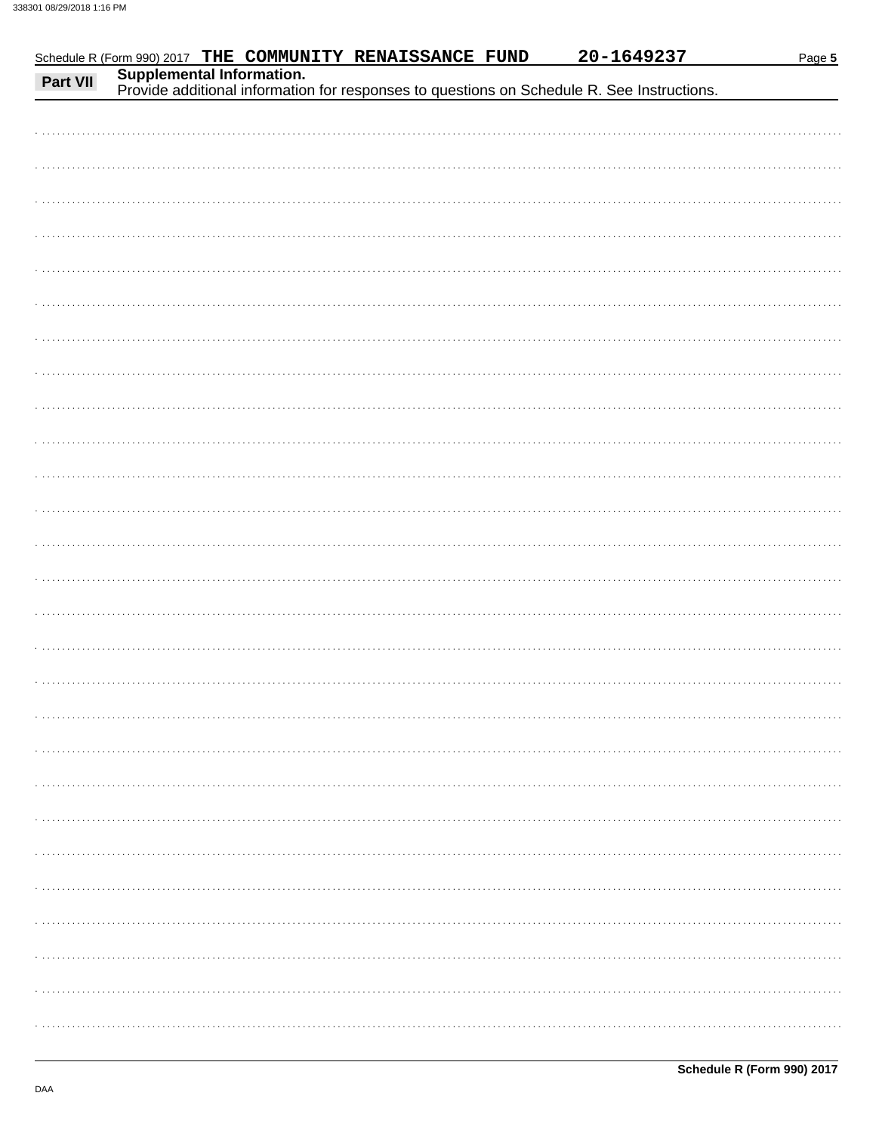| Part VII | Schedule R (Form 990) 2017 THE COMMUNITY RENAISSANCE FUND                                                               | 20-1649237 | Page 5 |
|----------|-------------------------------------------------------------------------------------------------------------------------|------------|--------|
|          | Supplemental Information.<br>Provide additional information for responses to questions on Schedule R. See Instructions. |            |        |
|          |                                                                                                                         |            |        |
|          |                                                                                                                         |            |        |
|          |                                                                                                                         |            |        |
|          |                                                                                                                         |            |        |
|          |                                                                                                                         |            |        |
|          |                                                                                                                         |            |        |
|          |                                                                                                                         |            |        |
|          |                                                                                                                         |            |        |
|          |                                                                                                                         |            |        |
|          |                                                                                                                         |            |        |
|          |                                                                                                                         |            |        |
|          |                                                                                                                         |            |        |
|          |                                                                                                                         |            |        |
|          |                                                                                                                         |            |        |
|          |                                                                                                                         |            |        |
|          |                                                                                                                         |            |        |
|          |                                                                                                                         |            |        |
|          |                                                                                                                         |            |        |
|          |                                                                                                                         |            |        |
|          |                                                                                                                         |            |        |
|          |                                                                                                                         |            |        |
|          |                                                                                                                         |            |        |
|          |                                                                                                                         |            |        |
|          |                                                                                                                         |            |        |
|          |                                                                                                                         |            |        |
|          |                                                                                                                         |            |        |
|          |                                                                                                                         |            |        |
|          |                                                                                                                         |            |        |
|          |                                                                                                                         |            |        |
|          |                                                                                                                         |            |        |
|          |                                                                                                                         |            |        |
|          |                                                                                                                         |            |        |
|          |                                                                                                                         |            |        |
|          |                                                                                                                         |            |        |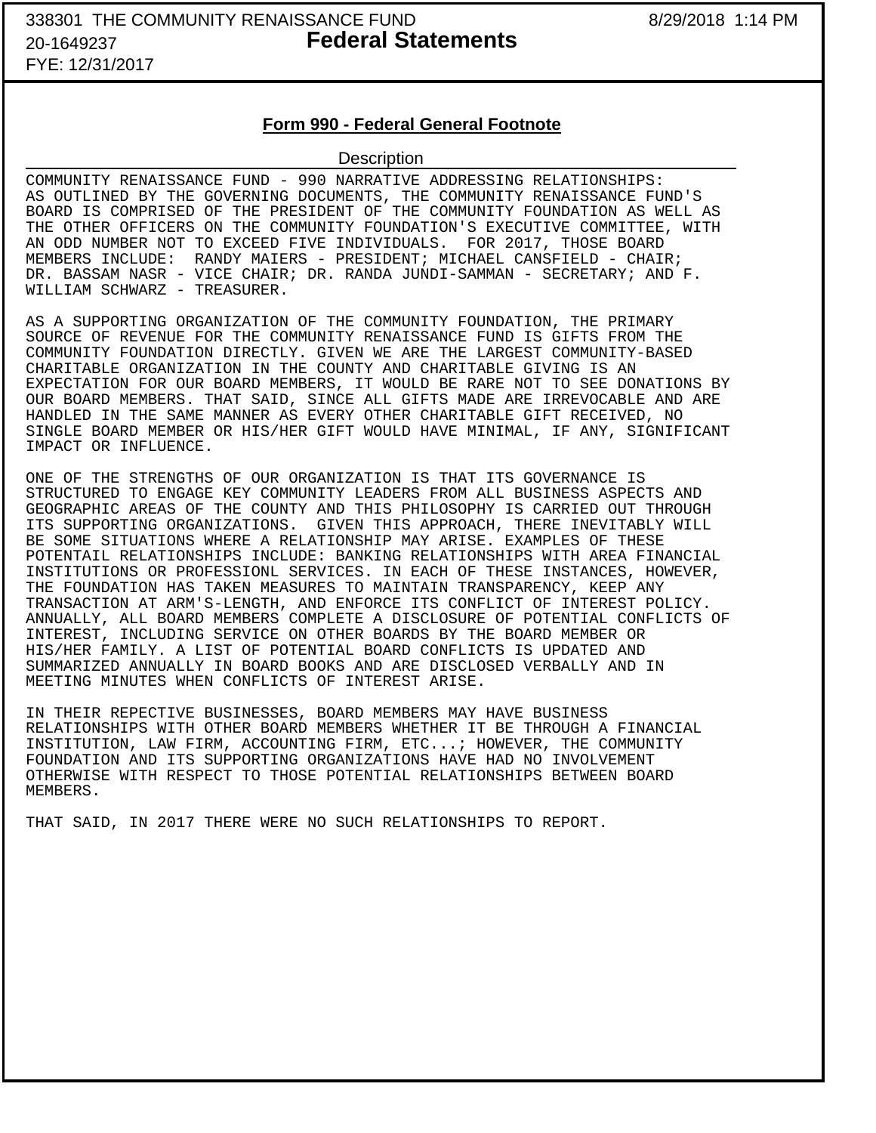# FYE: 12/31/2017

## **Form 990 - Federal General Footnote**

### **Description**

COMMUNITY RENAISSANCE FUND - 990 NARRATIVE ADDRESSING RELATIONSHIPS: AS OUTLINED BY THE GOVERNING DOCUMENTS, THE COMMUNITY RENAISSANCE FUND'S BOARD IS COMPRISED OF THE PRESIDENT OF THE COMMUNITY FOUNDATION AS WELL AS THE OTHER OFFICERS ON THE COMMUNITY FOUNDATION'S EXECUTIVE COMMITTEE, WITH AN ODD NUMBER NOT TO EXCEED FIVE INDIVIDUALS. FOR 2017, THOSE BOARD MEMBERS INCLUDE: RANDY MAIERS - PRESIDENT; MICHAEL CANSFIELD - CHAIR; DR. BASSAM NASR - VICE CHAIR; DR. RANDA JUNDI-SAMMAN - SECRETARY; AND F. WILLIAM SCHWARZ - TREASURER.

AS A SUPPORTING ORGANIZATION OF THE COMMUNITY FOUNDATION, THE PRIMARY SOURCE OF REVENUE FOR THE COMMUNITY RENAISSANCE FUND IS GIFTS FROM THE COMMUNITY FOUNDATION DIRECTLY. GIVEN WE ARE THE LARGEST COMMUNITY-BASED CHARITABLE ORGANIZATION IN THE COUNTY AND CHARITABLE GIVING IS AN EXPECTATION FOR OUR BOARD MEMBERS, IT WOULD BE RARE NOT TO SEE DONATIONS BY OUR BOARD MEMBERS. THAT SAID, SINCE ALL GIFTS MADE ARE IRREVOCABLE AND ARE HANDLED IN THE SAME MANNER AS EVERY OTHER CHARITABLE GIFT RECEIVED, NO SINGLE BOARD MEMBER OR HIS/HER GIFT WOULD HAVE MINIMAL, IF ANY, SIGNIFICANT IMPACT OR INFLUENCE.

ONE OF THE STRENGTHS OF OUR ORGANIZATION IS THAT ITS GOVERNANCE IS STRUCTURED TO ENGAGE KEY COMMUNITY LEADERS FROM ALL BUSINESS ASPECTS AND GEOGRAPHIC AREAS OF THE COUNTY AND THIS PHILOSOPHY IS CARRIED OUT THROUGH ITS SUPPORTING ORGANIZATIONS. GIVEN THIS APPROACH, THERE INEVITABLY WILL BE SOME SITUATIONS WHERE A RELATIONSHIP MAY ARISE. EXAMPLES OF THESE POTENTAIL RELATIONSHIPS INCLUDE: BANKING RELATIONSHIPS WITH AREA FINANCIAL INSTITUTIONS OR PROFESSIONL SERVICES. IN EACH OF THESE INSTANCES, HOWEVER, THE FOUNDATION HAS TAKEN MEASURES TO MAINTAIN TRANSPARENCY, KEEP ANY TRANSACTION AT ARM'S-LENGTH, AND ENFORCE ITS CONFLICT OF INTEREST POLICY. ANNUALLY, ALL BOARD MEMBERS COMPLETE A DISCLOSURE OF POTENTIAL CONFLICTS OF INTEREST, INCLUDING SERVICE ON OTHER BOARDS BY THE BOARD MEMBER OR HIS/HER FAMILY. A LIST OF POTENTIAL BOARD CONFLICTS IS UPDATED AND SUMMARIZED ANNUALLY IN BOARD BOOKS AND ARE DISCLOSED VERBALLY AND IN MEETING MINUTES WHEN CONFLICTS OF INTEREST ARISE.

IN THEIR REPECTIVE BUSINESSES, BOARD MEMBERS MAY HAVE BUSINESS RELATIONSHIPS WITH OTHER BOARD MEMBERS WHETHER IT BE THROUGH A FINANCIAL INSTITUTION, LAW FIRM, ACCOUNTING FIRM, ETC...; HOWEVER, THE COMMUNITY FOUNDATION AND ITS SUPPORTING ORGANIZATIONS HAVE HAD NO INVOLVEMENT OTHERWISE WITH RESPECT TO THOSE POTENTIAL RELATIONSHIPS BETWEEN BOARD MEMBERS.

THAT SAID, IN 2017 THERE WERE NO SUCH RELATIONSHIPS TO REPORT.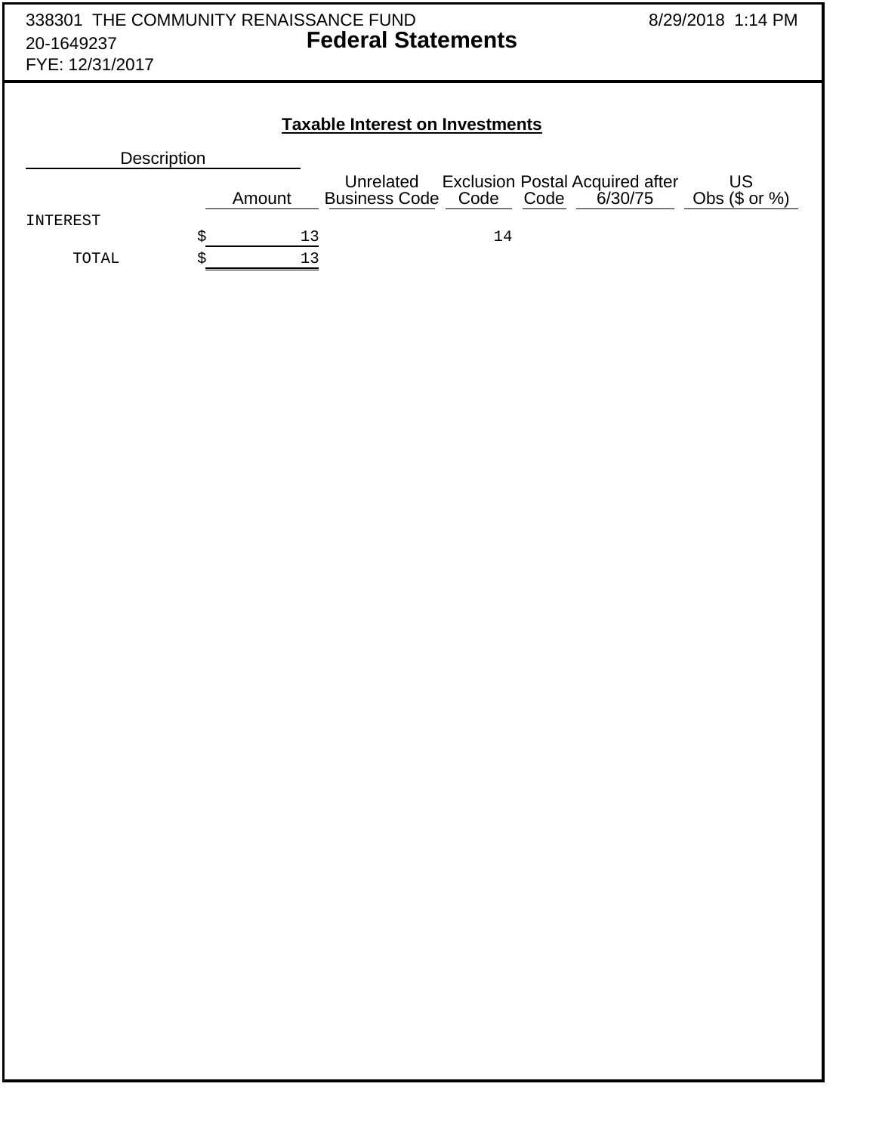| 338301 THE COMMUNITY RENAISSANCE FUND<br>20-1649237<br>FYE: 12/31/2017 |        | 8/29/2018 1:14 PM                      |                                                |         |                               |  |  |  |  |  |  |  |  |
|------------------------------------------------------------------------|--------|----------------------------------------|------------------------------------------------|---------|-------------------------------|--|--|--|--|--|--|--|--|
| <b>Taxable Interest on Investments</b>                                 |        |                                        |                                                |         |                               |  |  |  |  |  |  |  |  |
| Description                                                            |        |                                        |                                                |         |                               |  |  |  |  |  |  |  |  |
|                                                                        | Amount | Unrelated<br><b>Business Code Code</b> | <b>Exclusion Postal Acquired after</b><br>Code | 6/30/75 | <b>US</b><br>Obs $(\$$ or $%$ |  |  |  |  |  |  |  |  |
| INTEREST                                                               | \$     | 13                                     | 14                                             |         |                               |  |  |  |  |  |  |  |  |
| TOTAL                                                                  | \$     | 13                                     |                                                |         |                               |  |  |  |  |  |  |  |  |
|                                                                        |        |                                        |                                                |         |                               |  |  |  |  |  |  |  |  |